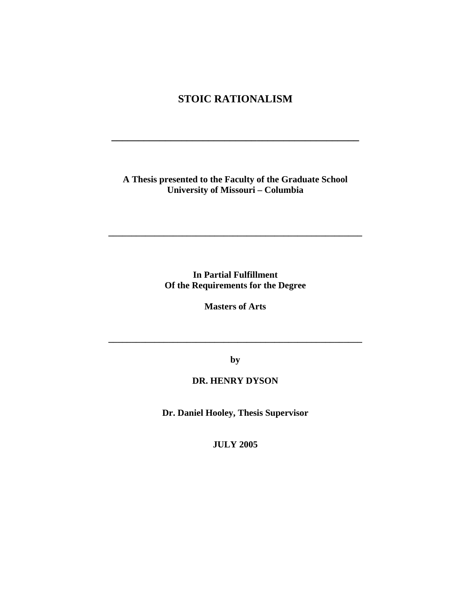# **STOIC RATIONALISM**

**\_\_\_\_\_\_\_\_\_\_\_\_\_\_\_\_\_\_\_\_\_\_\_\_\_\_\_\_\_\_\_\_\_\_\_\_\_\_\_\_\_\_\_\_\_\_** 

### **A Thesis presented to the Faculty of the Graduate School University of Missouri – Columbia**

**In Partial Fulfillment Of the Requirements for the Degree** 

**\_\_\_\_\_\_\_\_\_\_\_\_\_\_\_\_\_\_\_\_\_\_\_\_\_\_\_\_\_\_\_\_\_\_\_\_\_\_\_\_\_\_\_\_\_\_\_\_\_\_\_\_\_\_\_** 

**Masters of Arts** 

**by** 

**\_\_\_\_\_\_\_\_\_\_\_\_\_\_\_\_\_\_\_\_\_\_\_\_\_\_\_\_\_\_\_\_\_\_\_\_\_\_\_\_\_\_\_\_\_\_\_\_\_\_\_\_\_\_\_** 

### **DR. HENRY DYSON**

**Dr. Daniel Hooley, Thesis Supervisor** 

**JULY 2005**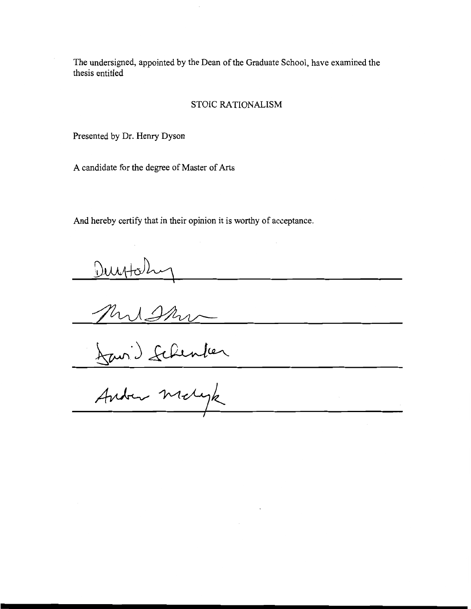The undersigned, appointed by the Dean of the Graduate School, have examined the thesis entitled

#### STOIC RATIONALISM

Presented by Dr. Henry Dyson

A candidate for the degree of Master of Arts

And hereby certify that in their opinion it is worthy of acceptance.

Duytohy<br>Mussing<br>Lavis Schenler<br>Antre Molyk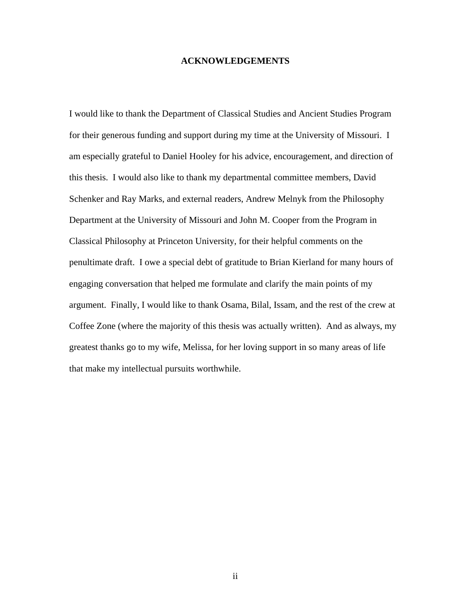#### **ACKNOWLEDGEMENTS**

I would like to thank the Department of Classical Studies and Ancient Studies Program for their generous funding and support during my time at the University of Missouri. I am especially grateful to Daniel Hooley for his advice, encouragement, and direction of this thesis. I would also like to thank my departmental committee members, David Schenker and Ray Marks, and external readers, Andrew Melnyk from the Philosophy Department at the University of Missouri and John M. Cooper from the Program in Classical Philosophy at Princeton University, for their helpful comments on the penultimate draft. I owe a special debt of gratitude to Brian Kierland for many hours of engaging conversation that helped me formulate and clarify the main points of my argument. Finally, I would like to thank Osama, Bilal, Issam, and the rest of the crew at Coffee Zone (where the majority of this thesis was actually written). And as always, my greatest thanks go to my wife, Melissa, for her loving support in so many areas of life that make my intellectual pursuits worthwhile.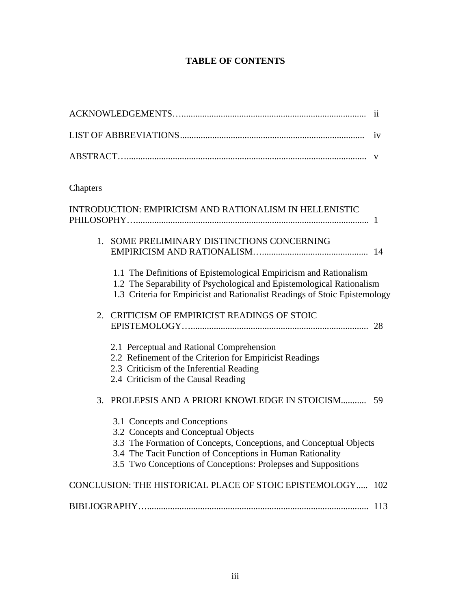## **TABLE OF CONTENTS**

|                                                                                                                                                                                                                                                                           | $\overline{11}$ |
|---------------------------------------------------------------------------------------------------------------------------------------------------------------------------------------------------------------------------------------------------------------------------|-----------------|
|                                                                                                                                                                                                                                                                           | 1 <sub>V</sub>  |
|                                                                                                                                                                                                                                                                           | V               |
| Chapters                                                                                                                                                                                                                                                                  |                 |
| <b>INTRODUCTION: EMPIRICISM AND RATIONALISM IN HELLENISTIC</b>                                                                                                                                                                                                            |                 |
| 1. SOME PRELIMINARY DISTINCTIONS CONCERNING                                                                                                                                                                                                                               |                 |
| 1.1 The Definitions of Epistemological Empiricism and Rationalism<br>1.2 The Separability of Psychological and Epistemological Rationalism<br>1.3 Criteria for Empiricist and Rationalist Readings of Stoic Epistemology                                                  |                 |
| 2. CRITICISM OF EMPIRICIST READINGS OF STOIC                                                                                                                                                                                                                              |                 |
| 2.1 Perceptual and Rational Comprehension<br>2.2 Refinement of the Criterion for Empiricist Readings<br>2.3 Criticism of the Inferential Reading<br>2.4 Criticism of the Causal Reading                                                                                   |                 |
| PROLEPSIS AND A PRIORI KNOWLEDGE IN STOICISM 59<br>3.                                                                                                                                                                                                                     |                 |
| 3.1 Concepts and Conceptions<br>3.2 Concepts and Conceptual Objects<br>3.3 The Formation of Concepts, Conceptions, and Conceptual Objects<br>3.4 The Tacit Function of Conceptions in Human Rationality<br>3.5 Two Conceptions of Conceptions: Prolepses and Suppositions |                 |
| CONCLUSION: THE HISTORICAL PLACE OF STOIC EPISTEMOLOGY 102                                                                                                                                                                                                                |                 |
|                                                                                                                                                                                                                                                                           |                 |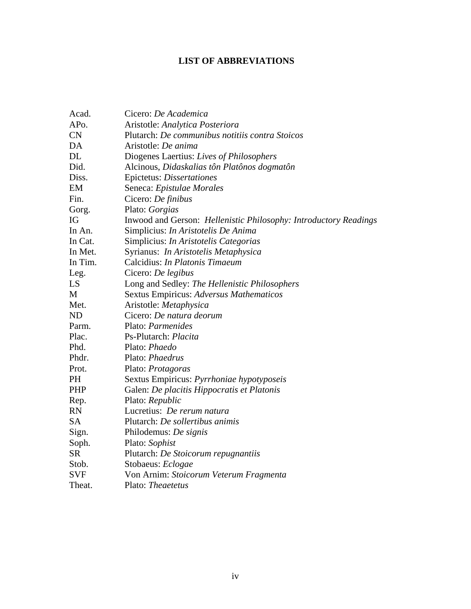## **LIST OF ABBREVIATIONS**

| Acad.             | Cicero: De Academica                                                               |
|-------------------|------------------------------------------------------------------------------------|
| AP <sub>o</sub> . |                                                                                    |
| CN                | Aristotle: Analytica Posteriora<br>Plutarch: De communibus notitiis contra Stoicos |
|                   |                                                                                    |
| DA                | Aristotle: De anima                                                                |
| <b>DL</b>         | Diogenes Laertius: Lives of Philosophers                                           |
| Did.              | Alcinous, Didaskalias tôn Platônos dogmatôn                                        |
| Diss.             | Epictetus: Dissertationes                                                          |
| EM                | Seneca: Epistulae Morales                                                          |
| Fin.              | Cicero: De finibus                                                                 |
| Gorg.             | Plato: Gorgias                                                                     |
| IG                | Inwood and Gerson: Hellenistic Philosophy: Introductory Readings                   |
| In An.            | Simplicius: In Aristotelis De Anima                                                |
| In Cat.           | Simplicius: In Aristotelis Categorias                                              |
| In Met.           | Syrianus: In Aristotelis Metaphysica                                               |
| In Tim.           | Calcidius: In Platonis Timaeum                                                     |
| Leg.              | Cicero: De legibus                                                                 |
| LS                | Long and Sedley: The Hellenistic Philosophers                                      |
| M                 | Sextus Empiricus: Adversus Mathematicos                                            |
| Met.              | Aristotle: Metaphysica                                                             |
| <b>ND</b>         | Cicero: De natura deorum                                                           |
| Parm.             | Plato: Parmenides                                                                  |
| Plac.             | Ps-Plutarch: Placita                                                               |
| Phd.              | Plato: Phaedo                                                                      |
| Phdr.             | Plato: Phaedrus                                                                    |
| Prot.             | Plato: Protagoras                                                                  |
| PH                | Sextus Empiricus: Pyrrhoniae hypotyposeis                                          |
| PHP               | Galen: De placitis Hippocratis et Platonis                                         |
| Rep.              | Plato: Republic                                                                    |
| <b>RN</b>         | Lucretius: De rerum natura                                                         |
| <b>SA</b>         | Plutarch: De sollertibus animis                                                    |
| Sign.             | Philodemus: De signis                                                              |
| Soph.             | Plato: Sophist                                                                     |
| <b>SR</b>         | Plutarch: De Stoicorum repugnantiis                                                |
| Stob.             | Stobaeus: Eclogae                                                                  |
| <b>SVF</b>        | Von Arnim: Stoicorum Veterum Fragmenta                                             |
| Theat.            | Plato: Theaetetus                                                                  |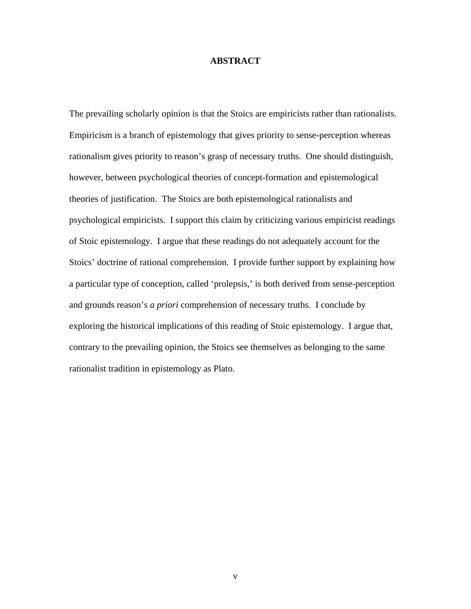#### **ABSTRACT**

The prevailing scholarly opinion is that the Stoics are empiricists rather than rationalists. Empiricism is a branch of epistemology that gives priority to sense-perception whereas rationalism gives priority to reason's grasp of necessary truths. One should distinguish, however, between psychological theories of concept-formation and epistemological theories of justification. The Stoics are both epistemological rationalists and psychological empiricists. I support this claim by criticizing various empiricist readings of Stoic epistemology. I argue that these readings do not adequately account for the Stoics' doctrine of rational comprehension. I provide further support by explaining how a particular type of conception, called 'prolepsis,' is both derived from sense-perception and grounds reason's *a priori* comprehension of necessary truths. I conclude by exploring the historical implications of this reading of Stoic epistemology. I argue that, contrary to the prevailing opinion, the Stoics see themselves as belonging to the same rationalist tradition in epistemology as Plato.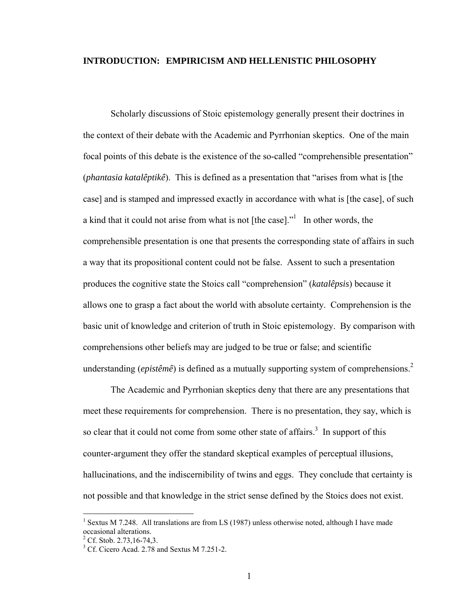#### **INTRODUCTION: EMPIRICISM AND HELLENISTIC PHILOSOPHY**

Scholarly discussions of Stoic epistemology generally present their doctrines in the context of their debate with the Academic and Pyrrhonian skeptics. One of the main focal points of this debate is the existence of the so-called "comprehensible presentation" (*phantasia katalêptikê*). This is defined as a presentation that "arises from what is [the case] and is stamped and impressed exactly in accordance with what is [the case], of such a kind that it could not arise from what is not [the case]. $n<sup>1</sup>$  $n<sup>1</sup>$  $n<sup>1</sup>$  In other words, the comprehensible presentation is one that presents the corresponding state of affairs in such a way that its propositional content could not be false. Assent to such a presentation produces the cognitive state the Stoics call "comprehension" (*katalêpsis*) because it allows one to grasp a fact about the world with absolute certainty. Comprehension is the basic unit of knowledge and criterion of truth in Stoic epistemology. By comparison with comprehensions other beliefs may are judged to be true or false; and scientific understanding(*epistêmê*) is defined as a mutually supporting system of comprehensions.<sup>2</sup>

The Academic and Pyrrhonian skeptics deny that there are any presentations that meet these requirements for comprehension. There is no presentation, they say, which is so clear that it could not come from some other state of affairs.<sup>[3](#page-6-2)</sup> In support of this counter-argument they offer the standard skeptical examples of perceptual illusions, hallucinations, and the indiscernibility of twins and eggs. They conclude that certainty is not possible and that knowledge in the strict sense defined by the Stoics does not exist.

<span id="page-6-0"></span><sup>&</sup>lt;sup>1</sup> Sextus M 7.248. All translations are from LS (1987) unless otherwise noted, although I have made occasional alterations.  $2^2$  Cf. Stob. 2.73,16-74,3.

<span id="page-6-1"></span>

<span id="page-6-2"></span> $3^3$  Cf. Cicero Acad. 2.78 and Sextus M 7.251-2.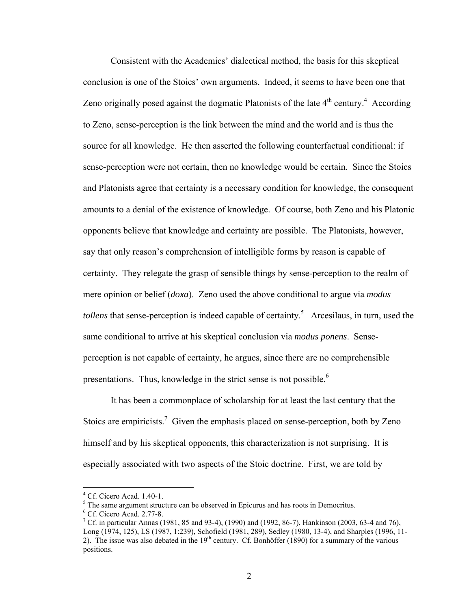Consistent with the Academics' dialectical method, the basis for this skeptical conclusion is one of the Stoics' own arguments. Indeed, it seems to have been one that Zeno originally posed against the dogmatic Platonists of the late  $4<sup>th</sup>$  $4<sup>th</sup>$  century.<sup>4</sup> According to Zeno, sense-perception is the link between the mind and the world and is thus the source for all knowledge. He then asserted the following counterfactual conditional: if sense-perception were not certain, then no knowledge would be certain. Since the Stoics and Platonists agree that certainty is a necessary condition for knowledge, the consequent amounts to a denial of the existence of knowledge. Of course, both Zeno and his Platonic opponents believe that knowledge and certainty are possible. The Platonists, however, say that only reason's comprehension of intelligible forms by reason is capable of certainty. They relegate the grasp of sensible things by sense-perception to the realm of mere opinion or belief (*doxa*). Zeno used the above conditional to argue via *modus tollens* that sense-perception is indeed capable of certainty.<sup>[5](#page-7-1)</sup> Arcesilaus, in turn, used the same conditional to arrive at his skeptical conclusion via *modus ponens*. Senseperception is not capable of certainty, he argues, since there are no comprehensible presentations. Thus, knowledge in the strict sense is not possible.<sup>[6](#page-7-2)</sup>

It has been a commonplace of scholarship for at least the last century that the Stoics are empiricists.<sup>[7](#page-7-3)</sup> Given the emphasis placed on sense-perception, both by Zeno himself and by his skeptical opponents, this characterization is not surprising. It is especially associated with two aspects of the Stoic doctrine. First, we are told by

 $\overline{a}$ 

<span id="page-7-2"></span> $<sup>6</sup>$  Cf. Cicero Acad. 2.77-8.</sup>

<span id="page-7-0"></span> $^{4}$  Cf. Cicero Acad. 1.40-1.

<span id="page-7-1"></span> $<sup>5</sup>$  The same argument structure can be observed in Epicurus and has roots in Democritus.</sup>

<span id="page-7-3"></span><sup>&</sup>lt;sup>7</sup> Cf. in particular Annas (1981, 85 and 93-4), (1990) and (1992, 86-7), Hankinson (2003, 63-4 and 76), Long (1974, 125), LS (1987, 1:239), Schofield (1981, 289), Sedley (1980, 13-4), and Sharples (1996, 11- 2). The issue was also debated in the  $19<sup>th</sup>$  century. Cf. Bonhöffer (1890) for a summary of the various positions.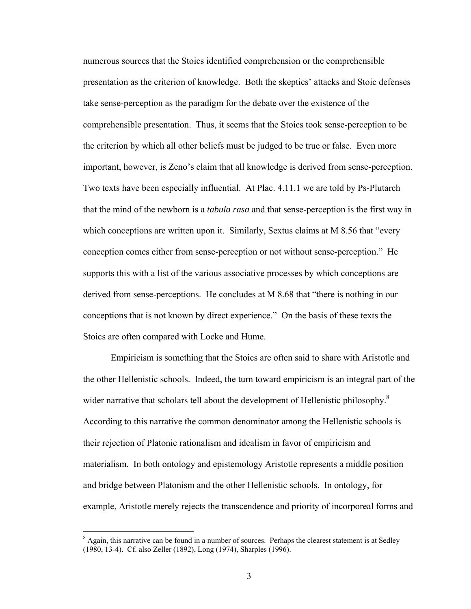numerous sources that the Stoics identified comprehension or the comprehensible presentation as the criterion of knowledge. Both the skeptics' attacks and Stoic defenses take sense-perception as the paradigm for the debate over the existence of the comprehensible presentation. Thus, it seems that the Stoics took sense-perception to be the criterion by which all other beliefs must be judged to be true or false. Even more important, however, is Zeno's claim that all knowledge is derived from sense-perception. Two texts have been especially influential. At Plac. 4.11.1 we are told by Ps-Plutarch that the mind of the newborn is a *tabula rasa* and that sense-perception is the first way in which conceptions are written upon it. Similarly, Sextus claims at M 8.56 that "every" conception comes either from sense-perception or not without sense-perception." He supports this with a list of the various associative processes by which conceptions are derived from sense-perceptions. He concludes at M 8.68 that "there is nothing in our conceptions that is not known by direct experience." On the basis of these texts the Stoics are often compared with Locke and Hume.

Empiricism is something that the Stoics are often said to share with Aristotle and the other Hellenistic schools. Indeed, the turn toward empiricism is an integral part of the wider narrative that scholars tell about the development of Hellenistic philosophy. $8$ According to this narrative the common denominator among the Hellenistic schools is their rejection of Platonic rationalism and idealism in favor of empiricism and materialism. In both ontology and epistemology Aristotle represents a middle position and bridge between Platonism and the other Hellenistic schools. In ontology, for example, Aristotle merely rejects the transcendence and priority of incorporeal forms and

<span id="page-8-0"></span><sup>&</sup>lt;sup>8</sup> Again, this narrative can be found in a number of sources. Perhaps the clearest statement is at Sedley (1980, 13-4). Cf. also Zeller (1892), Long (1974), Sharples (1996).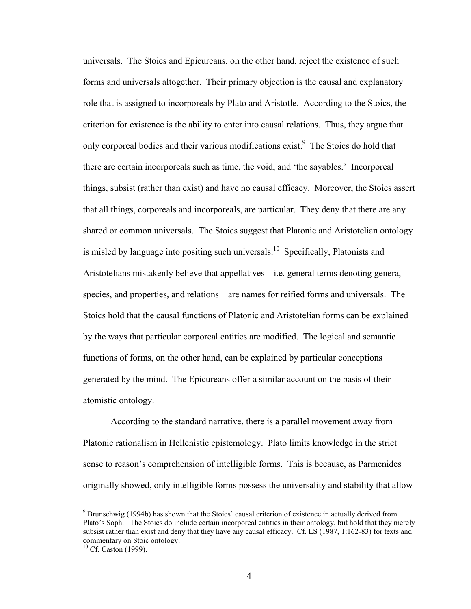universals. The Stoics and Epicureans, on the other hand, reject the existence of such forms and universals altogether. Their primary objection is the causal and explanatory role that is assigned to incorporeals by Plato and Aristotle. According to the Stoics, the criterion for existence is the ability to enter into causal relations. Thus, they argue that only corporeal bodies and their various modifications exist.<sup>[9](#page-9-0)</sup> The Stoics do hold that there are certain incorporeals such as time, the void, and 'the sayables.' Incorporeal things, subsist (rather than exist) and have no causal efficacy. Moreover, the Stoics assert that all things, corporeals and incorporeals, are particular. They deny that there are any shared or common universals. The Stoics suggest that Platonic and Aristotelian ontology is misled by language into positing such universals.<sup>10</sup> Specifically, Platonists and Aristotelians mistakenly believe that appellatives  $-$  i.e. general terms denoting genera, species, and properties, and relations – are names for reified forms and universals. The Stoics hold that the causal functions of Platonic and Aristotelian forms can be explained by the ways that particular corporeal entities are modified. The logical and semantic functions of forms, on the other hand, can be explained by particular conceptions generated by the mind. The Epicureans offer a similar account on the basis of their atomistic ontology.

According to the standard narrative, there is a parallel movement away from Platonic rationalism in Hellenistic epistemology. Plato limits knowledge in the strict sense to reason's comprehension of intelligible forms. This is because, as Parmenides originally showed, only intelligible forms possess the universality and stability that allow

<span id="page-9-0"></span><sup>&</sup>lt;sup>9</sup> Brunschwig (1994b) has shown that the Stoics' causal criterion of existence in actually derived from Plato's Soph. The Stoics do include certain incorporeal entities in their ontology, but hold that they merely subsist rather than exist and deny that they have any causal efficacy. Cf. LS (1987, 1:162-83) for texts and commentary on Stoic ontology.<sup>10</sup> Cf. Caston (1999).

<span id="page-9-1"></span>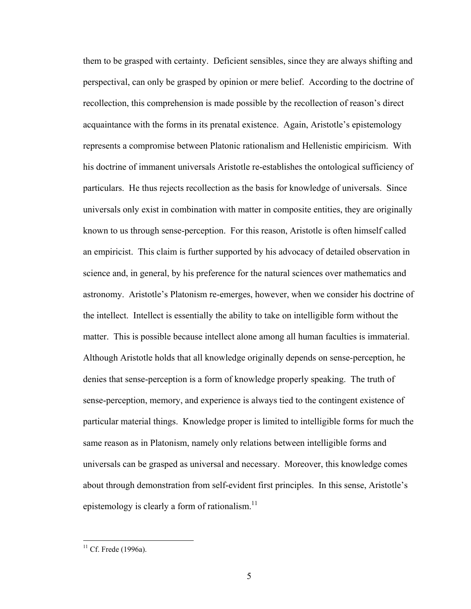them to be grasped with certainty. Deficient sensibles, since they are always shifting and perspectival, can only be grasped by opinion or mere belief. According to the doctrine of recollection, this comprehension is made possible by the recollection of reason's direct acquaintance with the forms in its prenatal existence. Again, Aristotle's epistemology represents a compromise between Platonic rationalism and Hellenistic empiricism. With his doctrine of immanent universals Aristotle re-establishes the ontological sufficiency of particulars. He thus rejects recollection as the basis for knowledge of universals. Since universals only exist in combination with matter in composite entities, they are originally known to us through sense-perception. For this reason, Aristotle is often himself called an empiricist. This claim is further supported by his advocacy of detailed observation in science and, in general, by his preference for the natural sciences over mathematics and astronomy. Aristotle's Platonism re-emerges, however, when we consider his doctrine of the intellect. Intellect is essentially the ability to take on intelligible form without the matter. This is possible because intellect alone among all human faculties is immaterial. Although Aristotle holds that all knowledge originally depends on sense-perception, he denies that sense-perception is a form of knowledge properly speaking. The truth of sense-perception, memory, and experience is always tied to the contingent existence of particular material things. Knowledge proper is limited to intelligible forms for much the same reason as in Platonism, namely only relations between intelligible forms and universals can be grasped as universal and necessary. Moreover, this knowledge comes about through demonstration from self-evident first principles. In this sense, Aristotle's epistemology is clearly a form of rationalism. $^{11}$  $^{11}$  $^{11}$ 

<span id="page-10-0"></span> $11$  Cf. Frede (1996a).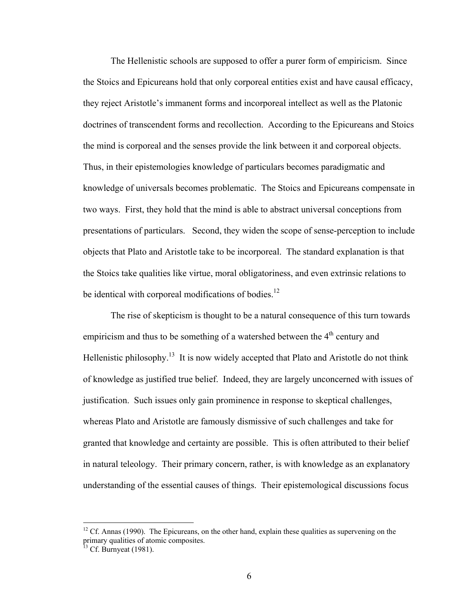The Hellenistic schools are supposed to offer a purer form of empiricism. Since the Stoics and Epicureans hold that only corporeal entities exist and have causal efficacy, they reject Aristotle's immanent forms and incorporeal intellect as well as the Platonic doctrines of transcendent forms and recollection. According to the Epicureans and Stoics the mind is corporeal and the senses provide the link between it and corporeal objects. Thus, in their epistemologies knowledge of particulars becomes paradigmatic and knowledge of universals becomes problematic. The Stoics and Epicureans compensate in two ways. First, they hold that the mind is able to abstract universal conceptions from presentations of particulars. Second, they widen the scope of sense-perception to include objects that Plato and Aristotle take to be incorporeal. The standard explanation is that the Stoics take qualities like virtue, moral obligatoriness, and even extrinsic relations to be identical with corporeal modifications of bodies.<sup>12</sup>

The rise of skepticism is thought to be a natural consequence of this turn towards empiricism and thus to be something of a watershed between the  $4<sup>th</sup>$  century and Hellenistic philosophy.<sup>13</sup> It is now widely accepted that Plato and Aristotle do not think of knowledge as justified true belief. Indeed, they are largely unconcerned with issues of justification. Such issues only gain prominence in response to skeptical challenges, whereas Plato and Aristotle are famously dismissive of such challenges and take for granted that knowledge and certainty are possible. This is often attributed to their belief in natural teleology. Their primary concern, rather, is with knowledge as an explanatory understanding of the essential causes of things. Their epistemological discussions focus

<span id="page-11-0"></span> $12$  Cf. Annas (1990). The Epicureans, on the other hand, explain these qualities as supervening on the primary qualities of atomic composites.<br><sup>13</sup> Cf. Burnyeat (1981).

<span id="page-11-1"></span>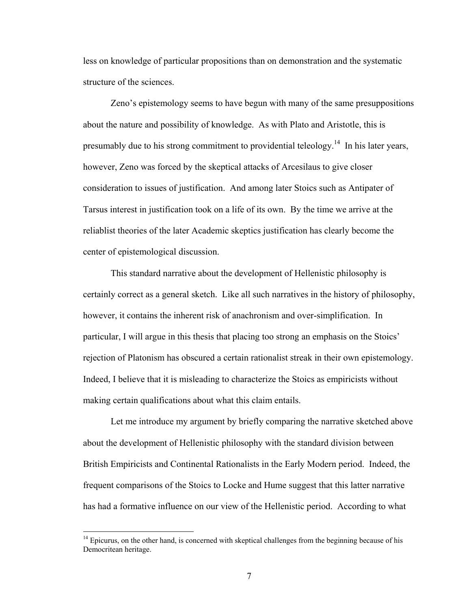less on knowledge of particular propositions than on demonstration and the systematic structure of the sciences.

Zeno's epistemology seems to have begun with many of the same presuppositions about the nature and possibility of knowledge. As with Plato and Aristotle, this is presumably due to his strong commitment to providential teleology.<sup>14</sup> In his later years, however, Zeno was forced by the skeptical attacks of Arcesilaus to give closer consideration to issues of justification. And among later Stoics such as Antipater of Tarsus interest in justification took on a life of its own. By the time we arrive at the reliablist theories of the later Academic skeptics justification has clearly become the center of epistemological discussion.

This standard narrative about the development of Hellenistic philosophy is certainly correct as a general sketch. Like all such narratives in the history of philosophy, however, it contains the inherent risk of anachronism and over-simplification. In particular, I will argue in this thesis that placing too strong an emphasis on the Stoics' rejection of Platonism has obscured a certain rationalist streak in their own epistemology. Indeed, I believe that it is misleading to characterize the Stoics as empiricists without making certain qualifications about what this claim entails.

Let me introduce my argument by briefly comparing the narrative sketched above about the development of Hellenistic philosophy with the standard division between British Empiricists and Continental Rationalists in the Early Modern period. Indeed, the frequent comparisons of the Stoics to Locke and Hume suggest that this latter narrative has had a formative influence on our view of the Hellenistic period. According to what

<span id="page-12-0"></span> $14$  Epicurus, on the other hand, is concerned with skeptical challenges from the beginning because of his Democritean heritage.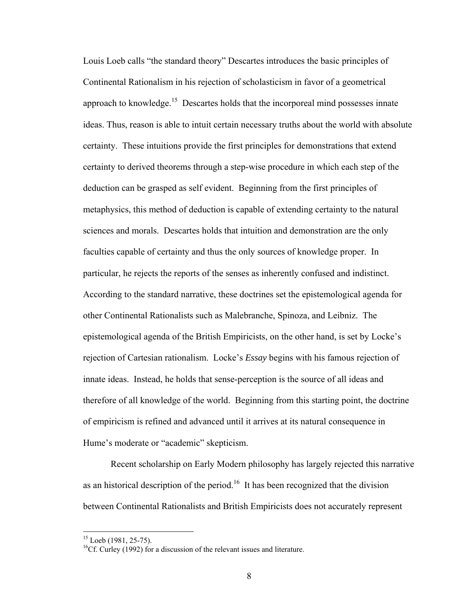Louis Loeb calls "the standard theory" Descartes introduces the basic principles of Continental Rationalism in his rejection of scholasticism in favor of a geometrical approach to knowledge.<sup>15</sup> Descartes holds that the incorporeal mind possesses innate ideas. Thus, reason is able to intuit certain necessary truths about the world with absolute certainty. These intuitions provide the first principles for demonstrations that extend certainty to derived theorems through a step-wise procedure in which each step of the deduction can be grasped as self evident. Beginning from the first principles of metaphysics, this method of deduction is capable of extending certainty to the natural sciences and morals. Descartes holds that intuition and demonstration are the only faculties capable of certainty and thus the only sources of knowledge proper. In particular, he rejects the reports of the senses as inherently confused and indistinct. According to the standard narrative, these doctrines set the epistemological agenda for other Continental Rationalists such as Malebranche, Spinoza, and Leibniz. The epistemological agenda of the British Empiricists, on the other hand, is set by Locke's rejection of Cartesian rationalism. Locke's *Essay* begins with his famous rejection of innate ideas. Instead, he holds that sense-perception is the source of all ideas and therefore of all knowledge of the world. Beginning from this starting point, the doctrine of empiricism is refined and advanced until it arrives at its natural consequence in Hume's moderate or "academic" skepticism.

Recent scholarship on Early Modern philosophy has largely rejected this narrative as an historical description of the period.<sup>16</sup> It has been recognized that the division between Continental Rationalists and British Empiricists does not accurately represent

<span id="page-13-0"></span> $15$  Loeb (1981, 25-75).

<span id="page-13-1"></span> $<sup>16</sup>$ Cf. Curley (1992) for a discussion of the relevant issues and literature.</sup>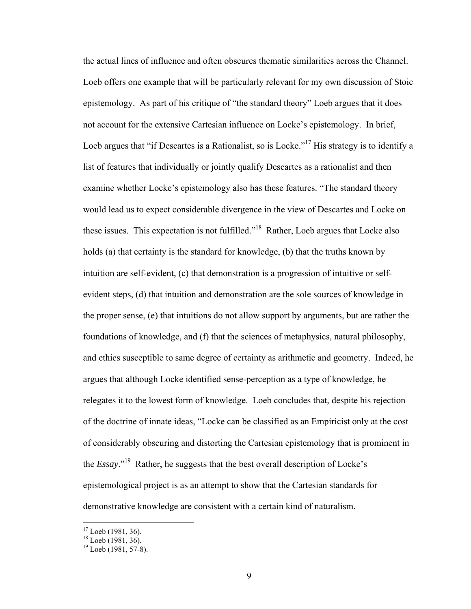the actual lines of influence and often obscures thematic similarities across the Channel. Loeb offers one example that will be particularly relevant for my own discussion of Stoic epistemology. As part of his critique of "the standard theory" Loeb argues that it does not account for the extensive Cartesian influence on Locke's epistemology. In brief, Loeb argues that "if Descartes is a Rationalist, so is Locke."<sup>17</sup> His strategy is to identify a list of features that individually or jointly qualify Descartes as a rationalist and then examine whether Locke's epistemology also has these features. "The standard theory would lead us to expect considerable divergence in the view of Descartes and Locke on these issues. This expectation is not fulfilled.["18](#page-14-1) Rather, Loeb argues that Locke also holds (a) that certainty is the standard for knowledge, (b) that the truths known by intuition are self-evident, (c) that demonstration is a progression of intuitive or selfevident steps, (d) that intuition and demonstration are the sole sources of knowledge in the proper sense, (e) that intuitions do not allow support by arguments, but are rather the foundations of knowledge, and (f) that the sciences of metaphysics, natural philosophy, and ethics susceptible to same degree of certainty as arithmetic and geometry. Indeed, he argues that although Locke identified sense-perception as a type of knowledge, he relegates it to the lowest form of knowledge. Loeb concludes that, despite his rejection of the doctrine of innate ideas, "Locke can be classified as an Empiricist only at the cost of considerably obscuring and distorting the Cartesian epistemology that is prominent in the *Essay*.["19](#page-14-2) Rather, he suggests that the best overall description of Locke's epistemological project is as an attempt to show that the Cartesian standards for demonstrative knowledge are consistent with a certain kind of naturalism.

<span id="page-14-0"></span><sup>&</sup>lt;sup>17</sup> Loeb (1981, 36).<br><sup>18</sup> Loeb (1981, 36).<br><sup>19</sup> Loeb (1981, 57-8).

<span id="page-14-1"></span>

<span id="page-14-2"></span>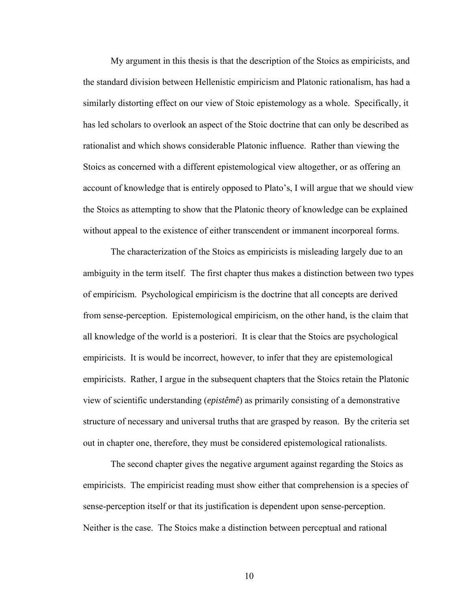My argument in this thesis is that the description of the Stoics as empiricists, and the standard division between Hellenistic empiricism and Platonic rationalism, has had a similarly distorting effect on our view of Stoic epistemology as a whole. Specifically, it has led scholars to overlook an aspect of the Stoic doctrine that can only be described as rationalist and which shows considerable Platonic influence. Rather than viewing the Stoics as concerned with a different epistemological view altogether, or as offering an account of knowledge that is entirely opposed to Plato's, I will argue that we should view the Stoics as attempting to show that the Platonic theory of knowledge can be explained without appeal to the existence of either transcendent or immanent incorporeal forms.

The characterization of the Stoics as empiricists is misleading largely due to an ambiguity in the term itself. The first chapter thus makes a distinction between two types of empiricism. Psychological empiricism is the doctrine that all concepts are derived from sense-perception. Epistemological empiricism, on the other hand, is the claim that all knowledge of the world is a posteriori. It is clear that the Stoics are psychological empiricists. It is would be incorrect, however, to infer that they are epistemological empiricists. Rather, I argue in the subsequent chapters that the Stoics retain the Platonic view of scientific understanding (*epistêmê*) as primarily consisting of a demonstrative structure of necessary and universal truths that are grasped by reason. By the criteria set out in chapter one, therefore, they must be considered epistemological rationalists.

The second chapter gives the negative argument against regarding the Stoics as empiricists. The empiricist reading must show either that comprehension is a species of sense-perception itself or that its justification is dependent upon sense-perception. Neither is the case. The Stoics make a distinction between perceptual and rational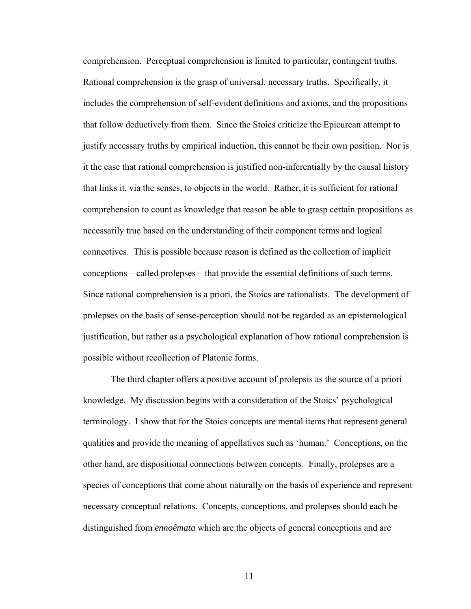comprehension. Perceptual comprehension is limited to particular, contingent truths. Rational comprehension is the grasp of universal, necessary truths. Specifically, it includes the comprehension of self-evident definitions and axioms, and the propositions that follow deductively from them. Since the Stoics criticize the Epicurean attempt to justify necessary truths by empirical induction, this cannot be their own position. Nor is it the case that rational comprehension is justified non-inferentially by the causal history that links it, via the senses, to objects in the world. Rather, it is sufficient for rational comprehension to count as knowledge that reason be able to grasp certain propositions as necessarily true based on the understanding of their component terms and logical connectives. This is possible because reason is defined as the collection of implicit conceptions – called prolepses – that provide the essential definitions of such terms. Since rational comprehension is a priori, the Stoics are rationalists. The development of prolepses on the basis of sense-perception should not be regarded as an epistemological justification, but rather as a psychological explanation of how rational comprehension is possible without recollection of Platonic forms.

The third chapter offers a positive account of prolepsis as the source of a priori knowledge. My discussion begins with a consideration of the Stoics' psychological terminology. I show that for the Stoics concepts are mental items that represent general qualities and provide the meaning of appellatives such as 'human.' Conceptions, on the other hand, are dispositional connections between concepts. Finally, prolepses are a species of conceptions that come about naturally on the basis of experience and represent necessary conceptual relations. Concepts, conceptions, and prolepses should each be distinguished from *ennoêmata* which are the objects of general conceptions and are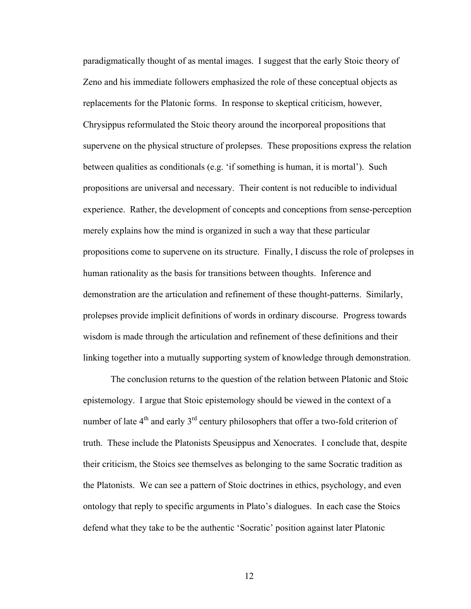paradigmatically thought of as mental images. I suggest that the early Stoic theory of Zeno and his immediate followers emphasized the role of these conceptual objects as replacements for the Platonic forms. In response to skeptical criticism, however, Chrysippus reformulated the Stoic theory around the incorporeal propositions that supervene on the physical structure of prolepses. These propositions express the relation between qualities as conditionals (e.g. 'if something is human, it is mortal'). Such propositions are universal and necessary. Their content is not reducible to individual experience. Rather, the development of concepts and conceptions from sense-perception merely explains how the mind is organized in such a way that these particular propositions come to supervene on its structure. Finally, I discuss the role of prolepses in human rationality as the basis for transitions between thoughts. Inference and demonstration are the articulation and refinement of these thought-patterns. Similarly, prolepses provide implicit definitions of words in ordinary discourse. Progress towards wisdom is made through the articulation and refinement of these definitions and their linking together into a mutually supporting system of knowledge through demonstration.

The conclusion returns to the question of the relation between Platonic and Stoic epistemology. I argue that Stoic epistemology should be viewed in the context of a number of late  $4<sup>th</sup>$  and early  $3<sup>rd</sup>$  century philosophers that offer a two-fold criterion of truth. These include the Platonists Speusippus and Xenocrates. I conclude that, despite their criticism, the Stoics see themselves as belonging to the same Socratic tradition as the Platonists. We can see a pattern of Stoic doctrines in ethics, psychology, and even ontology that reply to specific arguments in Plato's dialogues. In each case the Stoics defend what they take to be the authentic 'Socratic' position against later Platonic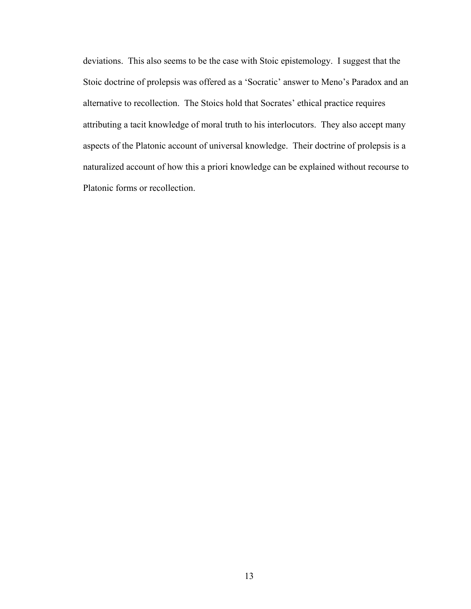deviations. This also seems to be the case with Stoic epistemology. I suggest that the Stoic doctrine of prolepsis was offered as a 'Socratic' answer to Meno's Paradox and an alternative to recollection. The Stoics hold that Socrates' ethical practice requires attributing a tacit knowledge of moral truth to his interlocutors. They also accept many aspects of the Platonic account of universal knowledge. Their doctrine of prolepsis is a naturalized account of how this a priori knowledge can be explained without recourse to Platonic forms or recollection.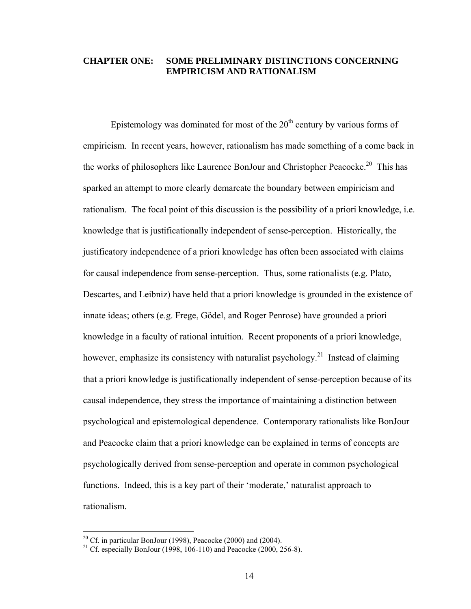#### **CHAPTER ONE: SOME PRELIMINARY DISTINCTIONS CONCERNING EMPIRICISM AND RATIONALISM**

Epistemology was dominated for most of the  $20<sup>th</sup>$  century by various forms of empiricism. In recent years, however, rationalism has made something of a come back in the works of philosophers like Laurence BonJour and Christopher Peacocke.<sup>20</sup> This has sparked an attempt to more clearly demarcate the boundary between empiricism and rationalism. The focal point of this discussion is the possibility of a priori knowledge, i.e. knowledge that is justificationally independent of sense-perception. Historically, the justificatory independence of a priori knowledge has often been associated with claims for causal independence from sense-perception. Thus, some rationalists (e.g. Plato, Descartes, and Leibniz) have held that a priori knowledge is grounded in the existence of innate ideas; others (e.g. Frege, Gödel, and Roger Penrose) have grounded a priori knowledge in a faculty of rational intuition. Recent proponents of a priori knowledge, however, emphasize its consistency with naturalist psychology.<sup>21</sup> Instead of claiming that a priori knowledge is justificationally independent of sense-perception because of its causal independence, they stress the importance of maintaining a distinction between psychological and epistemological dependence. Contemporary rationalists like BonJour and Peacocke claim that a priori knowledge can be explained in terms of concepts are psychologically derived from sense-perception and operate in common psychological functions. Indeed, this is a key part of their 'moderate,' naturalist approach to rationalism.

<span id="page-19-0"></span><sup>&</sup>lt;sup>20</sup> Cf. in particular BonJour (1998), Peacocke (2000) and (2004).<br><sup>21</sup> Cf. especially BonJour (1998, 106-110) and Peacocke (2000, 256-8).

<span id="page-19-1"></span>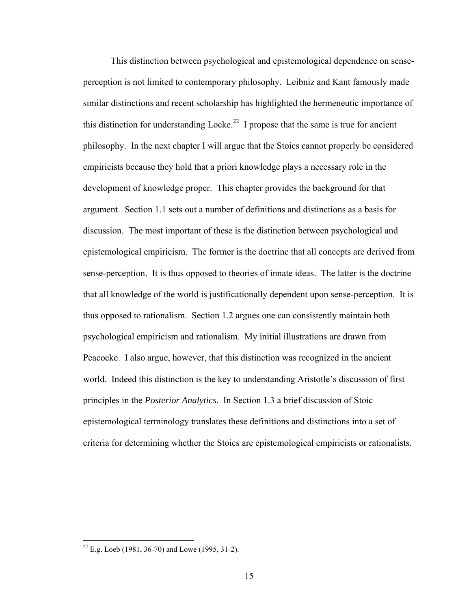This distinction between psychological and epistemological dependence on senseperception is not limited to contemporary philosophy. Leibniz and Kant famously made similar distinctions and recent scholarship has highlighted the hermeneutic importance of this distinction for understanding Locke.<sup>22</sup> I propose that the same is true for ancient philosophy. In the next chapter I will argue that the Stoics cannot properly be considered empiricists because they hold that a priori knowledge plays a necessary role in the development of knowledge proper. This chapter provides the background for that argument. Section 1.1 sets out a number of definitions and distinctions as a basis for discussion. The most important of these is the distinction between psychological and epistemological empiricism. The former is the doctrine that all concepts are derived from sense-perception. It is thus opposed to theories of innate ideas. The latter is the doctrine that all knowledge of the world is justificationally dependent upon sense-perception. It is thus opposed to rationalism. Section 1.2 argues one can consistently maintain both psychological empiricism and rationalism. My initial illustrations are drawn from Peacocke. I also argue, however, that this distinction was recognized in the ancient world. Indeed this distinction is the key to understanding Aristotle's discussion of first principles in the *Posterior Analytics*. In Section 1.3 a brief discussion of Stoic epistemological terminology translates these definitions and distinctions into a set of criteria for determining whether the Stoics are epistemological empiricists or rationalists.

<span id="page-20-0"></span> $22$  E.g. Loeb (1981, 36-70) and Lowe (1995, 31-2).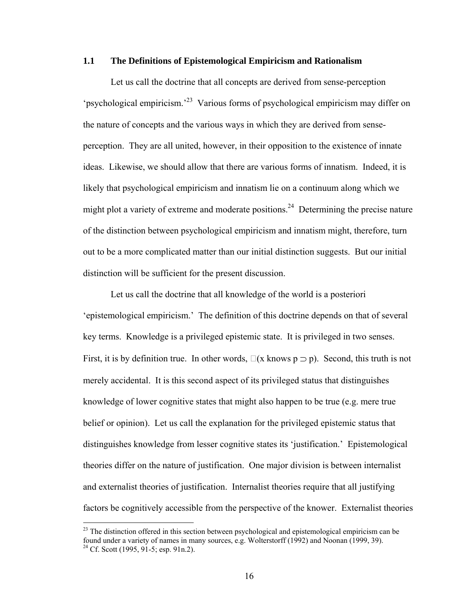#### **1.1 The Definitions of Epistemological Empiricism and Rationalism**

Let us call the doctrine that all concepts are derived from sense-perception 'psychological empiricism.'[23](#page-21-0) Various forms of psychological empiricism may differ on the nature of concepts and the various ways in which they are derived from senseperception. They are all united, however, in their opposition to the existence of innate ideas. Likewise, we should allow that there are various forms of innatism. Indeed, it is likely that psychological empiricism and innatism lie on a continuum along which we might plot a variety of extreme and moderate positions.<sup>24</sup> Determining the precise nature of the distinction between psychological empiricism and innatism might, therefore, turn out to be a more complicated matter than our initial distinction suggests. But our initial distinction will be sufficient for the present discussion.

Let us call the doctrine that all knowledge of the world is a posteriori 'epistemological empiricism.' The definition of this doctrine depends on that of several key terms. Knowledge is a privileged epistemic state. It is privileged in two senses. First, it is by definition true. In other words,  $\Box(x \text{ knows } p \supset p)$ . Second, this truth is not merely accidental. It is this second aspect of its privileged status that distinguishes knowledge of lower cognitive states that might also happen to be true (e.g. mere true belief or opinion). Let us call the explanation for the privileged epistemic status that distinguishes knowledge from lesser cognitive states its 'justification.' Epistemological theories differ on the nature of justification. One major division is between internalist and externalist theories of justification. Internalist theories require that all justifying factors be cognitively accessible from the perspective of the knower. Externalist theories

<span id="page-21-1"></span><span id="page-21-0"></span> $^{23}$  The distinction offered in this section between psychological and epistemological empiricism can be found under a variety of names in many sources, e.g. Wolterstorff (1992) and Noonan (1999, 39). <sup>24</sup> Cf. Scott (1995, 91-5; esp. 91n.2).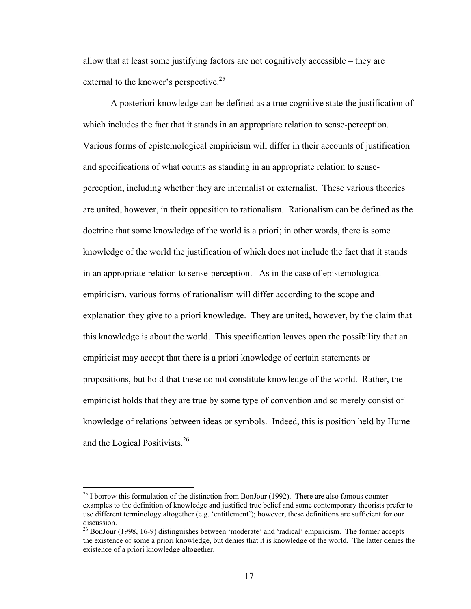allow that at least some justifying factors are not cognitively accessible – they are external to the knower's perspective.<sup>25</sup>

A posteriori knowledge can be defined as a true cognitive state the justification of which includes the fact that it stands in an appropriate relation to sense-perception. Various forms of epistemological empiricism will differ in their accounts of justification and specifications of what counts as standing in an appropriate relation to senseperception, including whether they are internalist or externalist. These various theories are united, however, in their opposition to rationalism. Rationalism can be defined as the doctrine that some knowledge of the world is a priori; in other words, there is some knowledge of the world the justification of which does not include the fact that it stands in an appropriate relation to sense-perception. As in the case of epistemological empiricism, various forms of rationalism will differ according to the scope and explanation they give to a priori knowledge. They are united, however, by the claim that this knowledge is about the world. This specification leaves open the possibility that an empiricist may accept that there is a priori knowledge of certain statements or propositions, but hold that these do not constitute knowledge of the world. Rather, the empiricist holds that they are true by some type of convention and so merely consist of knowledge of relations between ideas or symbols. Indeed, this is position held by Hume and the Logical Positivists.<sup>26</sup>

<span id="page-22-0"></span><sup>&</sup>lt;sup>25</sup> I borrow this formulation of the distinction from BonJour (1992). There are also famous counterexamples to the definition of knowledge and justified true belief and some contemporary theorists prefer to use different terminology altogether (e.g. 'entitlement'); however, these definitions are sufficient for our

<span id="page-22-1"></span> $^{26}$  BonJour (1998, 16-9) distinguishes between 'moderate' and 'radical' empiricism. The former accepts the existence of some a priori knowledge, but denies that it is knowledge of the world. The latter denies the existence of a priori knowledge altogether.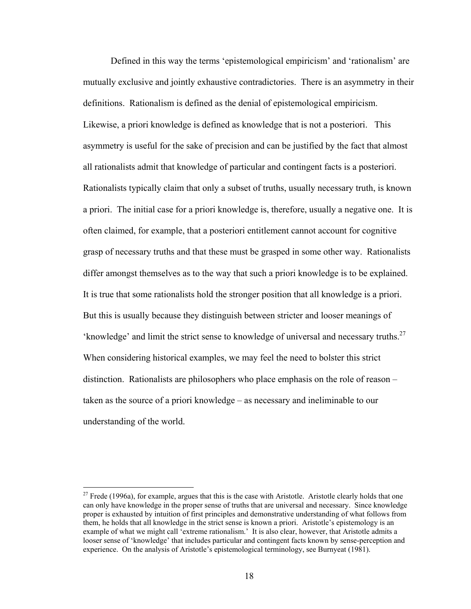Defined in this way the terms 'epistemological empiricism' and 'rationalism' are mutually exclusive and jointly exhaustive contradictories. There is an asymmetry in their definitions. Rationalism is defined as the denial of epistemological empiricism. Likewise, a priori knowledge is defined as knowledge that is not a posteriori. This asymmetry is useful for the sake of precision and can be justified by the fact that almost all rationalists admit that knowledge of particular and contingent facts is a posteriori. Rationalists typically claim that only a subset of truths, usually necessary truth, is known a priori. The initial case for a priori knowledge is, therefore, usually a negative one. It is often claimed, for example, that a posteriori entitlement cannot account for cognitive grasp of necessary truths and that these must be grasped in some other way. Rationalists differ amongst themselves as to the way that such a priori knowledge is to be explained. It is true that some rationalists hold the stronger position that all knowledge is a priori. But this is usually because they distinguish between stricter and looser meanings of 'knowledge' and limit the strict sense to knowledge of universal and necessary truths.<sup>[27](#page-23-0)</sup> When considering historical examples, we may feel the need to bolster this strict distinction. Rationalists are philosophers who place emphasis on the role of reason – taken as the source of a priori knowledge – as necessary and ineliminable to our understanding of the world.

<span id="page-23-0"></span> $27$  Frede (1996a), for example, argues that this is the case with Aristotle. Aristotle clearly holds that one can only have knowledge in the proper sense of truths that are universal and necessary. Since knowledge proper is exhausted by intuition of first principles and demonstrative understanding of what follows from them, he holds that all knowledge in the strict sense is known a priori. Aristotle's epistemology is an example of what we might call 'extreme rationalism.' It is also clear, however, that Aristotle admits a looser sense of 'knowledge' that includes particular and contingent facts known by sense-perception and experience. On the analysis of Aristotle's epistemological terminology, see Burnyeat (1981).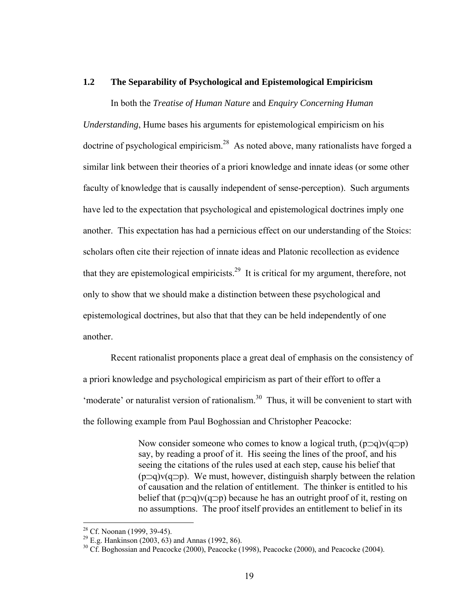#### **1.2 The Separability of Psychological and Epistemological Empiricism**

In both the *Treatise of Human Nature* and *Enquiry Concerning Human* 

*Understanding*, Hume bases his arguments for epistemological empiricism on his doctrine of psychological empiricism.<sup>28</sup> As noted above, many rationalists have forged a similar link between their theories of a priori knowledge and innate ideas (or some other faculty of knowledge that is causally independent of sense-perception). Such arguments have led to the expectation that psychological and epistemological doctrines imply one another. This expectation has had a pernicious effect on our understanding of the Stoics: scholars often cite their rejection of innate ideas and Platonic recollection as evidence that they are epistemological empiricists.<sup>29</sup> It is critical for my argument, therefore, not only to show that we should make a distinction between these psychological and epistemological doctrines, but also that that they can be held independently of one another.

Recent rationalist proponents place a great deal of emphasis on the consistency of a priori knowledge and psychological empiricism as part of their effort to offer a 'moderate' or naturalist version of rationalism.<sup>30</sup> Thus, it will be convenient to start with the following example from Paul Boghossian and Christopher Peacocke:

> Now consider someone who comes to know a logical truth,  $(p\supset q)v(q\supset p)$ say, by reading a proof of it. His seeing the lines of the proof, and his seeing the citations of the rules used at each step, cause his belief that  $(p\supset q)v(q\supset p)$ . We must, however, distinguish sharply between the relation of causation and the relation of entitlement. The thinker is entitled to his belief that (p⊃q)v(q⊃p) because he has an outright proof of it, resting on no assumptions. The proof itself provides an entitlement to belief in its

<span id="page-24-2"></span><span id="page-24-1"></span>

<span id="page-24-0"></span><sup>&</sup>lt;sup>28</sup> Cf. Noonan (1999, 39-45).<br><sup>29</sup> E.g. Hankinson (2003, 63) and Annas (1992, 86).<br><sup>30</sup> Cf. Boghossian and Peacocke (2000), Peacocke (1998), Peacocke (2000), and Peacocke (2004).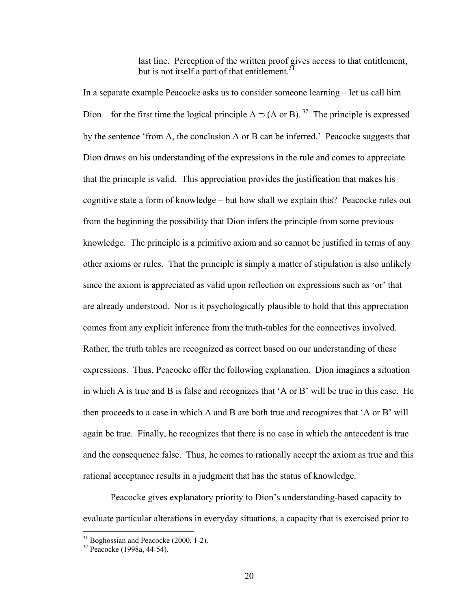last line. Perception of the written proof gives access to that entitlement, but is not itself a part of that entitlement  $31$ 

In a separate example Peacocke asks us to consider someone learning – let us call him Dion – for the first time the logical principle A  $\supset$  (A or B).<sup>32</sup> The principle is expressed by the sentence 'from A, the conclusion A or B can be inferred.' Peacocke suggests that Dion draws on his understanding of the expressions in the rule and comes to appreciate that the principle is valid. This appreciation provides the justification that makes his cognitive state a form of knowledge – but how shall we explain this? Peacocke rules out from the beginning the possibility that Dion infers the principle from some previous knowledge. The principle is a primitive axiom and so cannot be justified in terms of any other axioms or rules. That the principle is simply a matter of stipulation is also unlikely since the axiom is appreciated as valid upon reflection on expressions such as 'or' that are already understood. Nor is it psychologically plausible to hold that this appreciation comes from any explicit inference from the truth-tables for the connectives involved. Rather, the truth tables are recognized as correct based on our understanding of these expressions. Thus, Peacocke offer the following explanation. Dion imagines a situation in which A is true and B is false and recognizes that 'A or B' will be true in this case. He then proceeds to a case in which A and B are both true and recognizes that 'A or B' will again be true. Finally, he recognizes that there is no case in which the antecedent is true and the consequence false. Thus, he comes to rationally accept the axiom as true and this rational acceptance results in a judgment that has the status of knowledge.

Peacocke gives explanatory priority to Dion's understanding-based capacity to evaluate particular alterations in everyday situations, a capacity that is exercised prior to

<span id="page-25-0"></span><sup>&</sup>lt;sup>31</sup> Boghossian and Peacocke (2000, 1-2).<br><sup>32</sup> Peacocke (1998a, 44-54).

<span id="page-25-1"></span>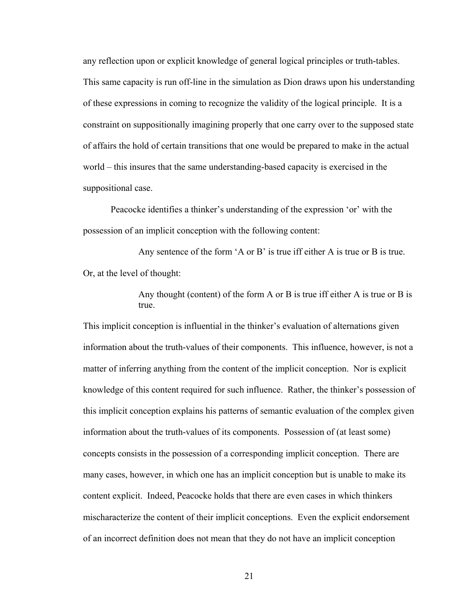any reflection upon or explicit knowledge of general logical principles or truth-tables. This same capacity is run off-line in the simulation as Dion draws upon his understanding of these expressions in coming to recognize the validity of the logical principle. It is a constraint on suppositionally imagining properly that one carry over to the supposed state of affairs the hold of certain transitions that one would be prepared to make in the actual world – this insures that the same understanding-based capacity is exercised in the suppositional case.

Peacocke identifies a thinker's understanding of the expression 'or' with the possession of an implicit conception with the following content:

Any sentence of the form 'A or B' is true iff either A is true or B is true. Or, at the level of thought:

> Any thought (content) of the form A or B is true iff either A is true or B is true.

This implicit conception is influential in the thinker's evaluation of alternations given information about the truth-values of their components. This influence, however, is not a matter of inferring anything from the content of the implicit conception. Nor is explicit knowledge of this content required for such influence. Rather, the thinker's possession of this implicit conception explains his patterns of semantic evaluation of the complex given information about the truth-values of its components. Possession of (at least some) concepts consists in the possession of a corresponding implicit conception. There are many cases, however, in which one has an implicit conception but is unable to make its content explicit. Indeed, Peacocke holds that there are even cases in which thinkers mischaracterize the content of their implicit conceptions. Even the explicit endorsement of an incorrect definition does not mean that they do not have an implicit conception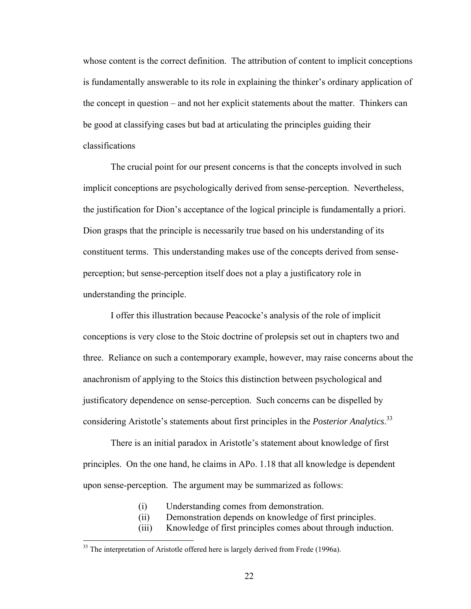whose content is the correct definition. The attribution of content to implicit conceptions is fundamentally answerable to its role in explaining the thinker's ordinary application of the concept in question – and not her explicit statements about the matter. Thinkers can be good at classifying cases but bad at articulating the principles guiding their classifications

The crucial point for our present concerns is that the concepts involved in such implicit conceptions are psychologically derived from sense-perception. Nevertheless, the justification for Dion's acceptance of the logical principle is fundamentally a priori. Dion grasps that the principle is necessarily true based on his understanding of its constituent terms. This understanding makes use of the concepts derived from senseperception; but sense-perception itself does not a play a justificatory role in understanding the principle.

I offer this illustration because Peacocke's analysis of the role of implicit conceptions is very close to the Stoic doctrine of prolepsis set out in chapters two and three. Reliance on such a contemporary example, however, may raise concerns about the anachronism of applying to the Stoics this distinction between psychological and justificatory dependence on sense-perception. Such concerns can be dispelled by considering Aristotle's statements about first principles in the *Posterior Analytics*. [33](#page-27-0) 

There is an initial paradox in Aristotle's statement about knowledge of first principles. On the one hand, he claims in APo. 1.18 that all knowledge is dependent upon sense-perception. The argument may be summarized as follows:

- (i) Understanding comes from demonstration.
- (ii) Demonstration depends on knowledge of first principles.
- (iii) Knowledge of first principles comes about through induction.

<u>.</u>

<span id="page-27-0"></span> $33$  The interpretation of Aristotle offered here is largely derived from Frede (1996a).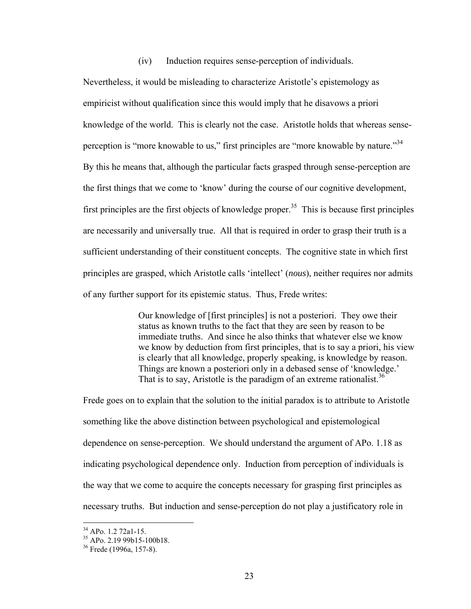(iv) Induction requires sense-perception of individuals.

Nevertheless, it would be misleading to characterize Aristotle's epistemology as empiricist without qualification since this would imply that he disavows a priori knowledge of the world. This is clearly not the case. Aristotle holds that whereas senseperception is "more knowable to us," first principles are "more knowable by nature."<sup>34</sup> By this he means that, although the particular facts grasped through sense-perception are the first things that we come to 'know' during the course of our cognitive development, first principles are the first objects of knowledge proper.<sup>35</sup> This is because first principles are necessarily and universally true. All that is required in order to grasp their truth is a sufficient understanding of their constituent concepts. The cognitive state in which first principles are grasped, which Aristotle calls 'intellect' (*nous*), neither requires nor admits of any further support for its epistemic status. Thus, Frede writes:

> Our knowledge of [first principles] is not a posteriori. They owe their status as known truths to the fact that they are seen by reason to be immediate truths. And since he also thinks that whatever else we know we know by deduction from first principles, that is to say a priori, his view is clearly that all knowledge, properly speaking, is knowledge by reason. Things are known a posteriori only in a debased sense of 'knowledge.' That is to say, Aristotle is the paradigm of an extreme rationalist.<sup>[36](#page-28-2)</sup>

Frede goes on to explain that the solution to the initial paradox is to attribute to Aristotle something like the above distinction between psychological and epistemological dependence on sense-perception. We should understand the argument of APo. 1.18 as indicating psychological dependence only. Induction from perception of individuals is the way that we come to acquire the concepts necessary for grasping first principles as necessary truths. But induction and sense-perception do not play a justificatory role in

<span id="page-28-1"></span><span id="page-28-0"></span>

<sup>&</sup>lt;sup>34</sup> APo. 1.2 72a1-15.<br><sup>35</sup> APo. 2.19 99b15-100b18.<br><sup>36</sup> Frede (1996a, 157-8).

<span id="page-28-2"></span>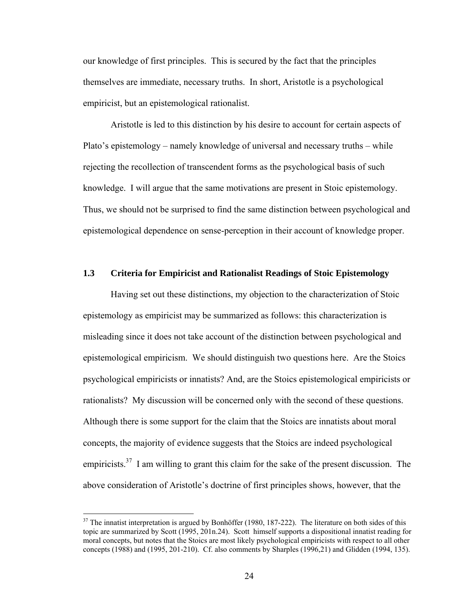our knowledge of first principles. This is secured by the fact that the principles themselves are immediate, necessary truths. In short, Aristotle is a psychological empiricist, but an epistemological rationalist.

Aristotle is led to this distinction by his desire to account for certain aspects of Plato's epistemology – namely knowledge of universal and necessary truths – while rejecting the recollection of transcendent forms as the psychological basis of such knowledge. I will argue that the same motivations are present in Stoic epistemology. Thus, we should not be surprised to find the same distinction between psychological and epistemological dependence on sense-perception in their account of knowledge proper.

#### **1.3 Criteria for Empiricist and Rationalist Readings of Stoic Epistemology**

Having set out these distinctions, my objection to the characterization of Stoic epistemology as empiricist may be summarized as follows: this characterization is misleading since it does not take account of the distinction between psychological and epistemological empiricism. We should distinguish two questions here. Are the Stoics psychological empiricists or innatists? And, are the Stoics epistemological empiricists or rationalists? My discussion will be concerned only with the second of these questions. Although there is some support for the claim that the Stoics are innatists about moral concepts, the majority of evidence suggests that the Stoics are indeed psychological empiricists.<sup>37</sup> I am willing to grant this claim for the sake of the present discussion. The above consideration of Aristotle's doctrine of first principles shows, however, that the

<span id="page-29-0"></span> $37$  The innatist interpretation is argued by Bonhöffer (1980, 187-222). The literature on both sides of this topic are summarized by Scott (1995, 201n.24). Scott himself supports a dispositional innatist reading for moral concepts, but notes that the Stoics are most likely psychological empiricists with respect to all other concepts (1988) and (1995, 201-210). Cf. also comments by Sharples (1996,21) and Glidden (1994, 135).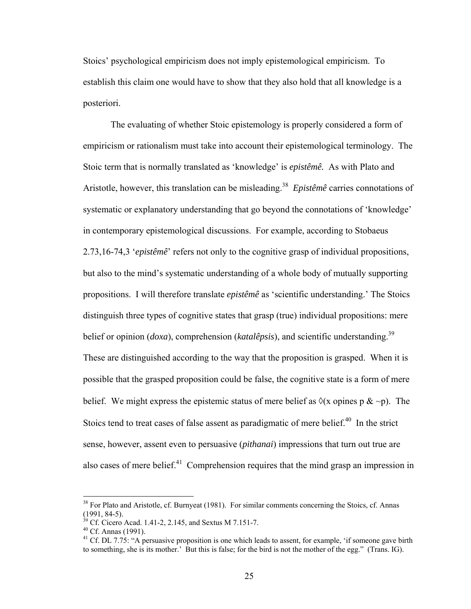Stoics' psychological empiricism does not imply epistemological empiricism. To establish this claim one would have to show that they also hold that all knowledge is a posteriori.

The evaluating of whether Stoic epistemology is properly considered a form of empiricism or rationalism must take into account their epistemological terminology. The Stoic term that is normally translated as 'knowledge' is *epistêmê.* As with Plato and Aristotle, however, this translation can be misleading.<sup>38</sup> *Epistêmê* carries connotations of systematic or explanatory understanding that go beyond the connotations of 'knowledge' in contemporary epistemological discussions. For example, according to Stobaeus 2.73,16-74,3 '*epistêmê*' refers not only to the cognitive grasp of individual propositions, but also to the mind's systematic understanding of a whole body of mutually supporting propositions. I will therefore translate *epistêmê* as 'scientific understanding.' The Stoics distinguish three types of cognitive states that grasp (true) individual propositions: mere belief or opinion (*doxa*), comprehension (*katalêpsis*), and scientific understanding.<sup>39</sup> These are distinguished according to the way that the proposition is grasped. When it is possible that the grasped proposition could be false, the cognitive state is a form of mere belief. We might express the epistemic status of mere belief as  $\Diamond$ (x opines p & ~p). The Stoics tend to treat cases of false assent as paradigmatic of mere belief. $40$  In the strict sense, however, assent even to persuasive (*pithanai*) impressions that turn out true are also cases of mere belief.<sup>41</sup> Comprehension requires that the mind grasp an impression in

<span id="page-30-0"></span><sup>&</sup>lt;sup>38</sup> For Plato and Aristotle, cf. Burnyeat (1981). For similar comments concerning the Stoics, cf. Annas (1991, 84-5).<br><sup>39</sup> Cf. Cicero Acad. 1.41-2, 2.145, and Sextus M 7.151-7.<br><sup>40</sup> Cf. Annas (1991).<br><sup>41</sup> Cf. DL 7.75: "A persuasive proposition is one which leads to assent, for example, 'if someone gave birth

<span id="page-30-1"></span>

<span id="page-30-2"></span>

<span id="page-30-3"></span>to something, she is its mother.' But this is false; for the bird is not the mother of the egg." (Trans. IG).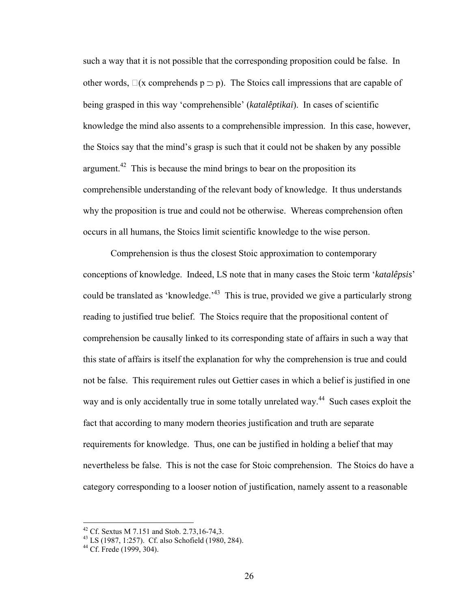such a way that it is not possible that the corresponding proposition could be false. In other words,  $\Box(x$  comprehends  $p \supset p$ ). The Stoics call impressions that are capable of being grasped in this way 'comprehensible' (*katalêptikai*). In cases of scientific knowledge the mind also assents to a comprehensible impression. In this case, however, the Stoics say that the mind's grasp is such that it could not be shaken by any possible argument.<sup>42</sup> This is because the mind brings to bear on the proposition its comprehensible understanding of the relevant body of knowledge. It thus understands why the proposition is true and could not be otherwise. Whereas comprehension often occurs in all humans, the Stoics limit scientific knowledge to the wise person.

Comprehension is thus the closest Stoic approximation to contemporary conceptions of knowledge. Indeed, LS note that in many cases the Stoic term '*katalêpsis*' could be translated as 'knowledge.<sup>43</sup> This is true, provided we give a particularly strong reading to justified true belief. The Stoics require that the propositional content of comprehension be causally linked to its corresponding state of affairs in such a way that this state of affairs is itself the explanation for why the comprehension is true and could not be false. This requirement rules out Gettier cases in which a belief is justified in one way and is only accidentally true in some totally unrelated way.<sup>44</sup> Such cases exploit the fact that according to many modern theories justification and truth are separate requirements for knowledge. Thus, one can be justified in holding a belief that may nevertheless be false. This is not the case for Stoic comprehension. The Stoics do have a category corresponding to a looser notion of justification, namely assent to a reasonable

<span id="page-31-1"></span><span id="page-31-0"></span>

<sup>&</sup>lt;sup>42</sup> Cf. Sextus M 7.151 and Stob. 2.73,16-74,3.<br><sup>43</sup> LS (1987, 1:257). Cf. also Schofield (1980, 284).<br><sup>44</sup> Cf. Frede (1999, 304).

<span id="page-31-2"></span>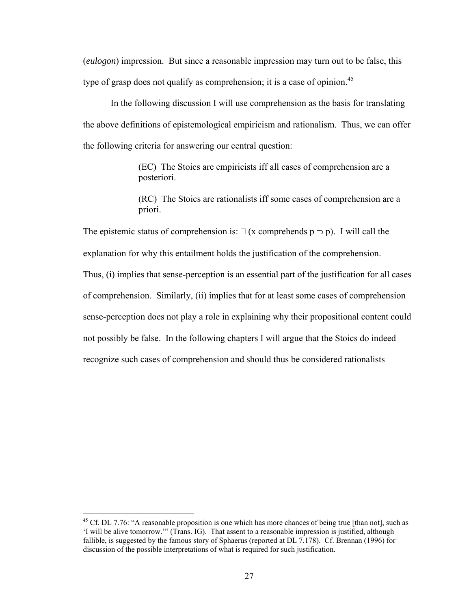(*eulogon*) impression. But since a reasonable impression may turn out to be false, this type of grasp does not qualify as comprehension; it is a case of opinion.<sup>45</sup>

In the following discussion I will use comprehension as the basis for translating the above definitions of epistemological empiricism and rationalism. Thus, we can offer the following criteria for answering our central question:

> (EC) The Stoics are empiricists iff all cases of comprehension are a posteriori.

(RC) The Stoics are rationalists iff some cases of comprehension are a priori.

The epistemic status of comprehension is:  $\Box$  (x comprehends  $p \supset p$ ). I will call the explanation for why this entailment holds the justification of the comprehension. Thus, (i) implies that sense-perception is an essential part of the justification for all cases of comprehension. Similarly, (ii) implies that for at least some cases of comprehension sense-perception does not play a role in explaining why their propositional content could not possibly be false. In the following chapters I will argue that the Stoics do indeed recognize such cases of comprehension and should thus be considered rationalists

<span id="page-32-0"></span> $45$  Cf. DL 7.76: "A reasonable proposition is one which has more chances of being true [than not], such as 'I will be alive tomorrow.'" (Trans. IG). That assent to a reasonable impression is justified, although fallible, is suggested by the famous story of Sphaerus (reported at DL 7.178). Cf. Brennan (1996) for discussion of the possible interpretations of what is required for such justification.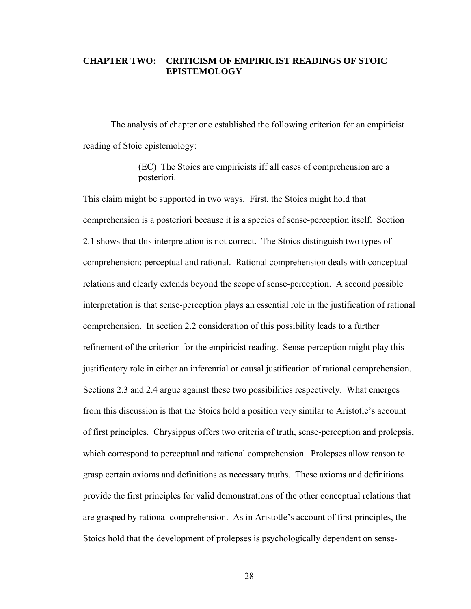#### **CHAPTER TWO: CRITICISM OF EMPIRICIST READINGS OF STOIC EPISTEMOLOGY**

The analysis of chapter one established the following criterion for an empiricist reading of Stoic epistemology:

> (EC) The Stoics are empiricists iff all cases of comprehension are a posteriori.

This claim might be supported in two ways. First, the Stoics might hold that comprehension is a posteriori because it is a species of sense-perception itself. Section 2.1 shows that this interpretation is not correct. The Stoics distinguish two types of comprehension: perceptual and rational. Rational comprehension deals with conceptual relations and clearly extends beyond the scope of sense-perception. A second possible interpretation is that sense-perception plays an essential role in the justification of rational comprehension. In section 2.2 consideration of this possibility leads to a further refinement of the criterion for the empiricist reading. Sense-perception might play this justificatory role in either an inferential or causal justification of rational comprehension. Sections 2.3 and 2.4 argue against these two possibilities respectively. What emerges from this discussion is that the Stoics hold a position very similar to Aristotle's account of first principles. Chrysippus offers two criteria of truth, sense-perception and prolepsis, which correspond to perceptual and rational comprehension. Prolepses allow reason to grasp certain axioms and definitions as necessary truths. These axioms and definitions provide the first principles for valid demonstrations of the other conceptual relations that are grasped by rational comprehension. As in Aristotle's account of first principles, the Stoics hold that the development of prolepses is psychologically dependent on sense-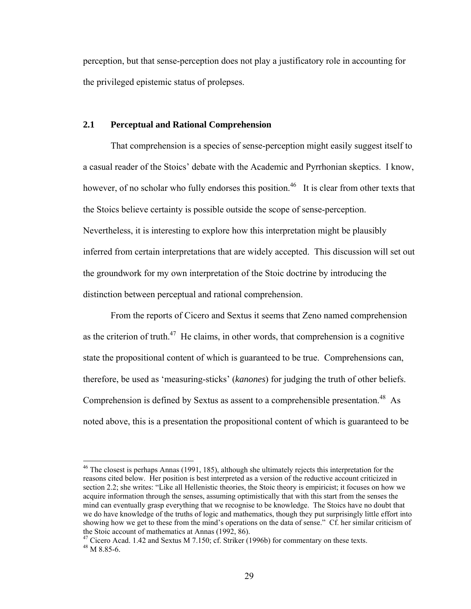perception, but that sense-perception does not play a justificatory role in accounting for the privileged epistemic status of prolepses.

#### **2.1 Perceptual and Rational Comprehension**

That comprehension is a species of sense-perception might easily suggest itself to a casual reader of the Stoics' debate with the Academic and Pyrrhonian skeptics. I know, however, of no scholar who fully endorses this position.<sup>46</sup> It is clear from other texts that the Stoics believe certainty is possible outside the scope of sense-perception. Nevertheless, it is interesting to explore how this interpretation might be plausibly inferred from certain interpretations that are widely accepted. This discussion will set out the groundwork for my own interpretation of the Stoic doctrine by introducing the distinction between perceptual and rational comprehension.

From the reports of Cicero and Sextus it seems that Zeno named comprehension as the criterion of truth.<sup>47</sup> He claims, in other words, that comprehension is a cognitive state the propositional content of which is guaranteed to be true. Comprehensions can, therefore, be used as 'measuring-sticks' (*kanones*) for judging the truth of other beliefs. Comprehension is defined by Sextus as assent to a comprehensible presentation.<sup>48</sup> As noted above, this is a presentation the propositional content of which is guaranteed to be

<span id="page-34-0"></span> $46$  The closest is perhaps Annas (1991, 185), although she ultimately rejects this interpretation for the reasons cited below. Her position is best interpreted as a version of the reductive account criticized in section 2.2; she writes: "Like all Hellenistic theories, the Stoic theory is empiricist; it focuses on how we acquire information through the senses, assuming optimistically that with this start from the senses the mind can eventually grasp everything that we recognise to be knowledge. The Stoics have no doubt that we do have knowledge of the truths of logic and mathematics, though they put surprisingly little effort into showing how we get to these from the mind's operations on the data of sense." Cf. her similar criticism of

<span id="page-34-2"></span><span id="page-34-1"></span>the Stoic account of mathematics at Annas (1992, 86).<br><sup>47</sup> Cicero Acad. 1.42 and Sextus M 7.150; cf. Striker (1996b) for commentary on these texts.<br><sup>48</sup> M 8.85-6.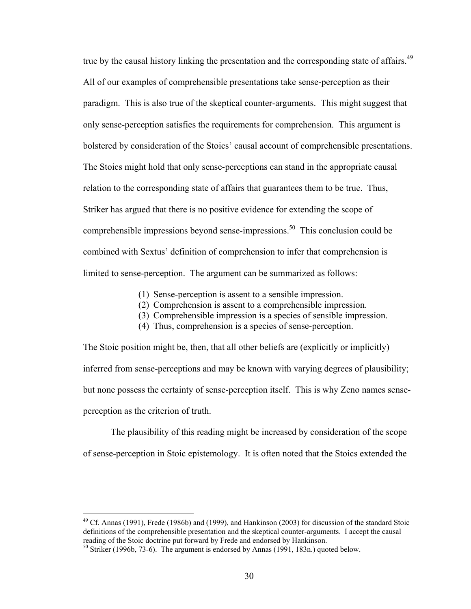true by the causal history linking the presentation and the corresponding state of affairs.<sup>49</sup> All of our examples of comprehensible presentations take sense-perception as their paradigm. This is also true of the skeptical counter-arguments. This might suggest that only sense-perception satisfies the requirements for comprehension. This argument is bolstered by consideration of the Stoics' causal account of comprehensible presentations. The Stoics might hold that only sense-perceptions can stand in the appropriate causal relation to the corresponding state of affairs that guarantees them to be true. Thus, Striker has argued that there is no positive evidence for extending the scope of comprehensible impressions beyond sense-impressions.<sup>50</sup> This conclusion could be combined with Sextus' definition of comprehension to infer that comprehension is limited to sense-perception. The argument can be summarized as follows:

- (1) Sense-perception is assent to a sensible impression.
- (2) Comprehension is assent to a comprehensible impression.
- (3) Comprehensible impression is a species of sensible impression.
- (4) Thus, comprehension is a species of sense-perception.

The Stoic position might be, then, that all other beliefs are (explicitly or implicitly) inferred from sense-perceptions and may be known with varying degrees of plausibility; but none possess the certainty of sense-perception itself. This is why Zeno names senseperception as the criterion of truth.

The plausibility of this reading might be increased by consideration of the scope of sense-perception in Stoic epistemology. It is often noted that the Stoics extended the

<span id="page-35-0"></span> $49$  Cf. Annas (1991), Frede (1986b) and (1999), and Hankinson (2003) for discussion of the standard Stoic definitions of the comprehensible presentation and the skeptical counter-arguments. I accept the causal reading of the Stoic doctrine put forward by Frede and endorsed by Hankinson.

<span id="page-35-1"></span> $50$  Striker (1996b, 73-6). The argument is endorsed by Annas (1991, 183n.) quoted below.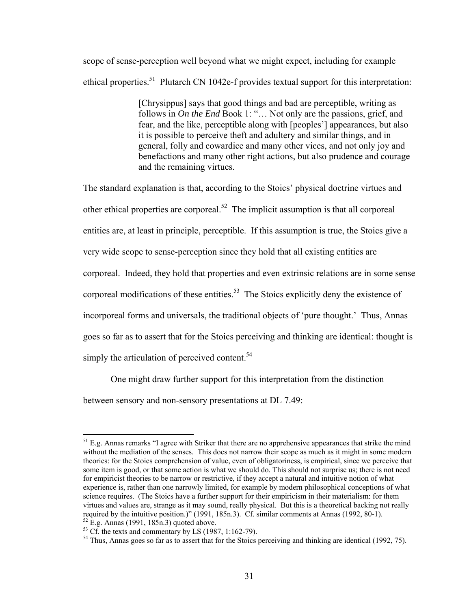scope of sense-perception well beyond what we might expect, including for example ethical properties.<sup>51</sup> Plutarch CN 1042e-f provides textual support for this interpretation:

> [Chrysippus] says that good things and bad are perceptible, writing as follows in *On the End* Book 1: "… Not only are the passions, grief, and fear, and the like, perceptible along with [peoples'] appearances, but also it is possible to perceive theft and adultery and similar things, and in general, folly and cowardice and many other vices, and not only joy and benefactions and many other right actions, but also prudence and courage and the remaining virtues.

The standard explanation is that, according to the Stoics' physical doctrine virtues and other ethical properties are corporeal.<sup>52</sup> The implicit assumption is that all corporeal entities are, at least in principle, perceptible. If this assumption is true, the Stoics give a very wide scope to sense-perception since they hold that all existing entities are corporeal. Indeed, they hold that properties and even extrinsic relations are in some sense corporeal modifications of these entities.<sup>53</sup> The Stoics explicitly deny the existence of incorporeal forms and universals, the traditional objects of 'pure thought.' Thus, Annas goes so far as to assert that for the Stoics perceiving and thinking are identical: thought is simply the articulation of perceived content.<sup>54</sup>

One might draw further support for this interpretation from the distinction

between sensory and non-sensory presentations at DL 7.49:

<span id="page-36-0"></span> $51$  E.g. Annas remarks "I agree with Striker that there are no apprehensive appearances that strike the mind without the mediation of the senses. This does not narrow their scope as much as it might in some modern theories: for the Stoics comprehension of value, even of obligatoriness, is empirical, since we perceive that some item is good, or that some action is what we should do. This should not surprise us; there is not need for empiricist theories to be narrow or restrictive, if they accept a natural and intuitive notion of what experience is, rather than one narrowly limited, for example by modern philosophical conceptions of what science requires. (The Stoics have a further support for their empiricism in their materialism: for them virtues and values are, strange as it may sound, really physical. But this is a theoretical backing not really required by the intuitive position.)" (1991, 185n.3). Cf. similar comments at Annas (1992, 80-1).<br><sup>52</sup> E.g. Annas (1991, 185n.3) quoted above.<br><sup>53</sup> Cf. the texts and commentary by LS (1987, 1:162-79).<br><sup>54</sup> Thus, Annas goe

<span id="page-36-2"></span><span id="page-36-1"></span>

<span id="page-36-3"></span>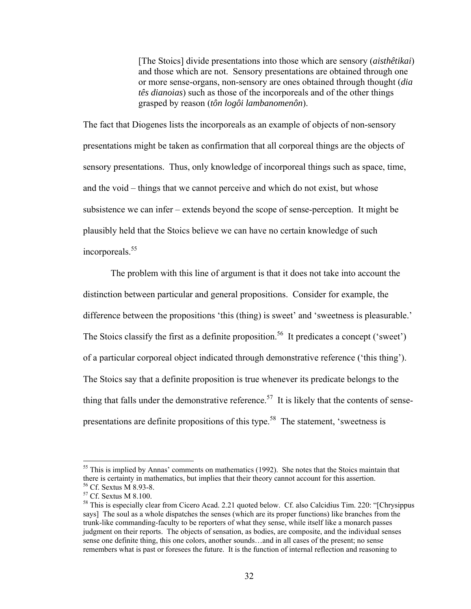[The Stoics] divide presentations into those which are sensory (*aisthêtikai*) and those which are not. Sensory presentations are obtained through one or more sense-organs, non-sensory are ones obtained through thought (*dia tês dianoias*) such as those of the incorporeals and of the other things grasped by reason (*tôn logôi lambanomenôn*).

The fact that Diogenes lists the incorporeals as an example of objects of non-sensory presentations might be taken as confirmation that all corporeal things are the objects of sensory presentations. Thus, only knowledge of incorporeal things such as space, time, and the void – things that we cannot perceive and which do not exist, but whose subsistence we can infer – extends beyond the scope of sense-perception. It might be plausibly held that the Stoics believe we can have no certain knowledge of such incorporeals. [55](#page-37-0)

The problem with this line of argument is that it does not take into account the distinction between particular and general propositions. Consider for example, the difference between the propositions 'this (thing) is sweet' and 'sweetness is pleasurable.' The Stoics classify the first as a definite proposition.<sup>56</sup> It predicates a concept ('sweet') of a particular corporeal object indicated through demonstrative reference ('this thing'). The Stoics say that a definite proposition is true whenever its predicate belongs to the thing that falls under the demonstrative reference.<sup>57</sup> It is likely that the contents of sensepresentations are definite propositions of this type.<sup>58</sup> The statement, 'sweetness is

<span id="page-37-0"></span> $55$  This is implied by Annas' comments on mathematics (1992). She notes that the Stoics maintain that there is certainty in mathematics, but implies that their theory cannot account for this assertion.

<span id="page-37-3"></span><span id="page-37-2"></span>

<span id="page-37-1"></span><sup>&</sup>lt;sup>56</sup> Cf. Sextus M 8.93-8.<br><sup>57</sup> Cf. Sextus M 8.100.<br><sup>58</sup> This is especially clear from Cicero Acad. 2.21 quoted below. Cf. also Calcidius Tim. 220: "[Chrysippus says] The soul as a whole dispatches the senses (which are its proper functions) like branches from the trunk-like commanding-faculty to be reporters of what they sense, while itself like a monarch passes judgment on their reports. The objects of sensation, as bodies, are composite, and the individual senses sense one definite thing, this one colors, another sounds…and in all cases of the present; no sense remembers what is past or foresees the future. It is the function of internal reflection and reasoning to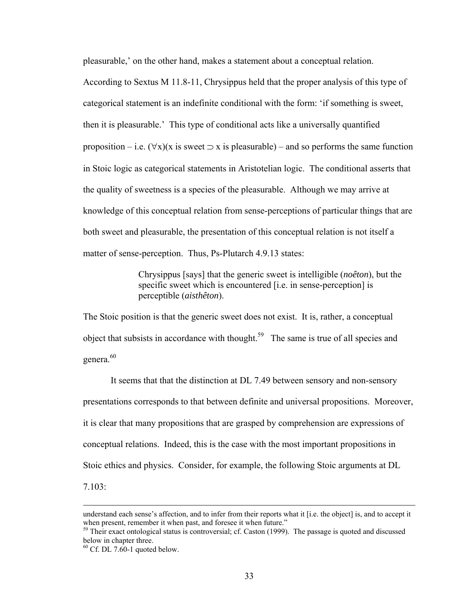pleasurable,' on the other hand, makes a statement about a conceptual relation.

According to Sextus M 11.8-11, Chrysippus held that the proper analysis of this type of categorical statement is an indefinite conditional with the form: 'if something is sweet, then it is pleasurable.' This type of conditional acts like a universally quantified proposition – i.e.  $(\forall x)(x)$  is sweet  $\Rightarrow$  x is pleasurable) – and so performs the same function in Stoic logic as categorical statements in Aristotelian logic. The conditional asserts that the quality of sweetness is a species of the pleasurable. Although we may arrive at knowledge of this conceptual relation from sense-perceptions of particular things that are both sweet and pleasurable, the presentation of this conceptual relation is not itself a matter of sense-perception. Thus, Ps-Plutarch 4.9.13 states:

> Chrysippus [says] that the generic sweet is intelligible (*noêton*), but the specific sweet which is encountered [i.e. in sense-perception] is perceptible (*aisthêton*).

The Stoic position is that the generic sweet does not exist. It is, rather, a conceptual object that subsists in accordance with thought.<sup>59</sup> The same is true of all species and genera.<sup>60</sup>

It seems that that the distinction at DL 7.49 between sensory and non-sensory presentations corresponds to that between definite and universal propositions. Moreover, it is clear that many propositions that are grasped by comprehension are expressions of conceptual relations. Indeed, this is the case with the most important propositions in Stoic ethics and physics. Consider, for example, the following Stoic arguments at DL 7.103:

understand each sense's affection, and to infer from their reports what it [i.e. the object] is, and to accept it when present, remember it when past, and foresee it when future."

<span id="page-38-0"></span><sup>&</sup>lt;sup>59</sup> Their exact ontological status is controversial; cf. Caston (1999). The passage is quoted and discussed below in chapter three.

<span id="page-38-1"></span> $60$  Cf. DL 7.60-1 quoted below.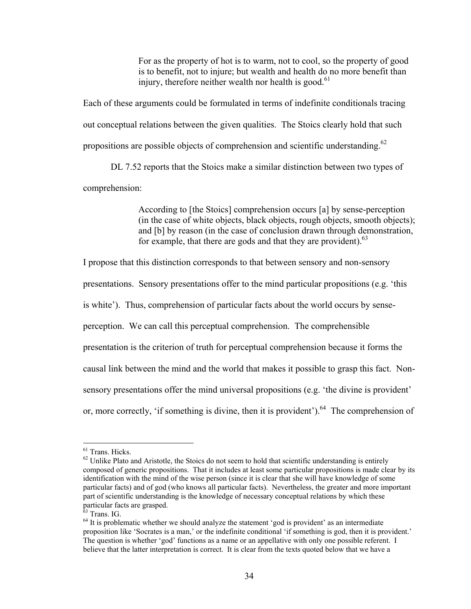For as the property of hot is to warm, not to cool, so the property of good is to benefit, not to injure; but wealth and health do no more benefit than injury, therefore neither wealth nor health is good. $61$ 

Each of these arguments could be formulated in terms of indefinite conditionals tracing out conceptual relations between the given qualities. The Stoics clearly hold that such propositions are possible objects of comprehension and scientific understanding.<sup>62</sup>

DL 7.52 reports that the Stoics make a similar distinction between two types of comprehension:

> According to [the Stoics] comprehension occurs [a] by sense-perception (in the case of white objects, black objects, rough objects, smooth objects); and [b] by reason (in the case of conclusion drawn through demonstration, for example, that there are gods and that they are provident). $63$

I propose that this distinction corresponds to that between sensory and non-sensory

presentations. Sensory presentations offer to the mind particular propositions (e.g. 'this

is white'). Thus, comprehension of particular facts about the world occurs by sense-

perception. We can call this perceptual comprehension. The comprehensible

presentation is the criterion of truth for perceptual comprehension because it forms the

causal link between the mind and the world that makes it possible to grasp this fact. Non-

sensory presentations offer the mind universal propositions (e.g. 'the divine is provident'

or, more correctly, 'if something is divine, then it is provident').<sup>64</sup> The comprehension of

<span id="page-39-2"></span>

<span id="page-39-0"></span><sup>&</sup>lt;sup>61</sup> Trans. Hicks.

<span id="page-39-1"></span> $62$  Unlike Plato and Aristotle, the Stoics do not seem to hold that scientific understanding is entirely composed of generic propositions. That it includes at least some particular propositions is made clear by its identification with the mind of the wise person (since it is clear that she will have knowledge of some particular facts) and of god (who knows all particular facts). Nevertheless, the greater and more important part of scientific understanding is the knowledge of necessary conceptual relations by which these particular facts are grasped.<br><sup>63</sup> Trans. IG.<br><sup>64</sup> It is problematic whether we should analyze the statement 'god is provident' as an intermediate

<span id="page-39-3"></span>proposition like 'Socrates is a man,' or the indefinite conditional 'if something is god, then it is provident.' The question is whether 'god' functions as a name or an appellative with only one possible referent. I believe that the latter interpretation is correct. It is clear from the texts quoted below that we have a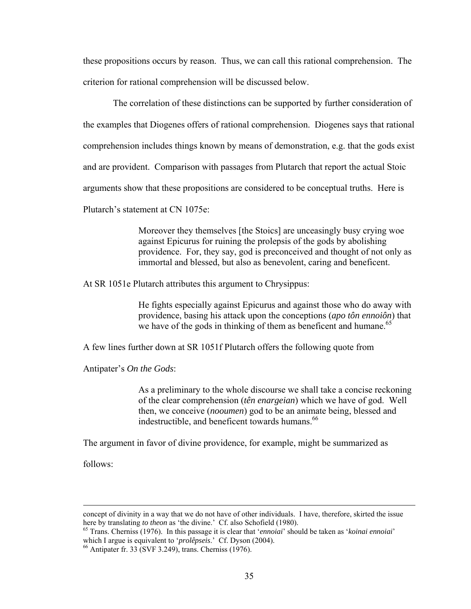these propositions occurs by reason. Thus, we can call this rational comprehension. The criterion for rational comprehension will be discussed below.

 The correlation of these distinctions can be supported by further consideration of the examples that Diogenes offers of rational comprehension. Diogenes says that rational comprehension includes things known by means of demonstration, e.g. that the gods exist and are provident. Comparison with passages from Plutarch that report the actual Stoic arguments show that these propositions are considered to be conceptual truths. Here is Plutarch's statement at CN 1075e:

> Moreover they themselves [the Stoics] are unceasingly busy crying woe against Epicurus for ruining the prolepsis of the gods by abolishing providence. For, they say, god is preconceived and thought of not only as immortal and blessed, but also as benevolent, caring and beneficent.

At SR 1051e Plutarch attributes this argument to Chrysippus:

He fights especially against Epicurus and against those who do away with providence, basing his attack upon the conceptions (*apo tôn ennoiôn*) that we have of the gods in thinking of them as beneficent and humane.<sup>65</sup>

A few lines further down at SR 1051f Plutarch offers the following quote from

Antipater's *On the Gods*:

As a preliminary to the whole discourse we shall take a concise reckoning of the clear comprehension (*tên enargeian*) which we have of god. Well then, we conceive (*nooumen*) god to be an animate being, blessed and indestructible, and beneficent towards humans.<sup>66</sup>

The argument in favor of divine providence, for example, might be summarized as

follows:

concept of divinity in a way that we do not have of other individuals. I have, therefore, skirted the issue here by translating *to theon* as 'the divine.' Cf. also Schofield (1980).<br><sup>65</sup> Trans. Cherniss (1976). In this passage it is clear that '*ennoiai*' should be taken as '*koinai ennoiai*'

<span id="page-40-0"></span>which I argue is equivalent to '*prolêpseis*.' Cf. Dyson (2004). <sup>66</sup> Antipater fr. 33 (SVF 3.249), trans. Cherniss (1976).

<span id="page-40-1"></span>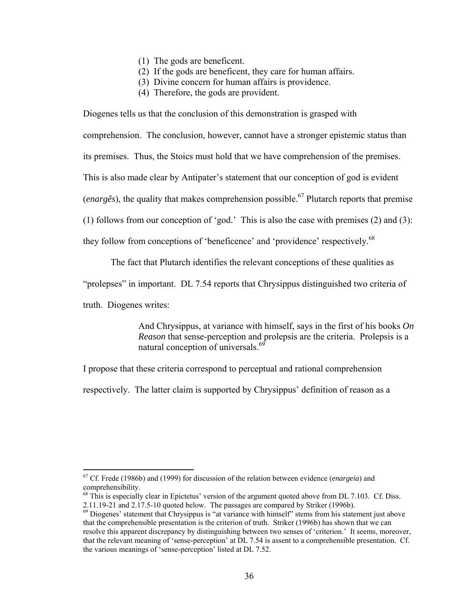- (1) The gods are beneficent.
- (2) If the gods are beneficent, they care for human affairs.
- (3) Divine concern for human affairs is providence.
- (4) Therefore, the gods are provident.

Diogenes tells us that the conclusion of this demonstration is grasped with

comprehension. The conclusion, however, cannot have a stronger epistemic status than

its premises. Thus, the Stoics must hold that we have comprehension of the premises.

This is also made clear by Antipater's statement that our conception of god is evident

(*enargês*), the quality that makes comprehension possible.<sup>67</sup> Plutarch reports that premise

(1) follows from our conception of 'god.' This is also the case with premises (2) and (3):

they follow from conceptions of 'beneficence' and 'providence' respectively.<sup>[68](#page-41-1)</sup>

The fact that Plutarch identifies the relevant conceptions of these qualities as

"prolepses" in important. DL 7.54 reports that Chrysippus distinguished two criteria of

truth. Diogenes writes:

 $\overline{a}$ 

And Chrysippus, at variance with himself, says in the first of his books *On Reason* that sense-perception and prolepsis are the criteria. Prolepsis is a natural conception of universals.<sup>[69](#page-41-2)</sup>

I propose that these criteria correspond to perceptual and rational comprehension

respectively. The latter claim is supported by Chrysippus' definition of reason as a

<span id="page-41-0"></span><sup>67</sup> Cf. Frede (1986b) and (1999) for discussion of the relation between evidence (*enargeia*) and comprehensibility.<br><sup>68</sup> This is especially clear in Epictetus' version of the argument quoted above from DL 7.103. Cf. Diss.

<span id="page-41-1"></span><sup>2.11.19-21</sup> and 2.17.5-10 quoted below. The passages are compared by Striker (1996b). 69 Diogenes' statement that Chrysippus is "at variance with himself" stems from his statement just above

<span id="page-41-2"></span>that the comprehensible presentation is the criterion of truth. Striker (1996b) has shown that we can resolve this apparent discrepancy by distinguishing between two senses of 'criterion.' It seems, moreover, that the relevant meaning of 'sense-perception' at DL 7.54 is assent to a comprehensible presentation. Cf. the various meanings of 'sense-perception' listed at DL 7.52.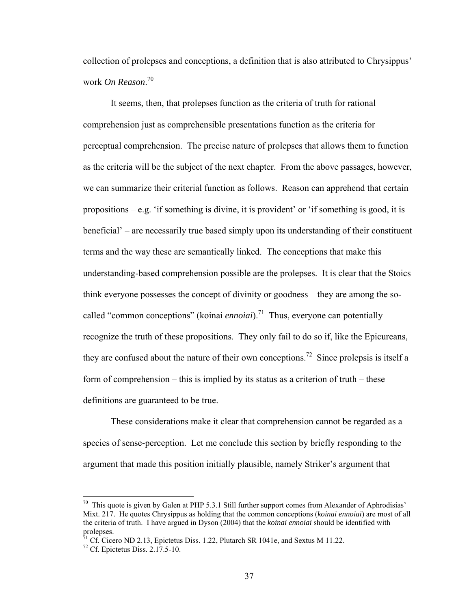collection of prolepses and conceptions, a definition that is also attributed to Chrysippus' work *On Reason*. [70](#page-42-0)

It seems, then, that prolepses function as the criteria of truth for rational comprehension just as comprehensible presentations function as the criteria for perceptual comprehension. The precise nature of prolepses that allows them to function as the criteria will be the subject of the next chapter. From the above passages, however, we can summarize their criterial function as follows. Reason can apprehend that certain propositions  $-e.g.$  'if something is divine, it is provident' or 'if something is good, it is beneficial' – are necessarily true based simply upon its understanding of their constituent terms and the way these are semantically linked. The conceptions that make this understanding-based comprehension possible are the prolepses. It is clear that the Stoics think everyone possesses the concept of divinity or goodness – they are among the socalled "common conceptions" (koinai *ennoiai*).<sup>71</sup> Thus, everyone can potentially recognize the truth of these propositions. They only fail to do so if, like the Epicureans, they are confused about the nature of their own conceptions.<sup>72</sup> Since prolepsis is itself a form of comprehension – this is implied by its status as a criterion of truth – these definitions are guaranteed to be true.

These considerations make it clear that comprehension cannot be regarded as a species of sense-perception. Let me conclude this section by briefly responding to the argument that made this position initially plausible, namely Striker's argument that

<span id="page-42-0"></span> $70$  This quote is given by Galen at PHP 5.3.1 Still further support comes from Alexander of Aphrodisias' Mixt. 217. He quotes Chrysippus as holding that the common conceptions (*koinai ennoiai*) are most of all the criteria of truth. I have argued in Dyson (2004) that the *koinai ennoiai* should be identified with prolepses.<br><sup>71</sup> Cf. Cicero ND 2.13, Epictetus Diss. 1.22, Plutarch SR 1041e, and Sextus M 11.22.<br><sup>72</sup> Cf. Epictetus Diss. 2.17.5-10.

<span id="page-42-1"></span>

<span id="page-42-2"></span>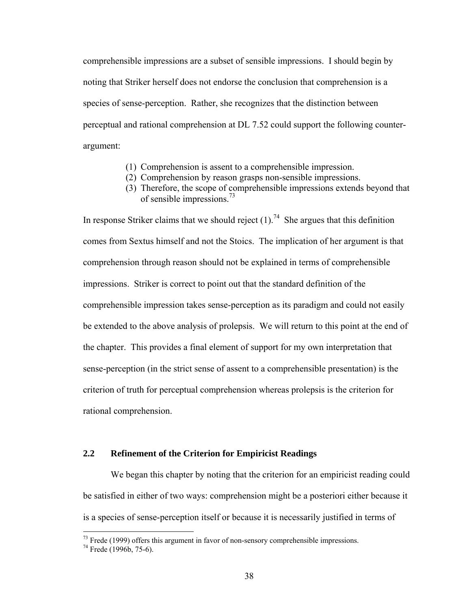comprehensible impressions are a subset of sensible impressions. I should begin by noting that Striker herself does not endorse the conclusion that comprehension is a species of sense-perception. Rather, she recognizes that the distinction between perceptual and rational comprehension at DL 7.52 could support the following counterargument:

- (1) Comprehension is assent to a comprehensible impression.
- (2) Comprehension by reason grasps non-sensible impressions.
- (3) Therefore, the scope of comprehensible impressions extends beyond that of sensible impressions.[73](#page-43-0)

In response Striker claims that we should reject  $(1)$ .<sup>74</sup> She argues that this definition comes from Sextus himself and not the Stoics. The implication of her argument is that comprehension through reason should not be explained in terms of comprehensible impressions. Striker is correct to point out that the standard definition of the comprehensible impression takes sense-perception as its paradigm and could not easily be extended to the above analysis of prolepsis. We will return to this point at the end of the chapter. This provides a final element of support for my own interpretation that sense-perception (in the strict sense of assent to a comprehensible presentation) is the criterion of truth for perceptual comprehension whereas prolepsis is the criterion for rational comprehension.

# **2.2 Refinement of the Criterion for Empiricist Readings**

We began this chapter by noting that the criterion for an empiricist reading could be satisfied in either of two ways: comprehension might be a posteriori either because it is a species of sense-perception itself or because it is necessarily justified in terms of

<span id="page-43-0"></span><sup>&</sup>lt;sup>73</sup> Frede (1999) offers this argument in favor of non-sensory comprehensible impressions.<br><sup>74</sup> Frede (1996b, 75-6).

<span id="page-43-1"></span>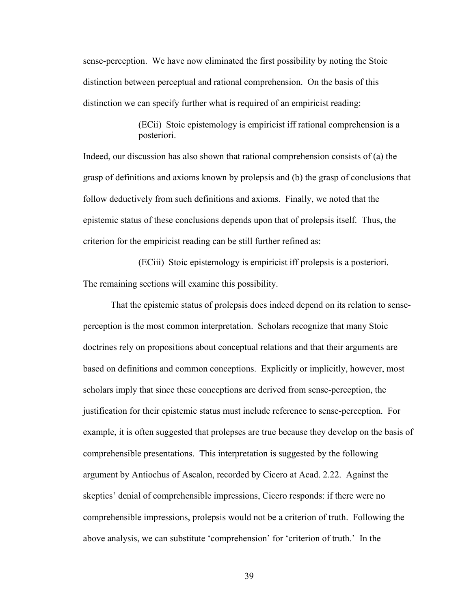sense-perception. We have now eliminated the first possibility by noting the Stoic distinction between perceptual and rational comprehension. On the basis of this distinction we can specify further what is required of an empiricist reading:

> (ECii) Stoic epistemology is empiricist iff rational comprehension is a posteriori.

Indeed, our discussion has also shown that rational comprehension consists of (a) the grasp of definitions and axioms known by prolepsis and (b) the grasp of conclusions that follow deductively from such definitions and axioms. Finally, we noted that the epistemic status of these conclusions depends upon that of prolepsis itself. Thus, the criterion for the empiricist reading can be still further refined as:

(ECiii) Stoic epistemology is empiricist iff prolepsis is a posteriori. The remaining sections will examine this possibility.

That the epistemic status of prolepsis does indeed depend on its relation to senseperception is the most common interpretation. Scholars recognize that many Stoic doctrines rely on propositions about conceptual relations and that their arguments are based on definitions and common conceptions. Explicitly or implicitly, however, most scholars imply that since these conceptions are derived from sense-perception, the justification for their epistemic status must include reference to sense-perception. For example, it is often suggested that prolepses are true because they develop on the basis of comprehensible presentations. This interpretation is suggested by the following argument by Antiochus of Ascalon, recorded by Cicero at Acad. 2.22. Against the skeptics' denial of comprehensible impressions, Cicero responds: if there were no comprehensible impressions, prolepsis would not be a criterion of truth. Following the above analysis, we can substitute 'comprehension' for 'criterion of truth.' In the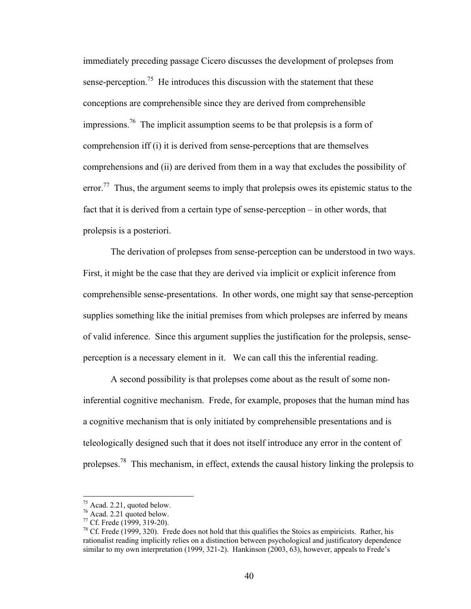immediately preceding passage Cicero discusses the development of prolepses from sense-perception.<sup>75</sup> He introduces this discussion with the statement that these conceptions are comprehensible since they are derived from comprehensible impressions[.76](#page-45-1) The implicit assumption seems to be that prolepsis is a form of comprehension iff (i) it is derived from sense-perceptions that are themselves comprehensions and (ii) are derived from them in a way that excludes the possibility of error.<sup>77</sup> Thus, the argument seems to imply that prolepsis owes its epistemic status to the fact that it is derived from a certain type of sense-perception – in other words, that prolepsis is a posteriori.

The derivation of prolepses from sense-perception can be understood in two ways. First, it might be the case that they are derived via implicit or explicit inference from comprehensible sense-presentations. In other words, one might say that sense-perception supplies something like the initial premises from which prolepses are inferred by means of valid inference. Since this argument supplies the justification for the prolepsis, senseperception is a necessary element in it. We can call this the inferential reading.

A second possibility is that prolepses come about as the result of some noninferential cognitive mechanism. Frede, for example, proposes that the human mind has a cognitive mechanism that is only initiated by comprehensible presentations and is teleologically designed such that it does not itself introduce any error in the content of prolepses[.78](#page-45-3) This mechanism, in effect, extends the causal history linking the prolepsis to

<span id="page-45-1"></span>

<span id="page-45-3"></span><span id="page-45-2"></span>

<span id="page-45-0"></span><sup>&</sup>lt;sup>75</sup> Acad. 2.21, quoted below.<br><sup>76</sup> Acad. 2.21 quoted below.<br><sup>77</sup> Cf. Frede (1999, 319-20).<br><sup>78</sup> Cf. Frede (1999, 320). Frede does not hold that this qualifies the Stoics as empiricists. Rather, his rationalist reading implicitly relies on a distinction between psychological and justificatory dependence similar to my own interpretation (1999, 321-2). Hankinson (2003, 63), however, appeals to Frede's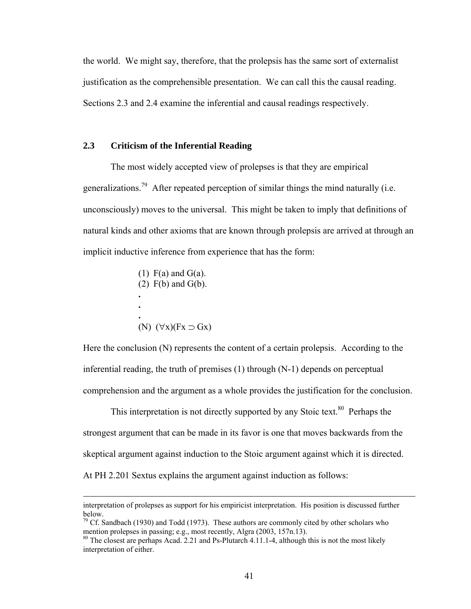the world. We might say, therefore, that the prolepsis has the same sort of externalist justification as the comprehensible presentation. We can call this the causal reading. Sections 2.3 and 2.4 examine the inferential and causal readings respectively.

# **2.3 Criticism of the Inferential Reading**

The most widely accepted view of prolepses is that they are empirical generalizations.<sup>79</sup> After repeated perception of similar things the mind naturally (i.e. unconsciously) moves to the universal. This might be taken to imply that definitions of natural kinds and other axioms that are known through prolepsis are arrived at through an implicit inductive inference from experience that has the form:

\n- (1) F(a) and G(a).
\n- (2) F(b) and G(b).
\n- ...
\n- (N) 
$$
(\forall x)(Fx \supset Gx)
$$
\n

Here the conclusion (N) represents the content of a certain prolepsis. According to the inferential reading, the truth of premises (1) through (N-1) depends on perceptual comprehension and the argument as a whole provides the justification for the conclusion.

This interpretation is not directly supported by any Stoic text.<sup>80</sup> Perhaps the strongest argument that can be made in its favor is one that moves backwards from the skeptical argument against induction to the Stoic argument against which it is directed. At PH 2.201 Sextus explains the argument against induction as follows:

interpretation of prolepses as support for his empiricist interpretation. His position is discussed further

<span id="page-46-0"></span>below.<br><sup>79</sup> Cf. Sandbach (1930) and Todd (1973). These authors are commonly cited by other scholars who mention prolepses in passing; e.g., most recently, Algra (2003, 157n.13).

<span id="page-46-1"></span><sup>&</sup>lt;sup>80</sup> The closest are perhaps Acad. 2.21 and Ps-Plutarch 4.11.1-4, although this is not the most likely interpretation of either.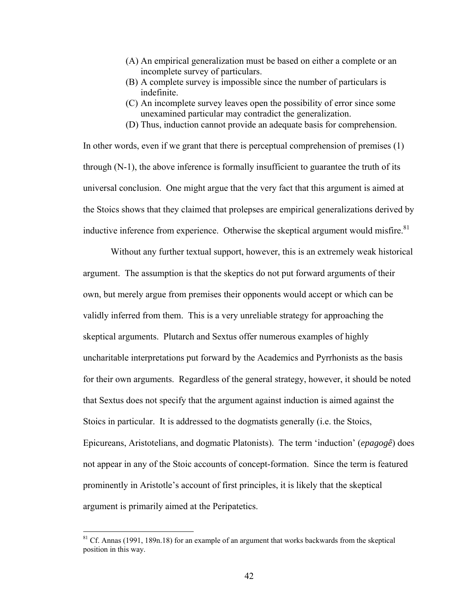- (A) An empirical generalization must be based on either a complete or an incomplete survey of particulars.
- (B) A complete survey is impossible since the number of particulars is indefinite.
- (C) An incomplete survey leaves open the possibility of error since some unexamined particular may contradict the generalization.
- (D) Thus, induction cannot provide an adequate basis for comprehension.

In other words, even if we grant that there is perceptual comprehension of premises (1) through (N-1), the above inference is formally insufficient to guarantee the truth of its universal conclusion. One might argue that the very fact that this argument is aimed at the Stoics shows that they claimed that prolepses are empirical generalizations derived by inductive inference from experience. Otherwise the skeptical argument would misfire.<sup>81</sup>

Without any further textual support, however, this is an extremely weak historical argument. The assumption is that the skeptics do not put forward arguments of their own, but merely argue from premises their opponents would accept or which can be validly inferred from them. This is a very unreliable strategy for approaching the skeptical arguments. Plutarch and Sextus offer numerous examples of highly uncharitable interpretations put forward by the Academics and Pyrrhonists as the basis for their own arguments. Regardless of the general strategy, however, it should be noted that Sextus does not specify that the argument against induction is aimed against the Stoics in particular. It is addressed to the dogmatists generally (i.e. the Stoics, Epicureans, Aristotelians, and dogmatic Platonists). The term 'induction' (*epagogê*) does not appear in any of the Stoic accounts of concept-formation. Since the term is featured prominently in Aristotle's account of first principles, it is likely that the skeptical argument is primarily aimed at the Peripatetics.

<span id="page-47-0"></span> $81$  Cf. Annas (1991, 189n.18) for an example of an argument that works backwards from the skeptical position in this way.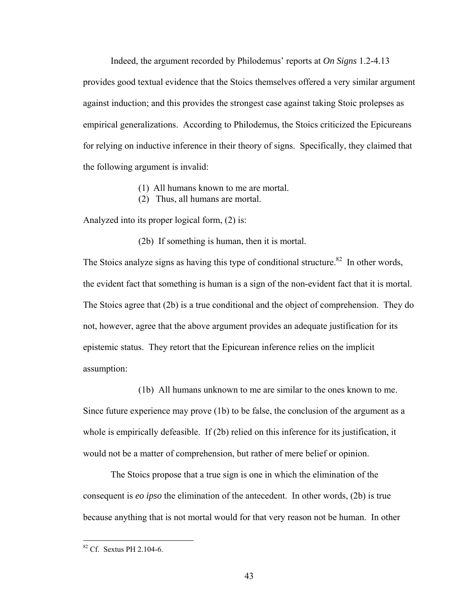Indeed, the argument recorded by Philodemus' reports at *On Signs* 1.2-4.13 provides good textual evidence that the Stoics themselves offered a very similar argument against induction; and this provides the strongest case against taking Stoic prolepses as empirical generalizations. According to Philodemus, the Stoics criticized the Epicureans for relying on inductive inference in their theory of signs. Specifically, they claimed that the following argument is invalid:

- (1) All humans known to me are mortal.
- (2) Thus, all humans are mortal.

Analyzed into its proper logical form, (2) is:

(2b) If something is human, then it is mortal.

The Stoics analyze signs as having this type of conditional structure.<sup>82</sup> In other words, the evident fact that something is human is a sign of the non-evident fact that it is mortal. The Stoics agree that (2b) is a true conditional and the object of comprehension. They do not, however, agree that the above argument provides an adequate justification for its epistemic status. They retort that the Epicurean inference relies on the implicit assumption:

 (1b) All humans unknown to me are similar to the ones known to me. Since future experience may prove (1b) to be false, the conclusion of the argument as a whole is empirically defeasible. If (2b) relied on this inference for its justification, it would not be a matter of comprehension, but rather of mere belief or opinion.

The Stoics propose that a true sign is one in which the elimination of the consequent is *eo ipso* the elimination of the antecedent. In other words, (2b) is true because anything that is not mortal would for that very reason not be human. In other

<u>.</u>

<span id="page-48-0"></span><sup>&</sup>lt;sup>82</sup> Cf. Sextus PH 2.104-6.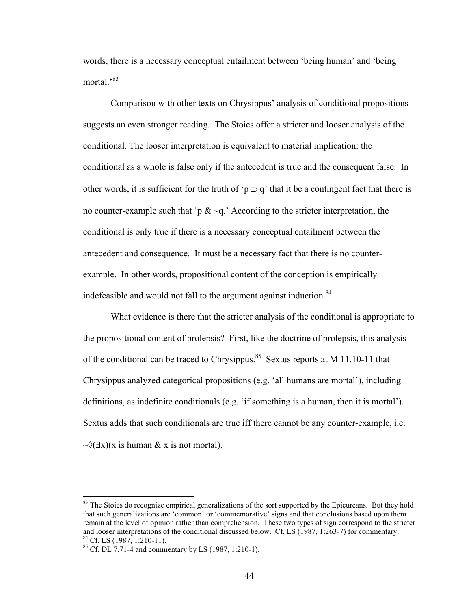words, there is a necessary conceptual entailment between 'being human' and 'being mortal<sup>383</sup>

Comparison with other texts on Chrysippus' analysis of conditional propositions suggests an even stronger reading. The Stoics offer a stricter and looser analysis of the conditional. The looser interpretation is equivalent to material implication: the conditional as a whole is false only if the antecedent is true and the consequent false. In other words, it is sufficient for the truth of 'p  $\supset q$ ' that it be a contingent fact that there is no counter-example such that 'p  $\& \sim q$ .' According to the stricter interpretation, the conditional is only true if there is a necessary conceptual entailment between the antecedent and consequence. It must be a necessary fact that there is no counterexample. In other words, propositional content of the conception is empirically indefeasible and would not fall to the argument against induction.<sup>84</sup>

What evidence is there that the stricter analysis of the conditional is appropriate to the propositional content of prolepsis? First, like the doctrine of prolepsis, this analysis of the conditional can be traced to Chrysippus.<sup>85</sup> Sextus reports at M 11.10-11 that Chrysippus analyzed categorical propositions (e.g. 'all humans are mortal'), including definitions, as indefinite conditionals (e.g. 'if something is a human, then it is mortal'). Sextus adds that such conditionals are true iff there cannot be any counter-example, i.e.  $\sim \sqrt{(\exists x)(x \text{ is human } \& x \text{ is not mortal})}.$ 

<span id="page-49-0"></span><sup>&</sup>lt;sup>83</sup> The Stoics do recognize empirical generalizations of the sort supported by the Epicureans. But they hold that such generalizations are 'common' or 'commemorative' signs and that conclusions based upon them remain at the level of opinion rather than comprehension. These two types of sign correspond to the stricter and looser interpretations of the conditional discussed below. Cf. LS (1987, 1:263-7) for commentary. <sup>84</sup> Cf. LS (1987, 1:210-1). <sup>85</sup> Cf. DL 7.71-4 and commentary by LS (1987, 1:210-1).

<span id="page-49-2"></span><span id="page-49-1"></span>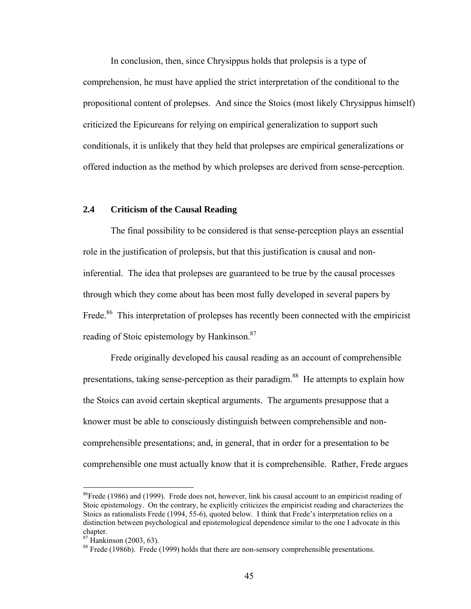In conclusion, then, since Chrysippus holds that prolepsis is a type of comprehension, he must have applied the strict interpretation of the conditional to the propositional content of prolepses. And since the Stoics (most likely Chrysippus himself) criticized the Epicureans for relying on empirical generalization to support such conditionals, it is unlikely that they held that prolepses are empirical generalizations or offered induction as the method by which prolepses are derived from sense-perception.

# **2.4 Criticism of the Causal Reading**

The final possibility to be considered is that sense-perception plays an essential role in the justification of prolepsis, but that this justification is causal and noninferential. The idea that prolepses are guaranteed to be true by the causal processes through which they come about has been most fully developed in several papers by Frede.<sup>86</sup> This interpretation of prolepses has recently been connected with the empiricist reading of Stoic epistemology by Hankinson.<sup>87</sup>

Frede originally developed his causal reading as an account of comprehensible presentations, taking sense-perception as their paradigm.<sup>88</sup> He attempts to explain how the Stoics can avoid certain skeptical arguments. The arguments presuppose that a knower must be able to consciously distinguish between comprehensible and noncomprehensible presentations; and, in general, that in order for a presentation to be comprehensible one must actually know that it is comprehensible. Rather, Frede argues

<u>.</u>

<span id="page-50-0"></span> $^{86}$ Frede (1986) and (1999). Frede does not, however, link his causal account to an empiricist reading of Stoic epistemology. On the contrary, he explicitly criticizes the empiricist reading and characterizes the Stoics as rationalists Frede (1994, 55-6), quoted below. I think that Frede's interpretation relies on a distinction between psychological and epistemological dependence similar to the one I advocate in this chapter.<br><sup>87</sup> Hankinson (2003, 63).<br><sup>88</sup> Frede (1986b). Frede (1999) holds that there are non-sensory comprehensible presentations.

<span id="page-50-1"></span>

<span id="page-50-2"></span>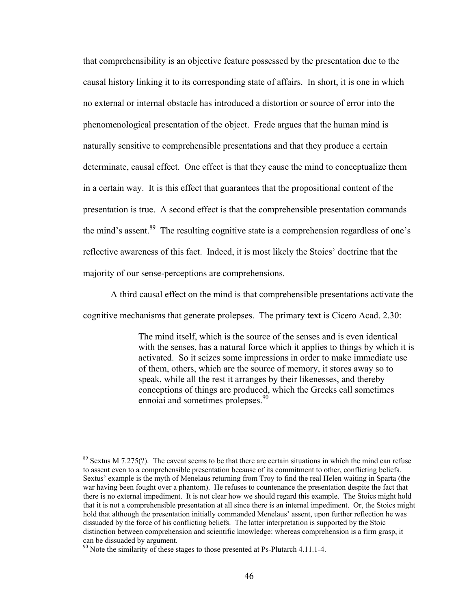that comprehensibility is an objective feature possessed by the presentation due to the causal history linking it to its corresponding state of affairs. In short, it is one in which no external or internal obstacle has introduced a distortion or source of error into the phenomenological presentation of the object. Frede argues that the human mind is naturally sensitive to comprehensible presentations and that they produce a certain determinate, causal effect. One effect is that they cause the mind to conceptualize them in a certain way. It is this effect that guarantees that the propositional content of the presentation is true. A second effect is that the comprehensible presentation commands the mind's assent.<sup>89</sup> The resulting cognitive state is a comprehension regardless of one's reflective awareness of this fact. Indeed, it is most likely the Stoics' doctrine that the majority of our sense-perceptions are comprehensions.

A third causal effect on the mind is that comprehensible presentations activate the cognitive mechanisms that generate prolepses. The primary text is Cicero Acad. 2.30:

> The mind itself, which is the source of the senses and is even identical with the senses, has a natural force which it applies to things by which it is activated. So it seizes some impressions in order to make immediate use of them, others, which are the source of memory, it stores away so to speak, while all the rest it arranges by their likenesses, and thereby conceptions of things are produced, which the Greeks call sometimes ennoiai and sometimes prolepses.<sup>90</sup>

<span id="page-51-0"></span> $89$  Sextus M 7.275(?). The caveat seems to be that there are certain situations in which the mind can refuse to assent even to a comprehensible presentation because of its commitment to other, conflicting beliefs. Sextus' example is the myth of Menelaus returning from Troy to find the real Helen waiting in Sparta (the war having been fought over a phantom). He refuses to countenance the presentation despite the fact that there is no external impediment. It is not clear how we should regard this example. The Stoics might hold that it is not a comprehensible presentation at all since there is an internal impediment. Or, the Stoics might hold that although the presentation initially commanded Menelaus' assent, upon further reflection he was dissuaded by the force of his conflicting beliefs. The latter interpretation is supported by the Stoic distinction between comprehension and scientific knowledge: whereas comprehension is a firm grasp, it can be dissuaded by argument.<br><sup>90</sup> Note the similarity of these stages to those presented at Ps-Plutarch 4.11.1-4.

<span id="page-51-1"></span>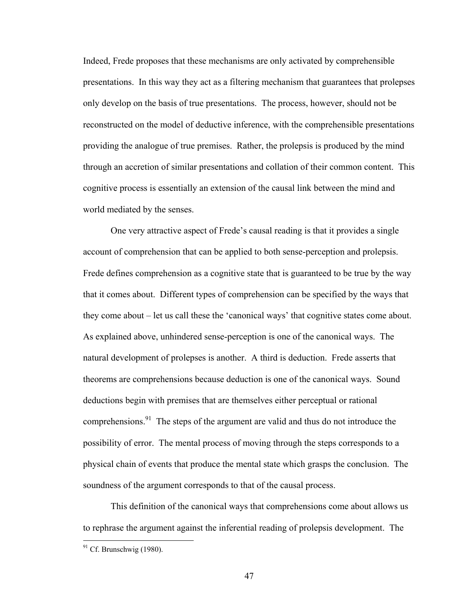Indeed, Frede proposes that these mechanisms are only activated by comprehensible presentations. In this way they act as a filtering mechanism that guarantees that prolepses only develop on the basis of true presentations. The process, however, should not be reconstructed on the model of deductive inference, with the comprehensible presentations providing the analogue of true premises. Rather, the prolepsis is produced by the mind through an accretion of similar presentations and collation of their common content. This cognitive process is essentially an extension of the causal link between the mind and world mediated by the senses.

One very attractive aspect of Frede's causal reading is that it provides a single account of comprehension that can be applied to both sense-perception and prolepsis. Frede defines comprehension as a cognitive state that is guaranteed to be true by the way that it comes about. Different types of comprehension can be specified by the ways that they come about – let us call these the 'canonical ways' that cognitive states come about. As explained above, unhindered sense-perception is one of the canonical ways. The natural development of prolepses is another. A third is deduction. Frede asserts that theorems are comprehensions because deduction is one of the canonical ways. Sound deductions begin with premises that are themselves either perceptual or rational comprehensions.<sup>91</sup> The steps of the argument are valid and thus do not introduce the possibility of error. The mental process of moving through the steps corresponds to a physical chain of events that produce the mental state which grasps the conclusion. The soundness of the argument corresponds to that of the causal process.

This definition of the canonical ways that comprehensions come about allows us to rephrase the argument against the inferential reading of prolepsis development. The

<span id="page-52-0"></span> $91$  Cf. Brunschwig (1980).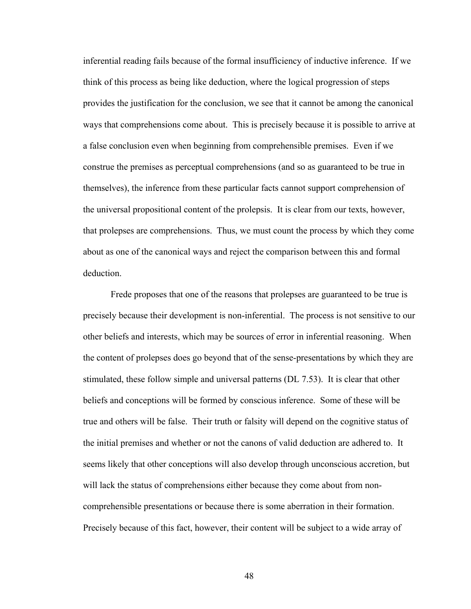inferential reading fails because of the formal insufficiency of inductive inference. If we think of this process as being like deduction, where the logical progression of steps provides the justification for the conclusion, we see that it cannot be among the canonical ways that comprehensions come about. This is precisely because it is possible to arrive at a false conclusion even when beginning from comprehensible premises. Even if we construe the premises as perceptual comprehensions (and so as guaranteed to be true in themselves), the inference from these particular facts cannot support comprehension of the universal propositional content of the prolepsis. It is clear from our texts, however, that prolepses are comprehensions. Thus, we must count the process by which they come about as one of the canonical ways and reject the comparison between this and formal deduction.

Frede proposes that one of the reasons that prolepses are guaranteed to be true is precisely because their development is non-inferential. The process is not sensitive to our other beliefs and interests, which may be sources of error in inferential reasoning. When the content of prolepses does go beyond that of the sense-presentations by which they are stimulated, these follow simple and universal patterns (DL 7.53). It is clear that other beliefs and conceptions will be formed by conscious inference. Some of these will be true and others will be false. Their truth or falsity will depend on the cognitive status of the initial premises and whether or not the canons of valid deduction are adhered to. It seems likely that other conceptions will also develop through unconscious accretion, but will lack the status of comprehensions either because they come about from noncomprehensible presentations or because there is some aberration in their formation. Precisely because of this fact, however, their content will be subject to a wide array of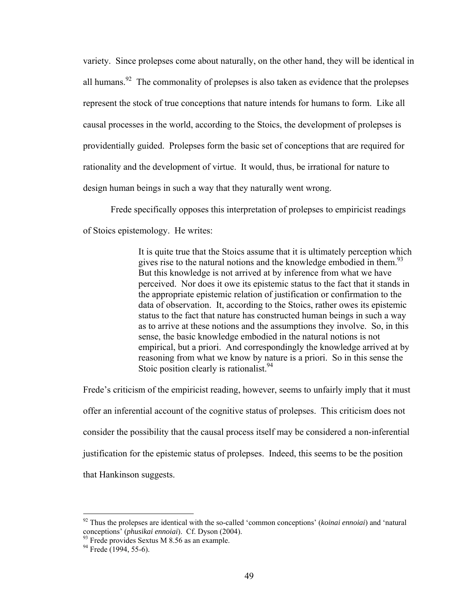variety. Since prolepses come about naturally, on the other hand, they will be identical in all humans.<sup>92</sup> The commonality of prolepses is also taken as evidence that the prolepses represent the stock of true conceptions that nature intends for humans to form. Like all causal processes in the world, according to the Stoics, the development of prolepses is providentially guided. Prolepses form the basic set of conceptions that are required for rationality and the development of virtue. It would, thus, be irrational for nature to design human beings in such a way that they naturally went wrong.

Frede specifically opposes this interpretation of prolepses to empiricist readings of Stoics epistemology. He writes:

> It is quite true that the Stoics assume that it is ultimately perception which gives rise to the natural notions and the knowledge embodied in them.<sup>93</sup> But this knowledge is not arrived at by inference from what we have perceived. Nor does it owe its epistemic status to the fact that it stands in the appropriate epistemic relation of justification or confirmation to the data of observation. It, according to the Stoics, rather owes its epistemic status to the fact that nature has constructed human beings in such a way as to arrive at these notions and the assumptions they involve. So, in this sense, the basic knowledge embodied in the natural notions is not empirical, but a priori. And correspondingly the knowledge arrived at by reasoning from what we know by nature is a priori. So in this sense the Stoic position clearly is rationalist.<sup>94</sup>

Frede's criticism of the empiricist reading, however, seems to unfairly imply that it must offer an inferential account of the cognitive status of prolepses. This criticism does not consider the possibility that the causal process itself may be considered a non-inferential justification for the epistemic status of prolepses. Indeed, this seems to be the position that Hankinson suggests.

<span id="page-54-0"></span><sup>92</sup> Thus the prolepses are identical with the so-called 'common conceptions' (*koinai ennoiai*) and 'natural conceptions' (*phusikai ennoiai*). Cf. Dyson (2004).<br><sup>93</sup> Frede provides Sextus M 8.56 as an example.<br><sup>94</sup> Frede (1994, 55-6).

<span id="page-54-1"></span>

<span id="page-54-2"></span>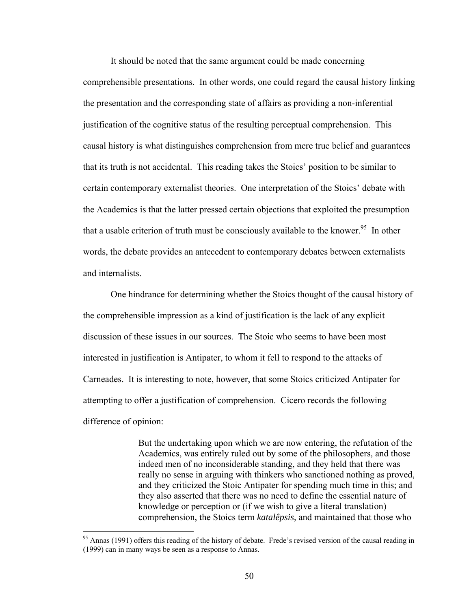It should be noted that the same argument could be made concerning comprehensible presentations. In other words, one could regard the causal history linking the presentation and the corresponding state of affairs as providing a non-inferential justification of the cognitive status of the resulting perceptual comprehension. This causal history is what distinguishes comprehension from mere true belief and guarantees that its truth is not accidental. This reading takes the Stoics' position to be similar to certain contemporary externalist theories. One interpretation of the Stoics' debate with the Academics is that the latter pressed certain objections that exploited the presumption that a usable criterion of truth must be consciously available to the knower.<sup>95</sup> In other words, the debate provides an antecedent to contemporary debates between externalists and internalists.

One hindrance for determining whether the Stoics thought of the causal history of the comprehensible impression as a kind of justification is the lack of any explicit discussion of these issues in our sources. The Stoic who seems to have been most interested in justification is Antipater, to whom it fell to respond to the attacks of Carneades. It is interesting to note, however, that some Stoics criticized Antipater for attempting to offer a justification of comprehension. Cicero records the following difference of opinion:

> But the undertaking upon which we are now entering, the refutation of the Academics, was entirely ruled out by some of the philosophers, and those indeed men of no inconsiderable standing, and they held that there was really no sense in arguing with thinkers who sanctioned nothing as proved, and they criticized the Stoic Antipater for spending much time in this; and they also asserted that there was no need to define the essential nature of knowledge or perception or (if we wish to give a literal translation) comprehension, the Stoics term *katalêpsis*, and maintained that those who

<span id="page-55-0"></span><sup>&</sup>lt;sup>95</sup> Annas (1991) offers this reading of the history of debate. Frede's revised version of the causal reading in (1999) can in many ways be seen as a response to Annas.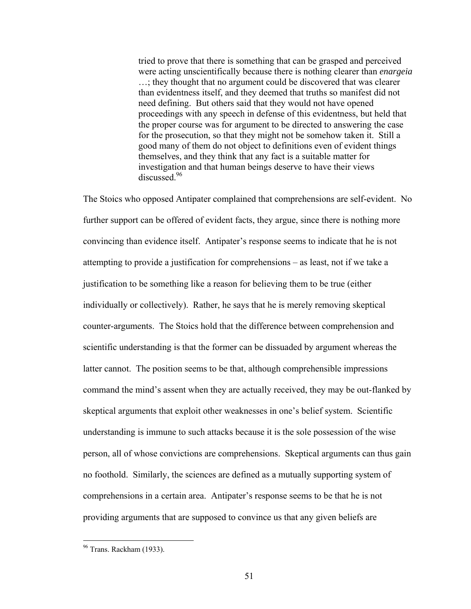tried to prove that there is something that can be grasped and perceived were acting unscientifically because there is nothing clearer than *enargeia* …; they thought that no argument could be discovered that was clearer than evidentness itself, and they deemed that truths so manifest did not need defining. But others said that they would not have opened proceedings with any speech in defense of this evidentness, but held that the proper course was for argument to be directed to answering the case for the prosecution, so that they might not be somehow taken it. Still a good many of them do not object to definitions even of evident things themselves, and they think that any fact is a suitable matter for investigation and that human beings deserve to have their views discussed<sup>96</sup>

The Stoics who opposed Antipater complained that comprehensions are self-evident. No further support can be offered of evident facts, they argue, since there is nothing more convincing than evidence itself. Antipater's response seems to indicate that he is not attempting to provide a justification for comprehensions – as least, not if we take a justification to be something like a reason for believing them to be true (either individually or collectively). Rather, he says that he is merely removing skeptical counter-arguments. The Stoics hold that the difference between comprehension and scientific understanding is that the former can be dissuaded by argument whereas the latter cannot. The position seems to be that, although comprehensible impressions command the mind's assent when they are actually received, they may be out-flanked by skeptical arguments that exploit other weaknesses in one's belief system. Scientific understanding is immune to such attacks because it is the sole possession of the wise person, all of whose convictions are comprehensions. Skeptical arguments can thus gain no foothold. Similarly, the sciences are defined as a mutually supporting system of comprehensions in a certain area. Antipater's response seems to be that he is not providing arguments that are supposed to convince us that any given beliefs are

<span id="page-56-0"></span><sup>&</sup>lt;sup>96</sup> Trans. Rackham (1933).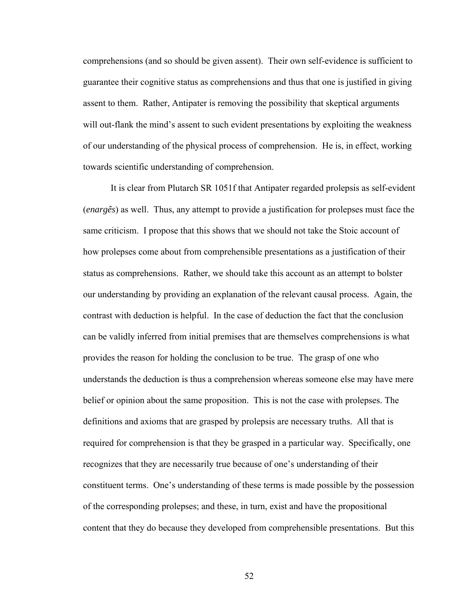comprehensions (and so should be given assent). Their own self-evidence is sufficient to guarantee their cognitive status as comprehensions and thus that one is justified in giving assent to them. Rather, Antipater is removing the possibility that skeptical arguments will out-flank the mind's assent to such evident presentations by exploiting the weakness of our understanding of the physical process of comprehension. He is, in effect, working towards scientific understanding of comprehension.

It is clear from Plutarch SR 1051f that Antipater regarded prolepsis as self-evident (*enargês*) as well. Thus, any attempt to provide a justification for prolepses must face the same criticism. I propose that this shows that we should not take the Stoic account of how prolepses come about from comprehensible presentations as a justification of their status as comprehensions. Rather, we should take this account as an attempt to bolster our understanding by providing an explanation of the relevant causal process. Again, the contrast with deduction is helpful. In the case of deduction the fact that the conclusion can be validly inferred from initial premises that are themselves comprehensions is what provides the reason for holding the conclusion to be true. The grasp of one who understands the deduction is thus a comprehension whereas someone else may have mere belief or opinion about the same proposition. This is not the case with prolepses. The definitions and axioms that are grasped by prolepsis are necessary truths. All that is required for comprehension is that they be grasped in a particular way. Specifically, one recognizes that they are necessarily true because of one's understanding of their constituent terms. One's understanding of these terms is made possible by the possession of the corresponding prolepses; and these, in turn, exist and have the propositional content that they do because they developed from comprehensible presentations. But this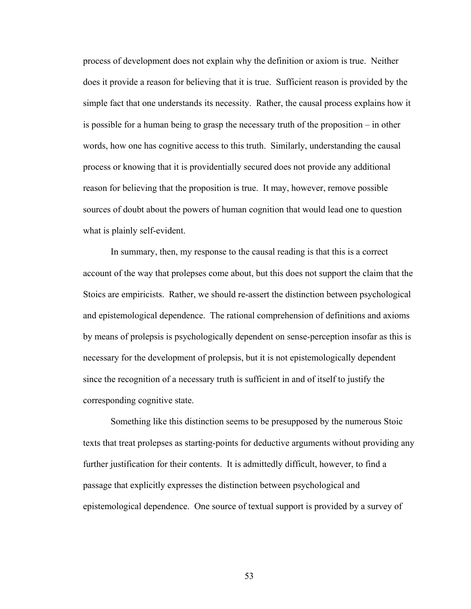process of development does not explain why the definition or axiom is true. Neither does it provide a reason for believing that it is true. Sufficient reason is provided by the simple fact that one understands its necessity. Rather, the causal process explains how it is possible for a human being to grasp the necessary truth of the proposition – in other words, how one has cognitive access to this truth. Similarly, understanding the causal process or knowing that it is providentially secured does not provide any additional reason for believing that the proposition is true. It may, however, remove possible sources of doubt about the powers of human cognition that would lead one to question what is plainly self-evident.

In summary, then, my response to the causal reading is that this is a correct account of the way that prolepses come about, but this does not support the claim that the Stoics are empiricists. Rather, we should re-assert the distinction between psychological and epistemological dependence. The rational comprehension of definitions and axioms by means of prolepsis is psychologically dependent on sense-perception insofar as this is necessary for the development of prolepsis, but it is not epistemologically dependent since the recognition of a necessary truth is sufficient in and of itself to justify the corresponding cognitive state.

Something like this distinction seems to be presupposed by the numerous Stoic texts that treat prolepses as starting-points for deductive arguments without providing any further justification for their contents. It is admittedly difficult, however, to find a passage that explicitly expresses the distinction between psychological and epistemological dependence. One source of textual support is provided by a survey of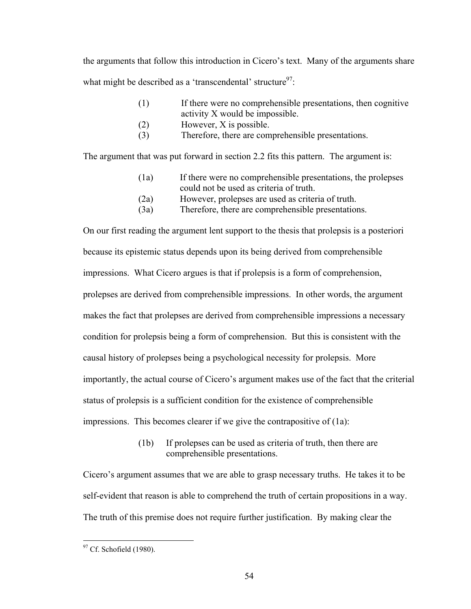the arguments that follow this introduction in Cicero's text. Many of the arguments share what might be described as a 'transcendental' structure $97$ :

- (1) If there were no comprehensible presentations, then cognitive activity X would be impossible.
- (2) However, X is possible.
- (3) Therefore, there are comprehensible presentations.

The argument that was put forward in section 2.2 fits this pattern. The argument is:

- (1a) If there were no comprehensible presentations, the prolepses could not be used as criteria of truth.
- (2a) However, prolepses are used as criteria of truth.
- (3a) Therefore, there are comprehensible presentations.

On our first reading the argument lent support to the thesis that prolepsis is a posteriori because its epistemic status depends upon its being derived from comprehensible impressions. What Cicero argues is that if prolepsis is a form of comprehension, prolepses are derived from comprehensible impressions. In other words, the argument makes the fact that prolepses are derived from comprehensible impressions a necessary condition for prolepsis being a form of comprehension. But this is consistent with the causal history of prolepses being a psychological necessity for prolepsis. More importantly, the actual course of Cicero's argument makes use of the fact that the criterial status of prolepsis is a sufficient condition for the existence of comprehensible impressions. This becomes clearer if we give the contrapositive of (1a):

> (1b) If prolepses can be used as criteria of truth, then there are comprehensible presentations.

Cicero's argument assumes that we are able to grasp necessary truths. He takes it to be self-evident that reason is able to comprehend the truth of certain propositions in a way. The truth of this premise does not require further justification. By making clear the

<span id="page-59-0"></span> $97$  Cf. Schofield (1980).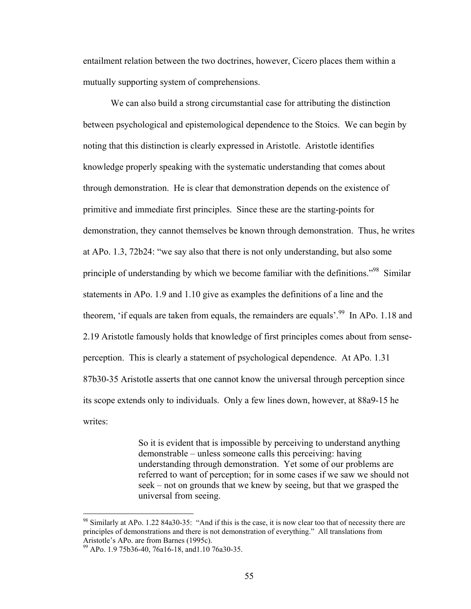entailment relation between the two doctrines, however, Cicero places them within a mutually supporting system of comprehensions.

We can also build a strong circumstantial case for attributing the distinction between psychological and epistemological dependence to the Stoics. We can begin by noting that this distinction is clearly expressed in Aristotle. Aristotle identifies knowledge properly speaking with the systematic understanding that comes about through demonstration. He is clear that demonstration depends on the existence of primitive and immediate first principles. Since these are the starting-points for demonstration, they cannot themselves be known through demonstration. Thus, he writes at APo. 1.3, 72b24: "we say also that there is not only understanding, but also some principle of understanding by which we become familiar with the definitions."<sup>98</sup> Similar statements in APo. 1.9 and 1.10 give as examples the definitions of a line and the theorem, 'if equals are taken from equals, the remainders are equals'.<sup>99</sup> In APo. 1.18 and 2.19 Aristotle famously holds that knowledge of first principles comes about from senseperception. This is clearly a statement of psychological dependence. At APo. 1.31 87b30-35 Aristotle asserts that one cannot know the universal through perception since its scope extends only to individuals. Only a few lines down, however, at 88a9-15 he writes:

> So it is evident that is impossible by perceiving to understand anything demonstrable – unless someone calls this perceiving: having understanding through demonstration. Yet some of our problems are referred to want of perception; for in some cases if we saw we should not seek – not on grounds that we knew by seeing, but that we grasped the universal from seeing.

<u>.</u>

<span id="page-60-0"></span><sup>98</sup> Similarly at APo. 1.22 84a30-35: "And if this is the case, it is now clear too that of necessity there are principles of demonstrations and there is not demonstration of everything." All translations from Aristotle's APo. are from Barnes (1995c).

<span id="page-60-1"></span><sup>&</sup>lt;sup>99</sup> APo. 1.9 75b36-40, 76a16-18, and1.10 76a30-35.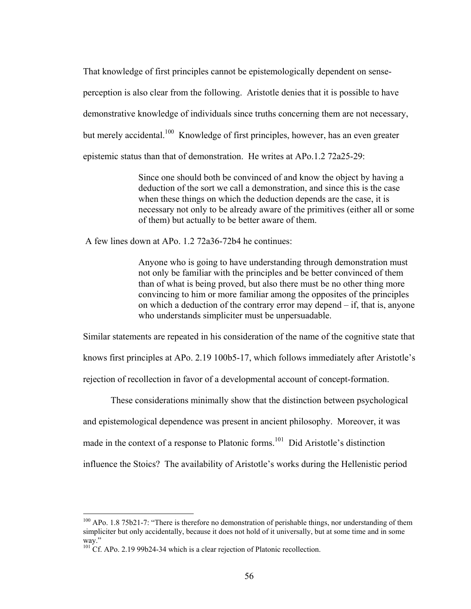That knowledge of first principles cannot be epistemologically dependent on senseperception is also clear from the following. Aristotle denies that it is possible to have demonstrative knowledge of individuals since truths concerning them are not necessary, but merely accidental.<sup>100</sup> Knowledge of first principles, however, has an even greater epistemic status than that of demonstration. He writes at APo.1.2 72a25-29:

> Since one should both be convinced of and know the object by having a deduction of the sort we call a demonstration, and since this is the case when these things on which the deduction depends are the case, it is necessary not only to be already aware of the primitives (either all or some of them) but actually to be better aware of them.

A few lines down at APo. 1.2 72a36-72b4 he continues:

Anyone who is going to have understanding through demonstration must not only be familiar with the principles and be better convinced of them than of what is being proved, but also there must be no other thing more convincing to him or more familiar among the opposites of the principles on which a deduction of the contrary error may depend – if, that is, anyone who understands simpliciter must be unpersuadable.

Similar statements are repeated in his consideration of the name of the cognitive state that

knows first principles at APo. 2.19 100b5-17, which follows immediately after Aristotle's

rejection of recollection in favor of a developmental account of concept-formation.

These considerations minimally show that the distinction between psychological

and epistemological dependence was present in ancient philosophy. Moreover, it was

made in the context of a response to Platonic forms.<sup>101</sup> Did Aristotle's distinction

influence the Stoics? The availability of Aristotle's works during the Hellenistic period

<u>.</u>

<span id="page-61-0"></span><sup>&</sup>lt;sup>100</sup> APo. 1.8 75b21-7: "There is therefore no demonstration of perishable things, nor understanding of them simpliciter but only accidentally, because it does not hold of it universally, but at some time and in some way."<br><sup>101</sup> Cf. APo. 2.19 99b24-34 which is a clear rejection of Platonic recollection.

<span id="page-61-1"></span>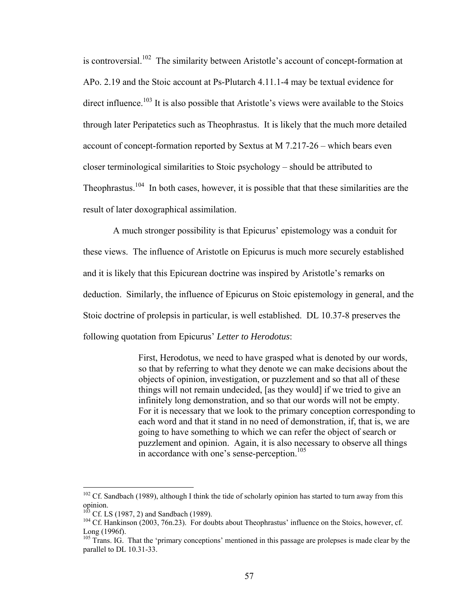is controversial.<sup>102</sup> The similarity between Aristotle's account of concept-formation at APo. 2.19 and the Stoic account at Ps-Plutarch 4.11.1-4 may be textual evidence for direct influence.<sup>103</sup> It is also possible that Aristotle's views were available to the Stoics through later Peripatetics such as Theophrastus. It is likely that the much more detailed account of concept-formation reported by Sextus at M 7.217-26 – which bears even closer terminological similarities to Stoic psychology – should be attributed to Theophrastus.<sup>104</sup> In both cases, however, it is possible that that these similarities are the result of later doxographical assimilation.

 A much stronger possibility is that Epicurus' epistemology was a conduit for these views. The influence of Aristotle on Epicurus is much more securely established and it is likely that this Epicurean doctrine was inspired by Aristotle's remarks on deduction. Similarly, the influence of Epicurus on Stoic epistemology in general, and the Stoic doctrine of prolepsis in particular, is well established. DL 10.37-8 preserves the following quotation from Epicurus' *Letter to Herodotus*:

> First, Herodotus, we need to have grasped what is denoted by our words, so that by referring to what they denote we can make decisions about the objects of opinion, investigation, or puzzlement and so that all of these things will not remain undecided, [as they would] if we tried to give an infinitely long demonstration, and so that our words will not be empty. For it is necessary that we look to the primary conception corresponding to each word and that it stand in no need of demonstration, if, that is, we are going to have something to which we can refer the object of search or puzzlement and opinion. Again, it is also necessary to observe all things in accordance with one's sense-perception.<sup>105</sup>

<span id="page-62-0"></span> $102$  Cf. Sandbach (1989), although I think the tide of scholarly opinion has started to turn away from this opinion.<br><sup>103</sup> Cf. LS (1987, 2) and Sandbach (1989).<br><sup>104</sup> Cf. Hankinson (2003, 76n.23). For doubts about Theophrastus' influence on the Stoics, however, cf.

<span id="page-62-1"></span>

<span id="page-62-2"></span>Long (1996f).<br><sup>105</sup> Trans. IG. That the 'primary conceptions' mentioned in this passage are prolepses is made clear by the

<span id="page-62-3"></span>parallel to DL 10.31-33.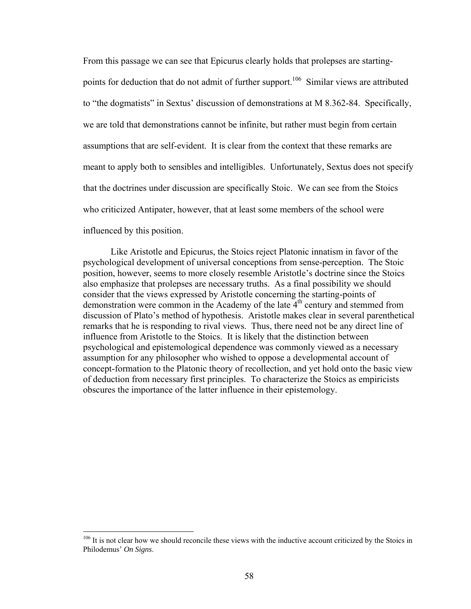From this passage we can see that Epicurus clearly holds that prolepses are startingpoints for deduction that do not admit of further support.<sup>106</sup> Similar views are attributed to "the dogmatists" in Sextus' discussion of demonstrations at M 8.362-84. Specifically, we are told that demonstrations cannot be infinite, but rather must begin from certain assumptions that are self-evident. It is clear from the context that these remarks are meant to apply both to sensibles and intelligibles. Unfortunately, Sextus does not specify that the doctrines under discussion are specifically Stoic. We can see from the Stoics who criticized Antipater, however, that at least some members of the school were influenced by this position.

Like Aristotle and Epicurus, the Stoics reject Platonic innatism in favor of the psychological development of universal conceptions from sense-perception. The Stoic position, however, seems to more closely resemble Aristotle's doctrine since the Stoics also emphasize that prolepses are necessary truths. As a final possibility we should consider that the views expressed by Aristotle concerning the starting-points of demonstration were common in the Academy of the late  $4<sup>th</sup>$  century and stemmed from discussion of Plato's method of hypothesis. Aristotle makes clear in several parenthetical remarks that he is responding to rival views. Thus, there need not be any direct line of influence from Aristotle to the Stoics. It is likely that the distinction between psychological and epistemological dependence was commonly viewed as a necessary assumption for any philosopher who wished to oppose a developmental account of concept-formation to the Platonic theory of recollection, and yet hold onto the basic view of deduction from necessary first principles. To characterize the Stoics as empiricists obscures the importance of the latter influence in their epistemology.

<span id="page-63-0"></span><sup>&</sup>lt;sup>106</sup> It is not clear how we should reconcile these views with the inductive account criticized by the Stoics in Philodemus' *On Signs*.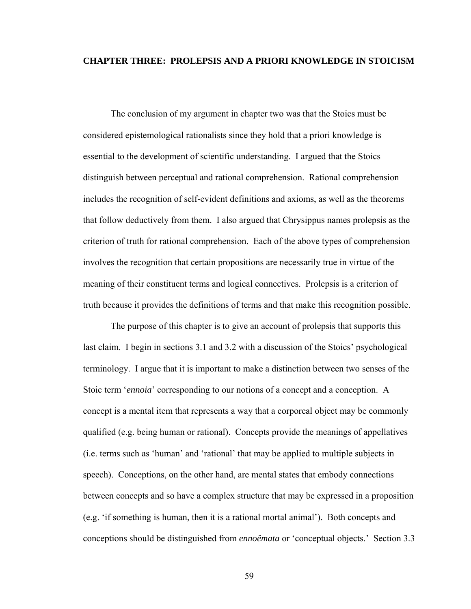### **CHAPTER THREE: PROLEPSIS AND A PRIORI KNOWLEDGE IN STOICISM**

The conclusion of my argument in chapter two was that the Stoics must be considered epistemological rationalists since they hold that a priori knowledge is essential to the development of scientific understanding. I argued that the Stoics distinguish between perceptual and rational comprehension. Rational comprehension includes the recognition of self-evident definitions and axioms, as well as the theorems that follow deductively from them. I also argued that Chrysippus names prolepsis as the criterion of truth for rational comprehension. Each of the above types of comprehension involves the recognition that certain propositions are necessarily true in virtue of the meaning of their constituent terms and logical connectives. Prolepsis is a criterion of truth because it provides the definitions of terms and that make this recognition possible.

The purpose of this chapter is to give an account of prolepsis that supports this last claim. I begin in sections 3.1 and 3.2 with a discussion of the Stoics' psychological terminology. I argue that it is important to make a distinction between two senses of the Stoic term *'ennoia'* corresponding to our notions of a concept and a conception. A concept is a mental item that represents a way that a corporeal object may be commonly qualified (e.g. being human or rational). Concepts provide the meanings of appellatives (i.e. terms such as 'human' and 'rational' that may be applied to multiple subjects in speech). Conceptions, on the other hand, are mental states that embody connections between concepts and so have a complex structure that may be expressed in a proposition (e.g. 'if something is human, then it is a rational mortal animal'). Both concepts and conceptions should be distinguished from *ennoêmata* or 'conceptual objects.' Section 3.3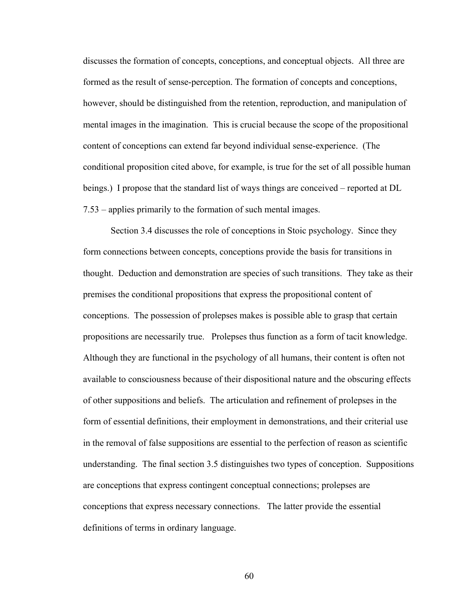discusses the formation of concepts, conceptions, and conceptual objects. All three are formed as the result of sense-perception. The formation of concepts and conceptions, however, should be distinguished from the retention, reproduction, and manipulation of mental images in the imagination. This is crucial because the scope of the propositional content of conceptions can extend far beyond individual sense-experience. (The conditional proposition cited above, for example, is true for the set of all possible human beings.) I propose that the standard list of ways things are conceived – reported at DL 7.53 – applies primarily to the formation of such mental images.

Section 3.4 discusses the role of conceptions in Stoic psychology. Since they form connections between concepts, conceptions provide the basis for transitions in thought. Deduction and demonstration are species of such transitions. They take as their premises the conditional propositions that express the propositional content of conceptions. The possession of prolepses makes is possible able to grasp that certain propositions are necessarily true. Prolepses thus function as a form of tacit knowledge. Although they are functional in the psychology of all humans, their content is often not available to consciousness because of their dispositional nature and the obscuring effects of other suppositions and beliefs. The articulation and refinement of prolepses in the form of essential definitions, their employment in demonstrations, and their criterial use in the removal of false suppositions are essential to the perfection of reason as scientific understanding. The final section 3.5 distinguishes two types of conception. Suppositions are conceptions that express contingent conceptual connections; prolepses are conceptions that express necessary connections. The latter provide the essential definitions of terms in ordinary language.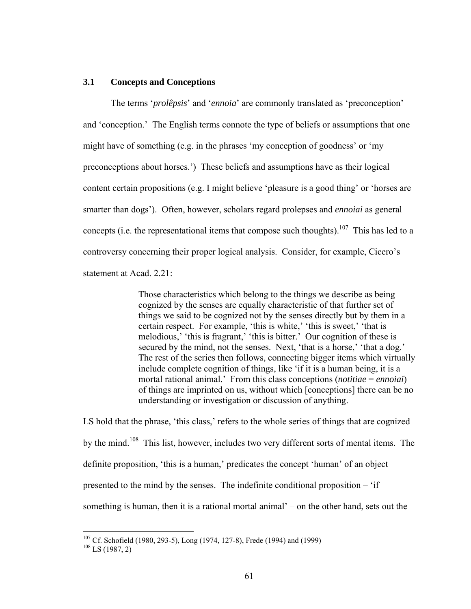#### **3.1 Concepts and Conceptions**

The terms '*prolêpsis*' and '*ennoia*' are commonly translated as 'preconception' and 'conception.' The English terms connote the type of beliefs or assumptions that one might have of something (e.g. in the phrases 'my conception of goodness' or 'my preconceptions about horses.') These beliefs and assumptions have as their logical content certain propositions (e.g. I might believe 'pleasure is a good thing' or 'horses are smarter than dogs'). Often, however, scholars regard prolepses and *ennoiai* as general concepts (i.e. the representational items that compose such thoughts).<sup>107</sup> This has led to a controversy concerning their proper logical analysis. Consider, for example, Cicero's statement at Acad. 2.21:

> Those characteristics which belong to the things we describe as being cognized by the senses are equally characteristic of that further set of things we said to be cognized not by the senses directly but by them in a certain respect. For example, 'this is white,' 'this is sweet,' 'that is melodious,' 'this is fragrant,' 'this is bitter.' Our cognition of these is secured by the mind, not the senses. Next, 'that is a horse,' 'that a dog.' The rest of the series then follows, connecting bigger items which virtually include complete cognition of things, like 'if it is a human being, it is a mortal rational animal.' From this class conceptions (*notitiae* = *ennoiai*) of things are imprinted on us, without which [conceptions] there can be no understanding or investigation or discussion of anything.

LS hold that the phrase, 'this class,' refers to the whole series of things that are cognized by the mind.<sup>108</sup> This list, however, includes two very different sorts of mental items. The definite proposition, 'this is a human,' predicates the concept 'human' of an object presented to the mind by the senses. The indefinite conditional proposition – 'if something is human, then it is a rational mortal animal' – on the other hand, sets out the

<span id="page-66-0"></span><sup>&</sup>lt;sup>107</sup> Cf. Schofield (1980, 293-5), Long (1974, 127-8), Frede (1994) and (1999) <sup>108</sup> LS (1987, 2)

<span id="page-66-1"></span>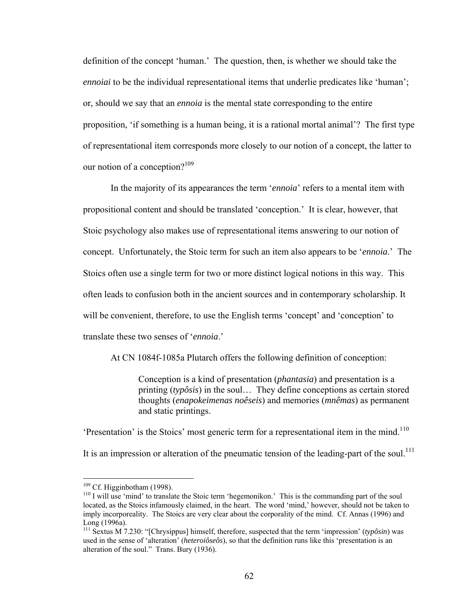definition of the concept 'human.' The question, then, is whether we should take the *ennoiai* to be the individual representational items that underlie predicates like 'human'; or, should we say that an *ennoia* is the mental state corresponding to the entire proposition, 'if something is a human being, it is a rational mortal animal'? The first type of representational item corresponds more closely to our notion of a concept, the latter to our notion of a conception? $109$ 

In the majority of its appearances the term '*ennoia*' refers to a mental item with propositional content and should be translated 'conception.' It is clear, however, that Stoic psychology also makes use of representational items answering to our notion of concept. Unfortunately, the Stoic term for such an item also appears to be '*ennoia*.' The Stoics often use a single term for two or more distinct logical notions in this way. This often leads to confusion both in the ancient sources and in contemporary scholarship. It will be convenient, therefore, to use the English terms 'concept' and 'conception' to translate these two senses of '*ennoia*.'

At CN 1084f-1085a Plutarch offers the following definition of conception:

Conception is a kind of presentation (*phantasia*) and presentation is a printing (*typôsis*) in the soul… They define conceptions as certain stored thoughts (*enapokeimenas noêseis*) and memories (*mnêmas*) as permanent and static printings.

'Presentation' is the Stoics' most generic term for a representational item in the mind.<sup>110</sup> It is an impression or alteration of the pneumatic tension of the leading-part of the soul.<sup>111</sup>

<span id="page-67-0"></span> $109$  Cf. Higginbotham (1998).

<span id="page-67-1"></span> $110$  I will use 'mind' to translate the Stoic term 'hegemonikon.' This is the commanding part of the soul located, as the Stoics infamously claimed, in the heart. The word 'mind,' however, should not be taken to imply incorporeality. The Stoics are very clear about the corporality of the mind. Cf. Annas (1996) and Long (1996a).<br><sup>111</sup> Sextus M 7.230: "[Chrysippus] himself, therefore, suspected that the term 'impression' (*typôsin*) was

<span id="page-67-2"></span>used in the sense of 'alteration' (*heteroiôseôs*), so that the definition runs like this 'presentation is an alteration of the soul." Trans. Bury (1936).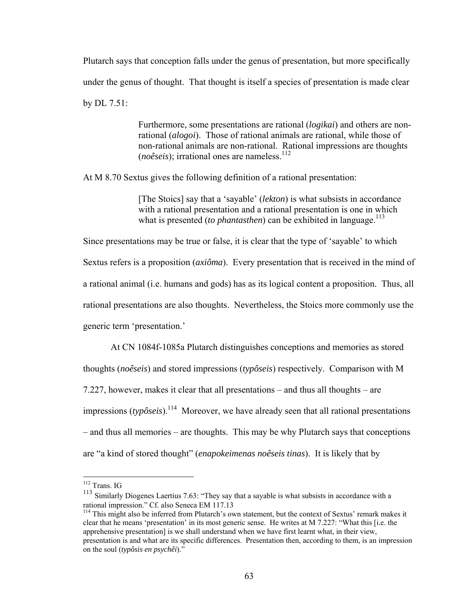Plutarch says that conception falls under the genus of presentation, but more specifically under the genus of thought. That thought is itself a species of presentation is made clear by DL 7.51:

> Furthermore, some presentations are rational (*logikai*) and others are nonrational (*alogoi*). Those of rational animals are rational, while those of non-rational animals are non-rational. Rational impressions are thoughts  $(no\hat{e}seis)$ ; irrational ones are nameless.<sup>112</sup>

At M 8.70 Sextus gives the following definition of a rational presentation:

[The Stoics] say that a 'sayable' (*lekton*) is what subsists in accordance with a rational presentation and a rational presentation is one in which what is presented (*to phantasthen*) can be exhibited in language.<sup>[113](#page-68-1)</sup>

Since presentations may be true or false, it is clear that the type of 'sayable' to which Sextus refers is a proposition (*axiôma*). Every presentation that is received in the mind of a rational animal (i.e. humans and gods) has as its logical content a proposition. Thus, all rational presentations are also thoughts. Nevertheless, the Stoics more commonly use the generic term 'presentation.'

At CN 1084f-1085a Plutarch distinguishes conceptions and memories as stored thoughts (*noêseis*) and stored impressions (*typôseis*) respectively. Comparison with M 7.227, however, makes it clear that all presentations – and thus all thoughts – are impressions  $(typ\delta seis)$ .<sup>114</sup> Moreover, we have already seen that all rational presentations – and thus all memories – are thoughts. This may be why Plutarch says that conceptions are "a kind of stored thought" (*enapokeimenas noêseis tinas*). It is likely that by

<span id="page-68-0"></span><sup>112</sup> Trans. IG

<span id="page-68-1"></span><sup>&</sup>lt;sup>113</sup> Similarly Diogenes Laertius 7.63: "They say that a sayable is what subsists in accordance with a rational impression." Cf. also Seneca EM 117.13<br><sup>114</sup> This might also be inferred from Plutarch's own statement, but the context of Sextus' remark makes it

<span id="page-68-2"></span>clear that he means 'presentation' in its most generic sense. He writes at M 7.227: "What this [i.e. the apprehensive presentation] is we shall understand when we have first learnt what, in their view, presentation is and what are its specific differences. Presentation then, according to them, is an impression on the soul (*typôsis en psychêi*)."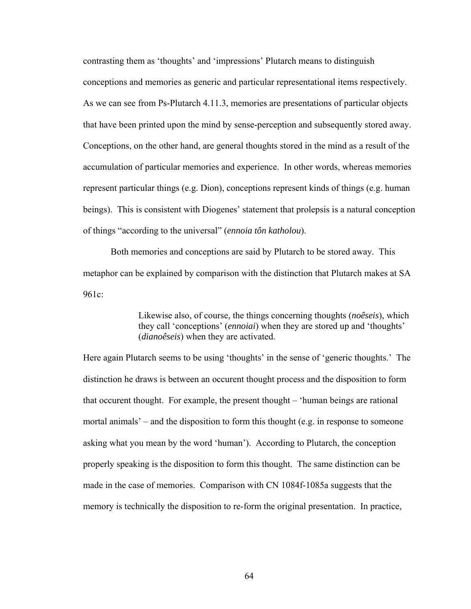contrasting them as 'thoughts' and 'impressions' Plutarch means to distinguish conceptions and memories as generic and particular representational items respectively. As we can see from Ps-Plutarch 4.11.3, memories are presentations of particular objects that have been printed upon the mind by sense-perception and subsequently stored away. Conceptions, on the other hand, are general thoughts stored in the mind as a result of the accumulation of particular memories and experience. In other words, whereas memories represent particular things (e.g. Dion), conceptions represent kinds of things (e.g. human beings). This is consistent with Diogenes' statement that prolepsis is a natural conception of things "according to the universal" (*ennoia tôn katholou*).

Both memories and conceptions are said by Plutarch to be stored away. This metaphor can be explained by comparison with the distinction that Plutarch makes at SA 961c:

> Likewise also, of course, the things concerning thoughts (*noêseis*), which they call 'conceptions' (*ennoiai*) when they are stored up and 'thoughts' (*dianoêseis*) when they are activated.

Here again Plutarch seems to be using 'thoughts' in the sense of 'generic thoughts.' The distinction he draws is between an occurent thought process and the disposition to form that occurent thought. For example, the present thought – 'human beings are rational mortal animals' – and the disposition to form this thought (e.g. in response to someone asking what you mean by the word 'human'). According to Plutarch, the conception properly speaking is the disposition to form this thought. The same distinction can be made in the case of memories. Comparison with CN 1084f-1085a suggests that the memory is technically the disposition to re-form the original presentation. In practice,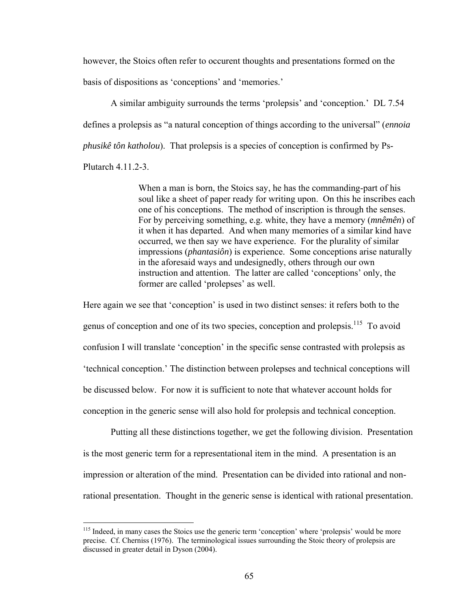however, the Stoics often refer to occurent thoughts and presentations formed on the basis of dispositions as 'conceptions' and 'memories.'

A similar ambiguity surrounds the terms 'prolepsis' and 'conception.' DL 7.54 defines a prolepsis as "a natural conception of things according to the universal" (*ennoia phusikê tôn katholou*). That prolepsis is a species of conception is confirmed by Ps-Plutarch 4.11.2-3.

> When a man is born, the Stoics say, he has the commanding-part of his soul like a sheet of paper ready for writing upon. On this he inscribes each one of his conceptions. The method of inscription is through the senses. For by perceiving something, e.g. white, they have a memory (*mnêmên*) of it when it has departed. And when many memories of a similar kind have occurred, we then say we have experience. For the plurality of similar impressions (*phantasiôn*) is experience. Some conceptions arise naturally in the aforesaid ways and undesignedly, others through our own instruction and attention. The latter are called 'conceptions' only, the former are called 'prolepses' as well.

Here again we see that 'conception' is used in two distinct senses: it refers both to the genus of conception and one of its two species, conception and prolepsis.[115](#page-70-0) To avoid confusion I will translate 'conception' in the specific sense contrasted with prolepsis as 'technical conception.' The distinction between prolepses and technical conceptions will be discussed below. For now it is sufficient to note that whatever account holds for conception in the generic sense will also hold for prolepsis and technical conception.

Putting all these distinctions together, we get the following division. Presentation is the most generic term for a representational item in the mind. A presentation is an impression or alteration of the mind. Presentation can be divided into rational and nonrational presentation. Thought in the generic sense is identical with rational presentation.

<span id="page-70-0"></span><sup>&</sup>lt;sup>115</sup> Indeed, in many cases the Stoics use the generic term 'conception' where 'prolepsis' would be more precise. Cf. Cherniss (1976). The terminological issues surrounding the Stoic theory of prolepsis are discussed in greater detail in Dyson (2004).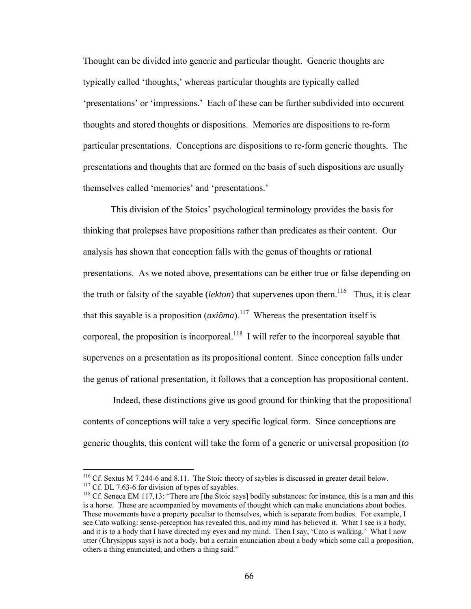Thought can be divided into generic and particular thought. Generic thoughts are typically called 'thoughts,' whereas particular thoughts are typically called 'presentations' or 'impressions.' Each of these can be further subdivided into occurent thoughts and stored thoughts or dispositions. Memories are dispositions to re-form particular presentations. Conceptions are dispositions to re-form generic thoughts. The presentations and thoughts that are formed on the basis of such dispositions are usually themselves called 'memories' and 'presentations.'

This division of the Stoics' psychological terminology provides the basis for thinking that prolepses have propositions rather than predicates as their content. Our analysis has shown that conception falls with the genus of thoughts or rational presentations. As we noted above, presentations can be either true or false depending on the truth or falsity of the sayable (*lekton*) that supervenes upon them. [116](#page-71-0) Thus, it is clear that this sayable is a proposition  $(axiôma)$ <sup>117</sup> Whereas the presentation itself is corporeal, the proposition is incorporeal.<sup>118</sup> I will refer to the incorporeal sayable that supervenes on a presentation as its propositional content. Since conception falls under the genus of rational presentation, it follows that a conception has propositional content.

 Indeed, these distinctions give us good ground for thinking that the propositional contents of conceptions will take a very specific logical form. Since conceptions are generic thoughts, this content will take the form of a generic or universal proposition (*to* 

<span id="page-71-1"></span><span id="page-71-0"></span><sup>&</sup>lt;sup>116</sup> Cf. Sextus M 7.244-6 and 8.11. The Stoic theory of saybles is discussed in greater detail below.<br><sup>117</sup> Cf. DL 7.63-6 for division of types of sayables.<br><sup>118</sup> Cf. Seneca EM 117,13: "There are [the Stoic says] bodily

<span id="page-71-2"></span>is a horse. These are accompanied by movements of thought which can make enunciations about bodies. These movements have a property peculiar to themselves, which is separate from bodies. For example, I see Cato walking: sense-perception has revealed this, and my mind has believed it. What I see is a body, and it is to a body that I have directed my eyes and my mind. Then I say, 'Cato is walking.' What I now utter (Chrysippus says) is not a body, but a certain enunciation about a body which some call a proposition, others a thing enunciated, and others a thing said."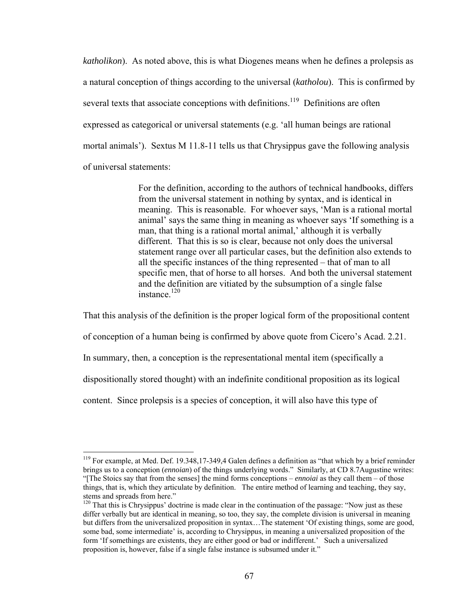*katholikon*). As noted above, this is what Diogenes means when he defines a prolepsis as a natural conception of things according to the universal (*katholou*). This is confirmed by several texts that associate conceptions with definitions.<sup>119</sup> Definitions are often expressed as categorical or universal statements (e.g. 'all human beings are rational mortal animals'). Sextus M 11.8-11 tells us that Chrysippus gave the following analysis of universal statements:

> For the definition, according to the authors of technical handbooks, differs from the universal statement in nothing by syntax, and is identical in meaning. This is reasonable. For whoever says, 'Man is a rational mortal animal' says the same thing in meaning as whoever says 'If something is a man, that thing is a rational mortal animal,' although it is verbally different. That this is so is clear, because not only does the universal statement range over all particular cases, but the definition also extends to all the specific instances of the thing represented – that of man to all specific men, that of horse to all horses. And both the universal statement and the definition are vitiated by the subsumption of a single false instance[.120](#page-72-1)

That this analysis of the definition is the proper logical form of the propositional content of conception of a human being is confirmed by above quote from Cicero's Acad. 2.21. In summary, then, a conception is the representational mental item (specifically a dispositionally stored thought) with an indefinite conditional proposition as its logical content. Since prolepsis is a species of conception, it will also have this type of

<span id="page-72-0"></span><sup>&</sup>lt;sup>119</sup> For example, at Med. Def. 19.348,17-349,4 Galen defines a definition as "that which by a brief reminder brings us to a conception (*ennoian*) of the things underlying words." Similarly, at CD 8.7Augustine writes: "[The Stoics say that from the senses] the mind forms conceptions – *ennoiai* as they call them – of those things, that is, which they articulate by definition. The entire method of learning and teaching, they say, stems and spreads from here."

<span id="page-72-1"></span> $120$  That this is Chrysippus' doctrine is made clear in the continuation of the passage: "Now just as these differ verbally but are identical in meaning, so too, they say, the complete division is universal in meaning but differs from the universalized proposition in syntax…The statement 'Of existing things, some are good, some bad, some intermediate' is, according to Chrysippus, in meaning a universalized proposition of the form 'If somethings are existents, they are either good or bad or indifferent.' Such a universalized proposition is, however, false if a single false instance is subsumed under it."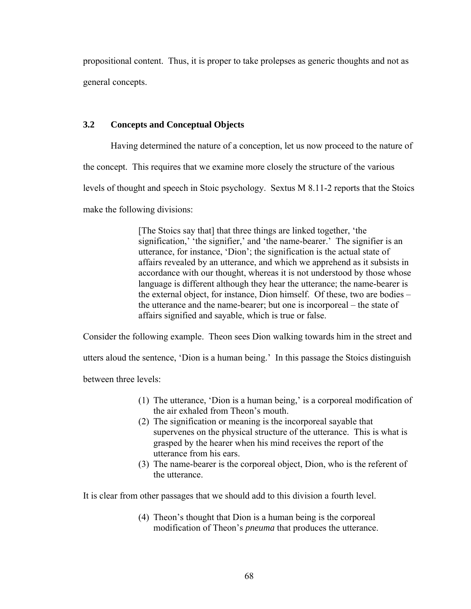propositional content. Thus, it is proper to take prolepses as generic thoughts and not as general concepts.

# **3.2 Concepts and Conceptual Objects**

Having determined the nature of a conception, let us now proceed to the nature of

the concept. This requires that we examine more closely the structure of the various

levels of thought and speech in Stoic psychology. Sextus M 8.11-2 reports that the Stoics

make the following divisions:

[The Stoics say that] that three things are linked together, 'the signification,' 'the signifier,' and 'the name-bearer.' The signifier is an utterance, for instance, 'Dion'; the signification is the actual state of affairs revealed by an utterance, and which we apprehend as it subsists in accordance with our thought, whereas it is not understood by those whose language is different although they hear the utterance; the name-bearer is the external object, for instance, Dion himself. Of these, two are bodies – the utterance and the name-bearer; but one is incorporeal – the state of affairs signified and sayable, which is true or false.

Consider the following example. Theon sees Dion walking towards him in the street and

utters aloud the sentence, 'Dion is a human being.' In this passage the Stoics distinguish

between three levels:

- (1) The utterance, 'Dion is a human being,' is a corporeal modification of the air exhaled from Theon's mouth.
- (2) The signification or meaning is the incorporeal sayable that supervenes on the physical structure of the utterance. This is what is grasped by the hearer when his mind receives the report of the utterance from his ears.
- (3) The name-bearer is the corporeal object, Dion, who is the referent of the utterance.

It is clear from other passages that we should add to this division a fourth level.

(4) Theon's thought that Dion is a human being is the corporeal modification of Theon's *pneuma* that produces the utterance.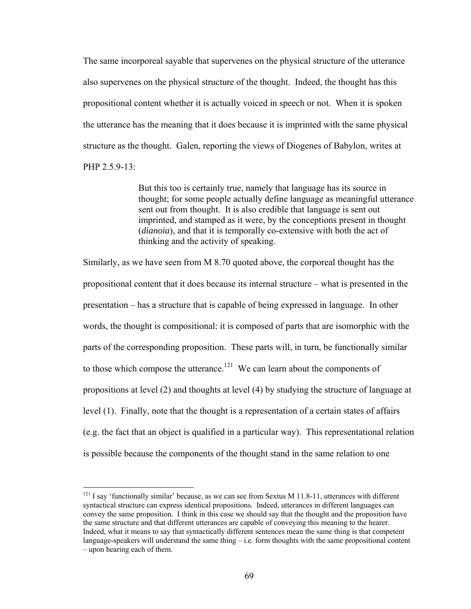The same incorporeal sayable that supervenes on the physical structure of the utterance also supervenes on the physical structure of the thought. Indeed, the thought has this propositional content whether it is actually voiced in speech or not. When it is spoken the utterance has the meaning that it does because it is imprinted with the same physical structure as the thought. Galen, reporting the views of Diogenes of Babylon, writes at PHP 2.5.9-13:

> But this too is certainly true, namely that language has its source in thought; for some people actually define language as meaningful utterance sent out from thought. It is also credible that language is sent out imprinted, and stamped as it were, by the conceptions present in thought (*dianoia*), and that it is temporally co-extensive with both the act of thinking and the activity of speaking.

Similarly, as we have seen from M 8.70 quoted above, the corporeal thought has the propositional content that it does because its internal structure – what is presented in the presentation – has a structure that is capable of being expressed in language. In other words, the thought is compositional: it is composed of parts that are isomorphic with the parts of the corresponding proposition. These parts will, in turn, be functionally similar to those which compose the utterance.<sup>121</sup> We can learn about the components of propositions at level (2) and thoughts at level (4) by studying the structure of language at level (1). Finally, note that the thought is a representation of a certain states of affairs (e.g. the fact that an object is qualified in a particular way). This representational relation is possible because the components of the thought stand in the same relation to one

<span id="page-74-0"></span> $121$  I say 'functionally similar' because, as we can see from Sextus M 11.8-11, utterances with different syntactical structure can express identical propositions. Indeed, utterances in different languages can convey the same proposition. I think in this case we should say that the thought and the proposition have the same structure and that different utterances are capable of conveying this meaning to the hearer. Indeed, what it means to say that syntactically different sentences mean the same thing is that competent language-speakers will understand the same thing – i.e. form thoughts with the same propositional content – upon hearing each of them.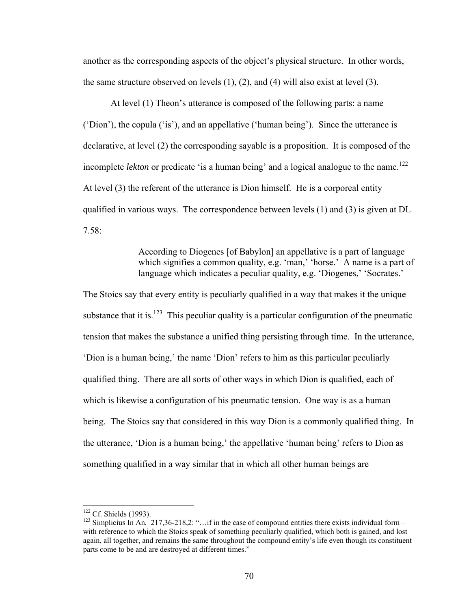another as the corresponding aspects of the object's physical structure. In other words, the same structure observed on levels (1), (2), and (4) will also exist at level (3).

At level (1) Theon's utterance is composed of the following parts: a name ('Dion'), the copula ('is'), and an appellative ('human being'). Since the utterance is declarative, at level (2) the corresponding sayable is a proposition. It is composed of the incomplete *lekton* or predicate 'is a human being' and a logical analogue to the name.<sup>122</sup> At level (3) the referent of the utterance is Dion himself. He is a corporeal entity qualified in various ways. The correspondence between levels  $(1)$  and  $(3)$  is given at DL 7.58:

> According to Diogenes [of Babylon] an appellative is a part of language which signifies a common quality, e.g. 'man,' 'horse.' A name is a part of language which indicates a peculiar quality, e.g. 'Diogenes,' 'Socrates.'

The Stoics say that every entity is peculiarly qualified in a way that makes it the unique substance that it is.<sup>123</sup> This peculiar quality is a particular configuration of the pneumatic tension that makes the substance a unified thing persisting through time. In the utterance, 'Dion is a human being,' the name 'Dion' refers to him as this particular peculiarly qualified thing. There are all sorts of other ways in which Dion is qualified, each of which is likewise a configuration of his pneumatic tension. One way is as a human being. The Stoics say that considered in this way Dion is a commonly qualified thing. In the utterance, 'Dion is a human being,' the appellative 'human being' refers to Dion as something qualified in a way similar that in which all other human beings are

<span id="page-75-0"></span><sup>&</sup>lt;sup>122</sup> Cf. Shields (1993).

<span id="page-75-1"></span><sup>&</sup>lt;sup>123</sup> Simplicius In An.  $217,36-218,2$ : "…if in the case of compound entities there exists individual form – with reference to which the Stoics speak of something peculiarly qualified, which both is gained, and lost again, all together, and remains the same throughout the compound entity's life even though its constituent parts come to be and are destroyed at different times."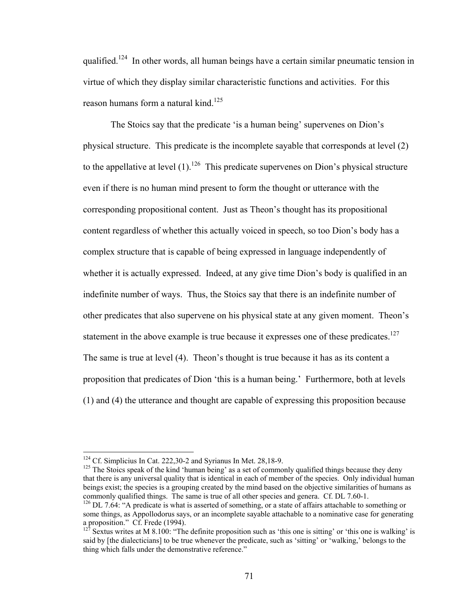qualified.[124](#page-76-0) In other words, all human beings have a certain similar pneumatic tension in virtue of which they display similar characteristic functions and activities. For this reason humans form a natural kind.<sup>125</sup>

The Stoics say that the predicate 'is a human being' supervenes on Dion's physical structure. This predicate is the incomplete sayable that corresponds at level (2) to the appellative at level  $(1)$ .<sup>126</sup> This predicate supervenes on Dion's physical structure even if there is no human mind present to form the thought or utterance with the corresponding propositional content. Just as Theon's thought has its propositional content regardless of whether this actually voiced in speech, so too Dion's body has a complex structure that is capable of being expressed in language independently of whether it is actually expressed. Indeed, at any give time Dion's body is qualified in an indefinite number of ways. Thus, the Stoics say that there is an indefinite number of other predicates that also supervene on his physical state at any given moment. Theon's statement in the above example is true because it expresses one of these predicates.<sup>127</sup> The same is true at level (4). Theon's thought is true because it has as its content a proposition that predicates of Dion 'this is a human being.' Furthermore, both at levels (1) and (4) the utterance and thought are capable of expressing this proposition because

 $\overline{a}$ 

<sup>124</sup> Cf. Simplicius In Cat. 222,30-2 and Syrianus In Met. 28,18-9.<br><sup>125</sup> The Stoics speak of the kind 'human being' as a set of commonly qualified things because they deny that there is any universal quality that is identical in each of member of the species. Only individual human beings exist; the species is a grouping created by the mind based on the objective similarities of humans as commonly qualified things. The same is true of all other species and genera. Cf. DL 7.60-1.

<span id="page-76-1"></span><span id="page-76-0"></span>

<span id="page-76-2"></span><sup>&</sup>lt;sup>126</sup> DL 7.64: "A predicate is what is asserted of something, or a state of affairs attachable to something or some things, as Appollodorus says, or an incomplete sayable attachable to a nominative case for generating a proposition." Cf. Frede (1994).

<span id="page-76-3"></span> $127$  Sextus writes at M 8.100: "The definite proposition such as 'this one is sitting' or 'this one is walking' is said by [the dialecticians] to be true whenever the predicate, such as 'sitting' or 'walking,' belongs to the thing which falls under the demonstrative reference."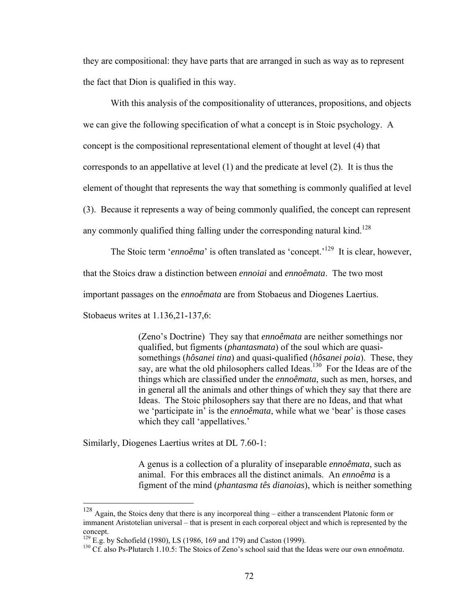they are compositional: they have parts that are arranged in such as way as to represent the fact that Dion is qualified in this way.

With this analysis of the compositionality of utterances, propositions, and objects we can give the following specification of what a concept is in Stoic psychology. A concept is the compositional representational element of thought at level (4) that corresponds to an appellative at level (1) and the predicate at level (2). It is thus the element of thought that represents the way that something is commonly qualified at level (3). Because it represents a way of being commonly qualified, the concept can represent any commonly qualified thing falling under the corresponding natural kind.<sup>128</sup>

The Stoic term '*ennoêma*' is often translated as 'concept.'<sup>129</sup> It is clear, however, that the Stoics draw a distinction between *ennoiai* and *ennoêmata*. The two most important passages on the *ennoêmata* are from Stobaeus and Diogenes Laertius.

Stobaeus writes at 1.136,21-137,6:

1

(Zeno's Doctrine) They say that *ennoêmata* are neither somethings nor qualified, but figments (*phantasmata*) of the soul which are quasisomethings (*hôsanei tina*) and quasi-qualified (*hôsanei poia*). These, they say, are what the old philosophers called Ideas.<sup>130</sup> For the Ideas are of the things which are classified under the *ennoêmata*, such as men, horses, and in general all the animals and other things of which they say that there are Ideas. The Stoic philosophers say that there are no Ideas, and that what we 'participate in' is the *ennoêmata*, while what we 'bear' is those cases which they call 'appellatives.'

Similarly, Diogenes Laertius writes at DL 7.60-1:

A genus is a collection of a plurality of inseparable *ennoêmata*, such as animal. For this embraces all the distinct animals. An *ennoêma* is a figment of the mind (*phantasma tês dianoias*), which is neither something

<span id="page-77-0"></span> $128$  Again, the Stoics deny that there is any incorporeal thing – either a transcendent Platonic form or immanent Aristotelian universal – that is present in each corporeal object and which is represented by the concept.<br><sup>129</sup> E.g. by Schofield (1980), LS (1986, 169 and 179) and Caston (1999).<br><sup>130</sup> Cf. also Ps-Plutarch 1.10.5: The Stoics of Zeno's school said that the Ideas were our own *ennoêmata*.

<span id="page-77-1"></span>

<span id="page-77-2"></span>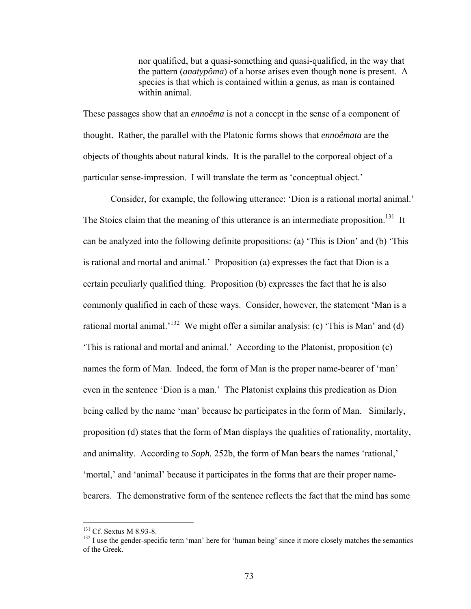nor qualified, but a quasi-something and quasi-qualified, in the way that the pattern (*anatypôma*) of a horse arises even though none is present. A species is that which is contained within a genus, as man is contained within animal.

These passages show that an *ennoêma* is not a concept in the sense of a component of thought. Rather, the parallel with the Platonic forms shows that *ennoêmata* are the objects of thoughts about natural kinds. It is the parallel to the corporeal object of a particular sense-impression. I will translate the term as 'conceptual object.'

Consider, for example, the following utterance: 'Dion is a rational mortal animal.' The Stoics claim that the meaning of this utterance is an intermediate proposition.<sup>131</sup> It can be analyzed into the following definite propositions: (a) 'This is Dion' and (b) 'This is rational and mortal and animal.' Proposition (a) expresses the fact that Dion is a certain peculiarly qualified thing. Proposition (b) expresses the fact that he is also commonly qualified in each of these ways. Consider, however, the statement 'Man is a rational mortal animal.<sup>'132</sup> We might offer a similar analysis: (c) 'This is Man' and (d) 'This is rational and mortal and animal.' According to the Platonist, proposition (c) names the form of Man. Indeed, the form of Man is the proper name-bearer of 'man' even in the sentence 'Dion is a man.' The Platonist explains this predication as Dion being called by the name 'man' because he participates in the form of Man. Similarly, proposition (d) states that the form of Man displays the qualities of rationality, mortality, and animality. According to *Soph.* 252b, the form of Man bears the names 'rational,' 'mortal,' and 'animal' because it participates in the forms that are their proper namebearers. The demonstrative form of the sentence reflects the fact that the mind has some

1

<span id="page-78-1"></span><span id="page-78-0"></span>

<sup>&</sup>lt;sup>131</sup> Cf. Sextus M 8.93-8.<br><sup>132</sup> I use the gender-specific term 'man' here for 'human being' since it more closely matches the semantics of the Greek.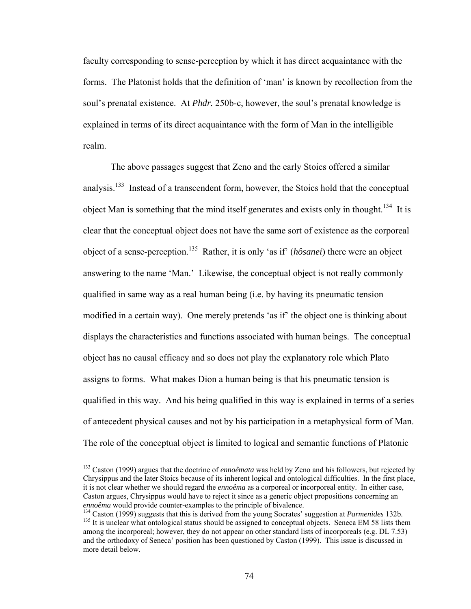faculty corresponding to sense-perception by which it has direct acquaintance with the forms. The Platonist holds that the definition of 'man' is known by recollection from the soul's prenatal existence. At *Phdr.* 250b-c, however, the soul's prenatal knowledge is explained in terms of its direct acquaintance with the form of Man in the intelligible realm.

The above passages suggest that Zeno and the early Stoics offered a similar analysis.<sup>133</sup> Instead of a transcendent form, however, the Stoics hold that the conceptual object Man is something that the mind itself generates and exists only in thought.<sup>134</sup> It is clear that the conceptual object does not have the same sort of existence as the corporeal object of a sense-perception[.135](#page-79-2) Rather, it is only 'as if' (*hôsanei*) there were an object answering to the name 'Man.' Likewise, the conceptual object is not really commonly qualified in same way as a real human being (i.e. by having its pneumatic tension modified in a certain way). One merely pretends 'as if' the object one is thinking about displays the characteristics and functions associated with human beings. The conceptual object has no causal efficacy and so does not play the explanatory role which Plato assigns to forms. What makes Dion a human being is that his pneumatic tension is qualified in this way. And his being qualified in this way is explained in terms of a series of antecedent physical causes and not by his participation in a metaphysical form of Man. The role of the conceptual object is limited to logical and semantic functions of Platonic

1

<span id="page-79-0"></span><sup>133</sup> Caston (1999) argues that the doctrine of *ennoêmata* was held by Zeno and his followers, but rejected by Chrysippus and the later Stoics because of its inherent logical and ontological difficulties. In the first place, it is not clear whether we should regard the *ennoêma* as a corporeal or incorporeal entity. In either case, Caston argues, Chrysippus would have to reject it since as a generic object propositions concerning an *ennoêma* would provide counter-examples to the principle of bivalence.<br><sup>134</sup> Caston (1999) suggests that this is derived from the young Socrates' suggestion at *Parmenides* 132b.<br><sup>135</sup> It is unclear what ontological statu

<span id="page-79-1"></span>

<span id="page-79-2"></span>among the incorporeal; however, they do not appear on other standard lists of incorporeals (e.g. DL 7.53) and the orthodoxy of Seneca' position has been questioned by Caston (1999). This issue is discussed in more detail below.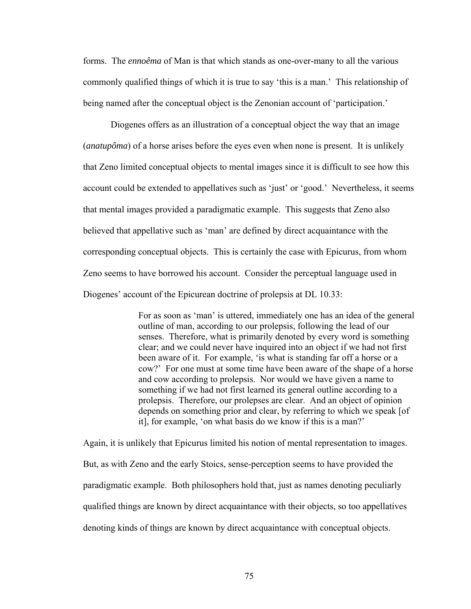forms. The *ennoêma* of Man is that which stands as one-over-many to all the various commonly qualified things of which it is true to say 'this is a man.' This relationship of being named after the conceptual object is the Zenonian account of 'participation.'

Diogenes offers as an illustration of a conceptual object the way that an image (*anatupôma*) of a horse arises before the eyes even when none is present. It is unlikely that Zeno limited conceptual objects to mental images since it is difficult to see how this account could be extended to appellatives such as 'just' or 'good.' Nevertheless, it seems that mental images provided a paradigmatic example. This suggests that Zeno also believed that appellative such as 'man' are defined by direct acquaintance with the corresponding conceptual objects. This is certainly the case with Epicurus, from whom Zeno seems to have borrowed his account. Consider the perceptual language used in Diogenes' account of the Epicurean doctrine of prolepsis at DL 10.33:

> For as soon as 'man' is uttered, immediately one has an idea of the general outline of man, according to our prolepsis, following the lead of our senses. Therefore, what is primarily denoted by every word is something clear; and we could never have inquired into an object if we had not first been aware of it. For example, 'is what is standing far off a horse or a cow?' For one must at some time have been aware of the shape of a horse and cow according to prolepsis. Nor would we have given a name to something if we had not first learned its general outline according to a prolepsis. Therefore, our prolepses are clear. And an object of opinion depends on something prior and clear, by referring to which we speak [of it], for example, 'on what basis do we know if this is a man?'

Again, it is unlikely that Epicurus limited his notion of mental representation to images. But, as with Zeno and the early Stoics, sense-perception seems to have provided the paradigmatic example. Both philosophers hold that, just as names denoting peculiarly qualified things are known by direct acquaintance with their objects, so too appellatives denoting kinds of things are known by direct acquaintance with conceptual objects.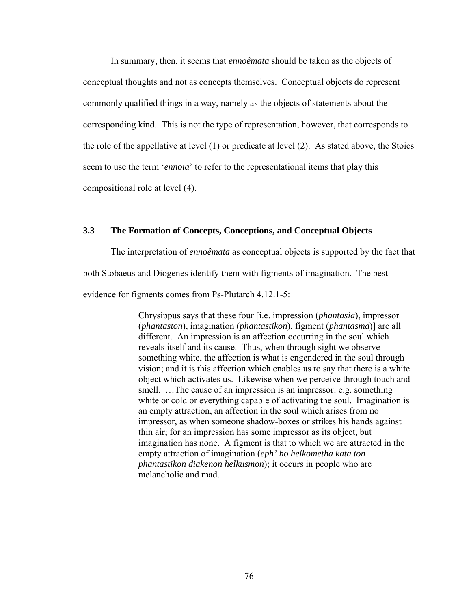In summary, then, it seems that *ennoêmata* should be taken as the objects of conceptual thoughts and not as concepts themselves. Conceptual objects do represent commonly qualified things in a way, namely as the objects of statements about the corresponding kind. This is not the type of representation, however, that corresponds to the role of the appellative at level (1) or predicate at level (2). As stated above, the Stoics seem to use the term '*ennoia*' to refer to the representational items that play this compositional role at level (4).

# **3.3 The Formation of Concepts, Conceptions, and Conceptual Objects**

The interpretation of *ennoêmata* as conceptual objects is supported by the fact that both Stobaeus and Diogenes identify them with figments of imagination. The best evidence for figments comes from Ps-Plutarch 4.12.1-5:

> Chrysippus says that these four [i.e. impression (*phantasia*), impressor (*phantaston*), imagination (*phantastikon*), figment (*phantasma*)] are all different. An impression is an affection occurring in the soul which reveals itself and its cause. Thus, when through sight we observe something white, the affection is what is engendered in the soul through vision; and it is this affection which enables us to say that there is a white object which activates us. Likewise when we perceive through touch and smell. ... The cause of an impression is an impressor: e.g. something white or cold or everything capable of activating the soul. Imagination is an empty attraction, an affection in the soul which arises from no impressor, as when someone shadow-boxes or strikes his hands against thin air; for an impression has some impressor as its object, but imagination has none. A figment is that to which we are attracted in the empty attraction of imagination (*eph' ho helkometha kata ton phantastikon diakenon helkusmon*); it occurs in people who are melancholic and mad.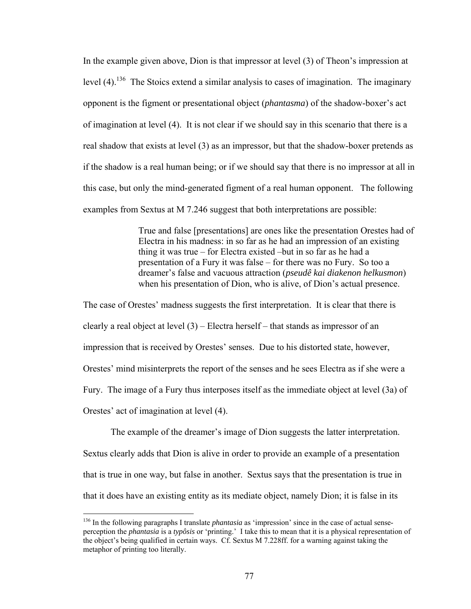In the example given above, Dion is that impressor at level (3) of Theon's impression at level  $(4)$ .<sup>136</sup> The Stoics extend a similar analysis to cases of imagination. The imaginary opponent is the figment or presentational object (*phantasma*) of the shadow-boxer's act of imagination at level (4). It is not clear if we should say in this scenario that there is a real shadow that exists at level (3) as an impressor, but that the shadow-boxer pretends as if the shadow is a real human being; or if we should say that there is no impressor at all in this case, but only the mind-generated figment of a real human opponent. The following examples from Sextus at M 7.246 suggest that both interpretations are possible:

> True and false [presentations] are ones like the presentation Orestes had of Electra in his madness: in so far as he had an impression of an existing thing it was true – for Electra existed –but in so far as he had a presentation of a Fury it was false – for there was no Fury. So too a dreamer's false and vacuous attraction (*pseudê kai diakenon helkusmon*) when his presentation of Dion, who is alive, of Dion's actual presence.

The case of Orestes' madness suggests the first interpretation. It is clear that there is clearly a real object at level  $(3)$  – Electra herself – that stands as impressor of an impression that is received by Orestes' senses. Due to his distorted state, however, Orestes' mind misinterprets the report of the senses and he sees Electra as if she were a Fury. The image of a Fury thus interposes itself as the immediate object at level (3a) of Orestes' act of imagination at level (4).

The example of the dreamer's image of Dion suggests the latter interpretation. Sextus clearly adds that Dion is alive in order to provide an example of a presentation that is true in one way, but false in another. Sextus says that the presentation is true in that it does have an existing entity as its mediate object, namely Dion; it is false in its

<span id="page-82-0"></span><sup>136</sup> In the following paragraphs I translate *phantasia* as 'impression' since in the case of actual senseperception the *phantasia* is a *typôsis* or 'printing.' I take this to mean that it is a physical representation of the object's being qualified in certain ways. Cf. Sextus M 7.228ff. for a warning against taking the metaphor of printing too literally.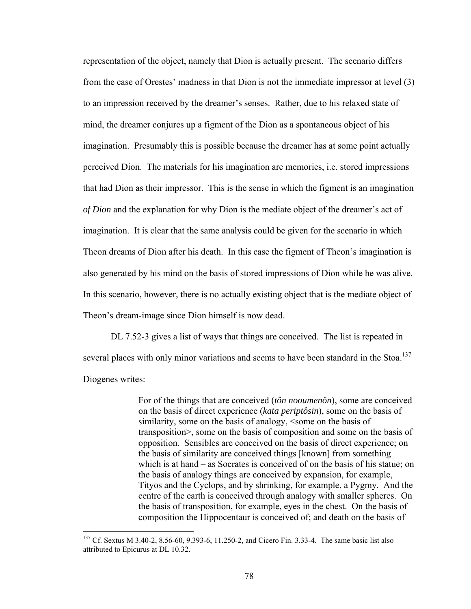representation of the object, namely that Dion is actually present. The scenario differs from the case of Orestes' madness in that Dion is not the immediate impressor at level (3) to an impression received by the dreamer's senses. Rather, due to his relaxed state of mind, the dreamer conjures up a figment of the Dion as a spontaneous object of his imagination. Presumably this is possible because the dreamer has at some point actually perceived Dion. The materials for his imagination are memories, i.e. stored impressions that had Dion as their impressor. This is the sense in which the figment is an imagination *of Dion* and the explanation for why Dion is the mediate object of the dreamer's act of imagination. It is clear that the same analysis could be given for the scenario in which Theon dreams of Dion after his death. In this case the figment of Theon's imagination is also generated by his mind on the basis of stored impressions of Dion while he was alive. In this scenario, however, there is no actually existing object that is the mediate object of Theon's dream-image since Dion himself is now dead.

DL 7.52-3 gives a list of ways that things are conceived. The list is repeated in several places with only minor variations and seems to have been standard in the Stoa.<sup>137</sup> Diogenes writes:

> For of the things that are conceived (*tôn nooumenôn*), some are conceived on the basis of direct experience (*kata periptôsin*), some on the basis of similarity, some on the basis of analogy, <some on the basis of transposition>, some on the basis of composition and some on the basis of opposition. Sensibles are conceived on the basis of direct experience; on the basis of similarity are conceived things [known] from something which is at hand – as Socrates is conceived of on the basis of his statue; on the basis of analogy things are conceived by expansion, for example, Tityos and the Cyclops, and by shrinking, for example, a Pygmy. And the centre of the earth is conceived through analogy with smaller spheres. On the basis of transposition, for example, eyes in the chest. On the basis of composition the Hippocentaur is conceived of; and death on the basis of

<span id="page-83-0"></span><sup>&</sup>lt;sup>137</sup> Cf. Sextus M 3.40-2, 8.56-60, 9.393-6, 11.250-2, and Cicero Fin. 3.33-4. The same basic list also attributed to Epicurus at DL 10.32.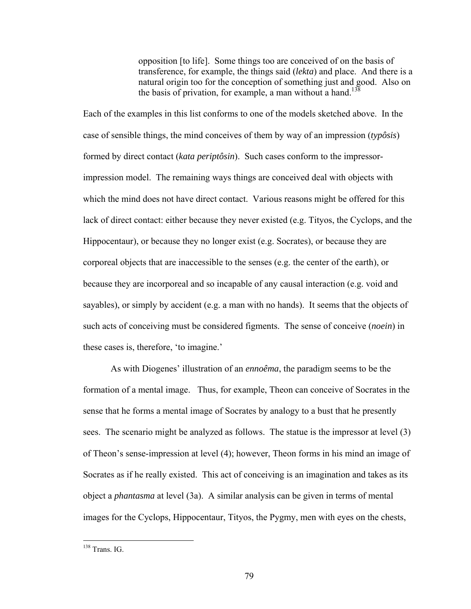opposition [to life]. Some things too are conceived of on the basis of transference, for example, the things said (*lekta*) and place. And there is a natural origin too for the conception of something just and good. Also on the basis of privation, for example, a man without a hand.<sup>138</sup>

Each of the examples in this list conforms to one of the models sketched above. In the case of sensible things, the mind conceives of them by way of an impression (*typôsis*) formed by direct contact (*kata periptôsin*). Such cases conform to the impressorimpression model. The remaining ways things are conceived deal with objects with which the mind does not have direct contact. Various reasons might be offered for this lack of direct contact: either because they never existed (e.g. Tityos, the Cyclops, and the Hippocentaur), or because they no longer exist (e.g. Socrates), or because they are corporeal objects that are inaccessible to the senses (e.g. the center of the earth), or because they are incorporeal and so incapable of any causal interaction (e.g. void and sayables), or simply by accident (e.g. a man with no hands). It seems that the objects of such acts of conceiving must be considered figments. The sense of conceive (*noein*) in these cases is, therefore, 'to imagine.'

As with Diogenes' illustration of an *ennoêma*, the paradigm seems to be the formation of a mental image. Thus, for example, Theon can conceive of Socrates in the sense that he forms a mental image of Socrates by analogy to a bust that he presently sees. The scenario might be analyzed as follows. The statue is the impressor at level (3) of Theon's sense-impression at level (4); however, Theon forms in his mind an image of Socrates as if he really existed. This act of conceiving is an imagination and takes as its object a *phantasma* at level (3a). A similar analysis can be given in terms of mental images for the Cyclops, Hippocentaur, Tityos, the Pygmy, men with eyes on the chests,

<span id="page-84-0"></span><sup>138</sup> Trans. IG.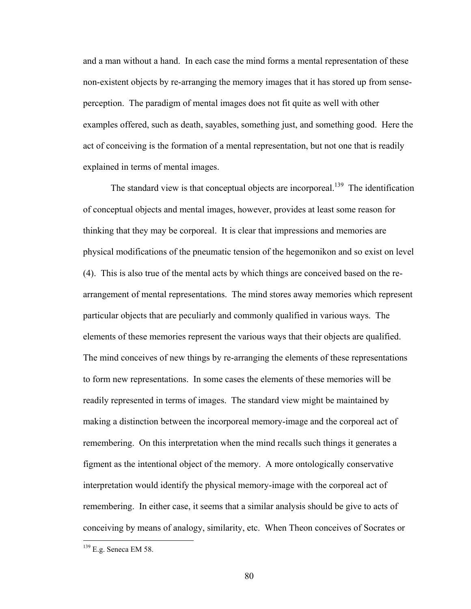and a man without a hand. In each case the mind forms a mental representation of these non-existent objects by re-arranging the memory images that it has stored up from senseperception. The paradigm of mental images does not fit quite as well with other examples offered, such as death, sayables, something just, and something good. Here the act of conceiving is the formation of a mental representation, but not one that is readily explained in terms of mental images.

The standard view is that conceptual objects are incorporeal.<sup>139</sup> The identification of conceptual objects and mental images, however, provides at least some reason for thinking that they may be corporeal. It is clear that impressions and memories are physical modifications of the pneumatic tension of the hegemonikon and so exist on level (4). This is also true of the mental acts by which things are conceived based on the rearrangement of mental representations. The mind stores away memories which represent particular objects that are peculiarly and commonly qualified in various ways. The elements of these memories represent the various ways that their objects are qualified. The mind conceives of new things by re-arranging the elements of these representations to form new representations. In some cases the elements of these memories will be readily represented in terms of images. The standard view might be maintained by making a distinction between the incorporeal memory-image and the corporeal act of remembering. On this interpretation when the mind recalls such things it generates a figment as the intentional object of the memory. A more ontologically conservative interpretation would identify the physical memory-image with the corporeal act of remembering. In either case, it seems that a similar analysis should be give to acts of conceiving by means of analogy, similarity, etc. When Theon conceives of Socrates or

<u>.</u>

<span id="page-85-0"></span> $139$  E.g. Seneca EM 58.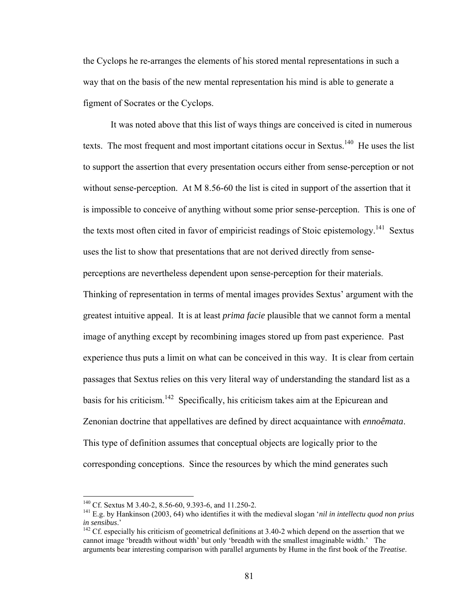the Cyclops he re-arranges the elements of his stored mental representations in such a way that on the basis of the new mental representation his mind is able to generate a figment of Socrates or the Cyclops.

It was noted above that this list of ways things are conceived is cited in numerous texts. The most frequent and most important citations occur in Sextus.<sup>140</sup> He uses the list to support the assertion that every presentation occurs either from sense-perception or not without sense-perception. At M 8.56-60 the list is cited in support of the assertion that it is impossible to conceive of anything without some prior sense-perception. This is one of the texts most often cited in favor of empiricist readings of Stoic epistemology.<sup>141</sup> Sextus uses the list to show that presentations that are not derived directly from senseperceptions are nevertheless dependent upon sense-perception for their materials. Thinking of representation in terms of mental images provides Sextus' argument with the greatest intuitive appeal. It is at least *prima facie* plausible that we cannot form a mental image of anything except by recombining images stored up from past experience. Past experience thus puts a limit on what can be conceived in this way. It is clear from certain passages that Sextus relies on this very literal way of understanding the standard list as a basis for his criticism.<sup>142</sup> Specifically, his criticism takes aim at the Epicurean and Zenonian doctrine that appellatives are defined by direct acquaintance with *ennoêmata*. This type of definition assumes that conceptual objects are logically prior to the corresponding conceptions. Since the resources by which the mind generates such

<span id="page-86-1"></span><span id="page-86-0"></span>

<sup>&</sup>lt;sup>140</sup> Cf. Sextus M 3.40-2, 8.56-60, 9.393-6, and 11.250-2.<br><sup>141</sup> E.g. by Hankinson (2003, 64) who identifies it with the medieval slogan *'nil in intellectu quod non prius in sensibus*.'

<span id="page-86-2"></span><sup>&</sup>lt;sup>142</sup> Cf. especially his criticism of geometrical definitions at 3.40-2 which depend on the assertion that we cannot image 'breadth without width' but only 'breadth with the smallest imaginable width.' The arguments bear interesting comparison with parallel arguments by Hume in the first book of the *Treatise*.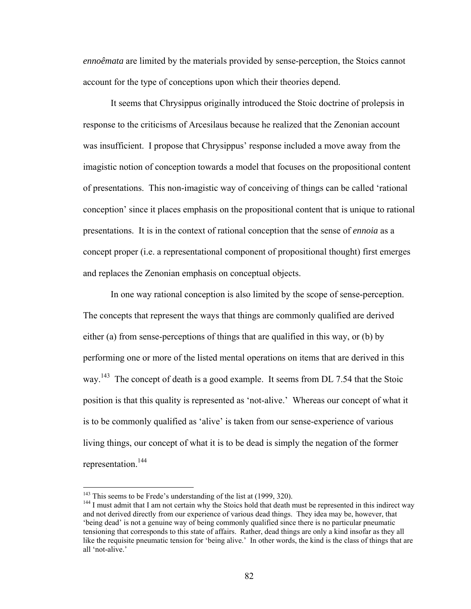*ennoêmata* are limited by the materials provided by sense-perception, the Stoics cannot account for the type of conceptions upon which their theories depend.

It seems that Chrysippus originally introduced the Stoic doctrine of prolepsis in response to the criticisms of Arcesilaus because he realized that the Zenonian account was insufficient. I propose that Chrysippus' response included a move away from the imagistic notion of conception towards a model that focuses on the propositional content of presentations. This non-imagistic way of conceiving of things can be called 'rational conception' since it places emphasis on the propositional content that is unique to rational presentations. It is in the context of rational conception that the sense of *ennoia* as a concept proper (i.e. a representational component of propositional thought) first emerges and replaces the Zenonian emphasis on conceptual objects.

In one way rational conception is also limited by the scope of sense-perception. The concepts that represent the ways that things are commonly qualified are derived either (a) from sense-perceptions of things that are qualified in this way, or (b) by performing one or more of the listed mental operations on items that are derived in this way.<sup>143</sup> The concept of death is a good example. It seems from DL 7.54 that the Stoic position is that this quality is represented as 'not-alive.' Whereas our concept of what it is to be commonly qualified as 'alive' is taken from our sense-experience of various living things, our concept of what it is to be dead is simply the negation of the former representation.[144](#page-87-1) 

<span id="page-87-0"></span><sup>&</sup>lt;sup>143</sup> This seems to be Frede's understanding of the list at (1999, 320).

<span id="page-87-1"></span><sup>&</sup>lt;sup>144</sup> I must admit that I am not certain why the Stoics hold that death must be represented in this indirect way and not derived directly from our experience of various dead things. They idea may be, however, that 'being dead' is not a genuine way of being commonly qualified since there is no particular pneumatic tensioning that corresponds to this state of affairs. Rather, dead things are only a kind insofar as they all like the requisite pneumatic tension for 'being alive.' In other words, the kind is the class of things that are all 'not-alive.'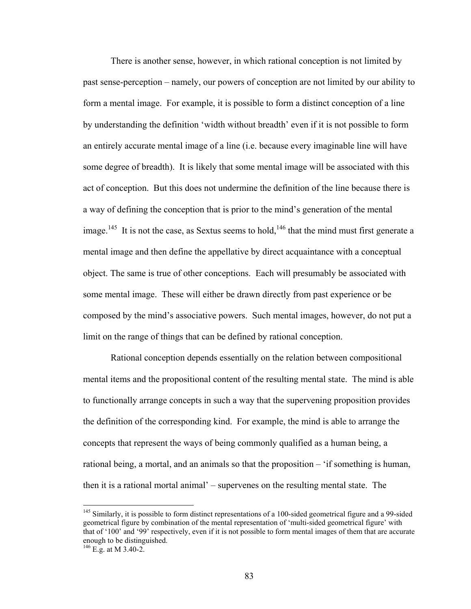There is another sense, however, in which rational conception is not limited by past sense-perception – namely, our powers of conception are not limited by our ability to form a mental image. For example, it is possible to form a distinct conception of a line by understanding the definition 'width without breadth' even if it is not possible to form an entirely accurate mental image of a line (i.e. because every imaginable line will have some degree of breadth). It is likely that some mental image will be associated with this act of conception. But this does not undermine the definition of the line because there is a way of defining the conception that is prior to the mind's generation of the mental image.<sup>145</sup> It is not the case, as Sextus seems to hold,<sup>146</sup> that the mind must first generate a mental image and then define the appellative by direct acquaintance with a conceptual object. The same is true of other conceptions. Each will presumably be associated with some mental image. These will either be drawn directly from past experience or be composed by the mind's associative powers. Such mental images, however, do not put a limit on the range of things that can be defined by rational conception.

Rational conception depends essentially on the relation between compositional mental items and the propositional content of the resulting mental state. The mind is able to functionally arrange concepts in such a way that the supervening proposition provides the definition of the corresponding kind. For example, the mind is able to arrange the concepts that represent the ways of being commonly qualified as a human being, a rational being, a mortal, and an animals so that the proposition – 'if something is human, then it is a rational mortal animal' – supervenes on the resulting mental state. The

<span id="page-88-0"></span><sup>&</sup>lt;sup>145</sup> Similarly, it is possible to form distinct representations of a 100-sided geometrical figure and a 99-sided geometrical figure by combination of the mental representation of 'multi-sided geometrical figure' with that of '100' and '99' respectively, even if it is not possible to form mental images of them that are accurate enough to be distinguished. 146 E.g. at M 3.40-2.

<span id="page-88-1"></span>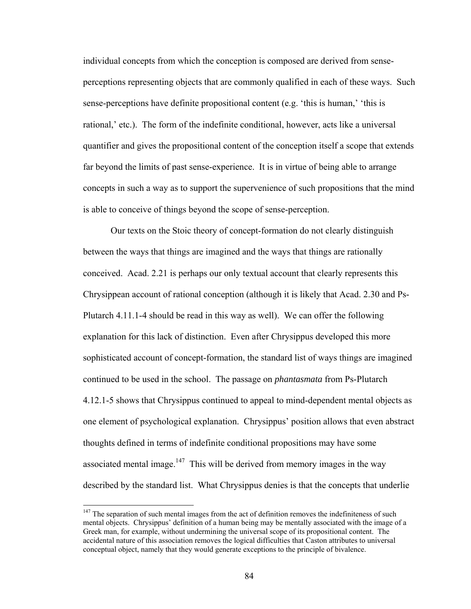individual concepts from which the conception is composed are derived from senseperceptions representing objects that are commonly qualified in each of these ways. Such sense-perceptions have definite propositional content (e.g. 'this is human,' 'this is rational,' etc.). The form of the indefinite conditional, however, acts like a universal quantifier and gives the propositional content of the conception itself a scope that extends far beyond the limits of past sense-experience. It is in virtue of being able to arrange concepts in such a way as to support the supervenience of such propositions that the mind is able to conceive of things beyond the scope of sense-perception.

Our texts on the Stoic theory of concept-formation do not clearly distinguish between the ways that things are imagined and the ways that things are rationally conceived. Acad. 2.21 is perhaps our only textual account that clearly represents this Chrysippean account of rational conception (although it is likely that Acad. 2.30 and Ps-Plutarch 4.11.1-4 should be read in this way as well). We can offer the following explanation for this lack of distinction. Even after Chrysippus developed this more sophisticated account of concept-formation, the standard list of ways things are imagined continued to be used in the school. The passage on *phantasmata* from Ps-Plutarch 4.12.1-5 shows that Chrysippus continued to appeal to mind-dependent mental objects as one element of psychological explanation. Chrysippus' position allows that even abstract thoughts defined in terms of indefinite conditional propositions may have some associated mental image.<sup>147</sup> This will be derived from memory images in the way described by the standard list. What Chrysippus denies is that the concepts that underlie

<span id="page-89-0"></span> $147$  The separation of such mental images from the act of definition removes the indefiniteness of such mental objects. Chrysippus' definition of a human being may be mentally associated with the image of a Greek man, for example, without undermining the universal scope of its propositional content. The accidental nature of this association removes the logical difficulties that Caston attributes to universal conceptual object, namely that they would generate exceptions to the principle of bivalence.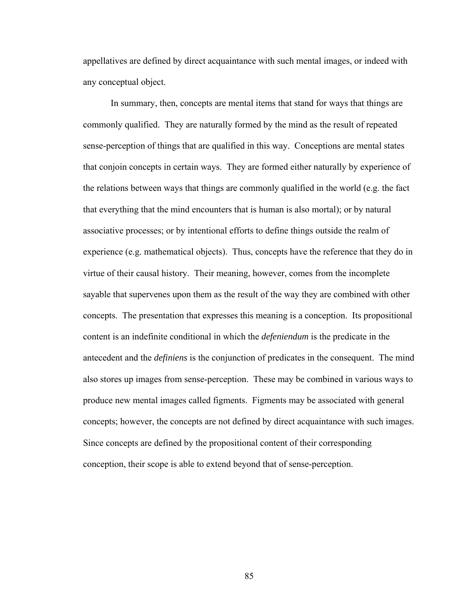appellatives are defined by direct acquaintance with such mental images, or indeed with any conceptual object.

In summary, then, concepts are mental items that stand for ways that things are commonly qualified. They are naturally formed by the mind as the result of repeated sense-perception of things that are qualified in this way. Conceptions are mental states that conjoin concepts in certain ways. They are formed either naturally by experience of the relations between ways that things are commonly qualified in the world (e.g. the fact that everything that the mind encounters that is human is also mortal); or by natural associative processes; or by intentional efforts to define things outside the realm of experience (e.g. mathematical objects). Thus, concepts have the reference that they do in virtue of their causal history. Their meaning, however, comes from the incomplete sayable that supervenes upon them as the result of the way they are combined with other concepts. The presentation that expresses this meaning is a conception. Its propositional content is an indefinite conditional in which the *defeniendum* is the predicate in the antecedent and the *definiens* is the conjunction of predicates in the consequent. The mind also stores up images from sense-perception. These may be combined in various ways to produce new mental images called figments. Figments may be associated with general concepts; however, the concepts are not defined by direct acquaintance with such images. Since concepts are defined by the propositional content of their corresponding conception, their scope is able to extend beyond that of sense-perception.

85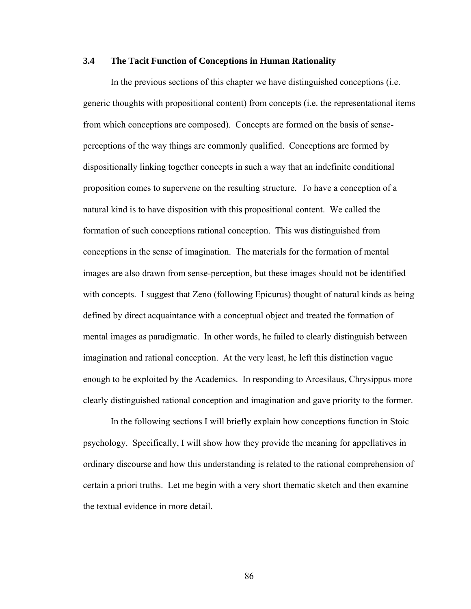## **3.4 The Tacit Function of Conceptions in Human Rationality**

In the previous sections of this chapter we have distinguished conceptions (i.e. generic thoughts with propositional content) from concepts (i.e. the representational items from which conceptions are composed). Concepts are formed on the basis of senseperceptions of the way things are commonly qualified. Conceptions are formed by dispositionally linking together concepts in such a way that an indefinite conditional proposition comes to supervene on the resulting structure. To have a conception of a natural kind is to have disposition with this propositional content. We called the formation of such conceptions rational conception. This was distinguished from conceptions in the sense of imagination. The materials for the formation of mental images are also drawn from sense-perception, but these images should not be identified with concepts. I suggest that Zeno (following Epicurus) thought of natural kinds as being defined by direct acquaintance with a conceptual object and treated the formation of mental images as paradigmatic. In other words, he failed to clearly distinguish between imagination and rational conception. At the very least, he left this distinction vague enough to be exploited by the Academics. In responding to Arcesilaus, Chrysippus more clearly distinguished rational conception and imagination and gave priority to the former.

In the following sections I will briefly explain how conceptions function in Stoic psychology. Specifically, I will show how they provide the meaning for appellatives in ordinary discourse and how this understanding is related to the rational comprehension of certain a priori truths. Let me begin with a very short thematic sketch and then examine the textual evidence in more detail.

86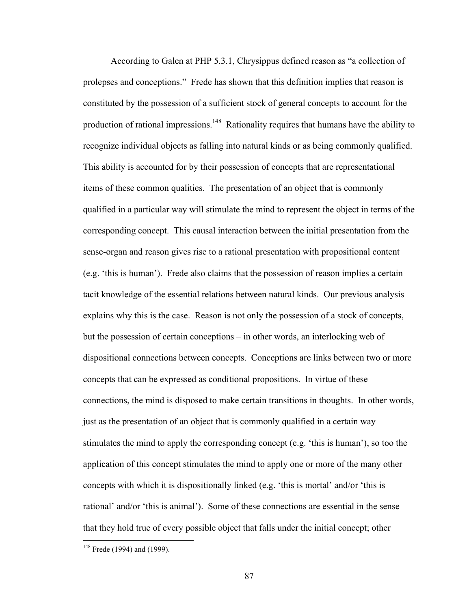According to Galen at PHP 5.3.1, Chrysippus defined reason as "a collection of prolepses and conceptions." Frede has shown that this definition implies that reason is constituted by the possession of a sufficient stock of general concepts to account for the production of rational impressions.<sup>148</sup> Rationality requires that humans have the ability to recognize individual objects as falling into natural kinds or as being commonly qualified. This ability is accounted for by their possession of concepts that are representational items of these common qualities. The presentation of an object that is commonly qualified in a particular way will stimulate the mind to represent the object in terms of the corresponding concept. This causal interaction between the initial presentation from the sense-organ and reason gives rise to a rational presentation with propositional content (e.g. 'this is human'). Frede also claims that the possession of reason implies a certain tacit knowledge of the essential relations between natural kinds. Our previous analysis explains why this is the case. Reason is not only the possession of a stock of concepts, but the possession of certain conceptions – in other words, an interlocking web of dispositional connections between concepts. Conceptions are links between two or more concepts that can be expressed as conditional propositions. In virtue of these connections, the mind is disposed to make certain transitions in thoughts. In other words, just as the presentation of an object that is commonly qualified in a certain way stimulates the mind to apply the corresponding concept (e.g. 'this is human'), so too the application of this concept stimulates the mind to apply one or more of the many other concepts with which it is dispositionally linked (e.g. 'this is mortal' and/or 'this is rational' and/or 'this is animal'). Some of these connections are essential in the sense that they hold true of every possible object that falls under the initial concept; other

<span id="page-92-0"></span> $148$  Frede (1994) and (1999).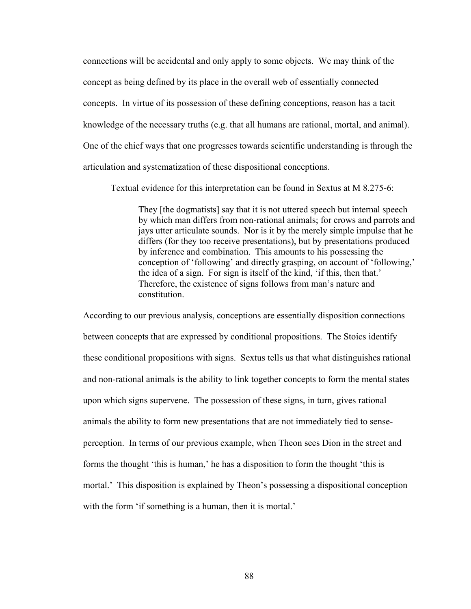connections will be accidental and only apply to some objects. We may think of the concept as being defined by its place in the overall web of essentially connected concepts. In virtue of its possession of these defining conceptions, reason has a tacit knowledge of the necessary truths (e.g. that all humans are rational, mortal, and animal). One of the chief ways that one progresses towards scientific understanding is through the articulation and systematization of these dispositional conceptions.

Textual evidence for this interpretation can be found in Sextus at M 8.275-6:

They [the dogmatists] say that it is not uttered speech but internal speech by which man differs from non-rational animals; for crows and parrots and jays utter articulate sounds. Nor is it by the merely simple impulse that he differs (for they too receive presentations), but by presentations produced by inference and combination. This amounts to his possessing the conception of 'following' and directly grasping, on account of 'following,' the idea of a sign. For sign is itself of the kind, 'if this, then that.' Therefore, the existence of signs follows from man's nature and constitution.

According to our previous analysis, conceptions are essentially disposition connections between concepts that are expressed by conditional propositions. The Stoics identify these conditional propositions with signs. Sextus tells us that what distinguishes rational and non-rational animals is the ability to link together concepts to form the mental states upon which signs supervene. The possession of these signs, in turn, gives rational animals the ability to form new presentations that are not immediately tied to senseperception. In terms of our previous example, when Theon sees Dion in the street and forms the thought 'this is human,' he has a disposition to form the thought 'this is mortal.' This disposition is explained by Theon's possessing a dispositional conception with the form 'if something is a human, then it is mortal.'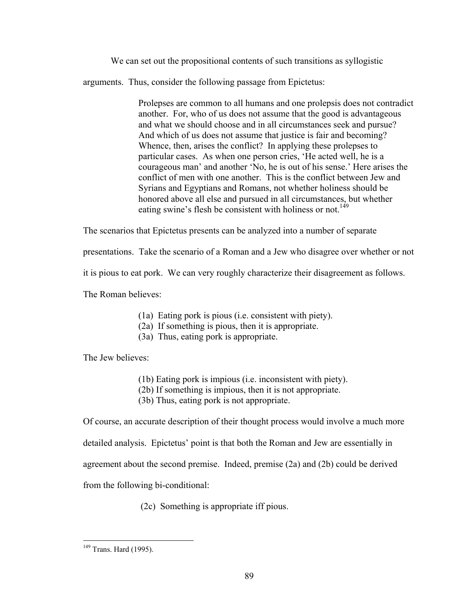We can set out the propositional contents of such transitions as syllogistic

arguments. Thus, consider the following passage from Epictetus:

Prolepses are common to all humans and one prolepsis does not contradict another. For, who of us does not assume that the good is advantageous and what we should choose and in all circumstances seek and pursue? And which of us does not assume that justice is fair and becoming? Whence, then, arises the conflict? In applying these prolepses to particular cases. As when one person cries, 'He acted well, he is a courageous man' and another 'No, he is out of his sense.' Here arises the conflict of men with one another. This is the conflict between Jew and Syrians and Egyptians and Romans, not whether holiness should be honored above all else and pursued in all circumstances, but whether eating swine's flesh be consistent with holiness or not.<sup>149</sup>

The scenarios that Epictetus presents can be analyzed into a number of separate

presentations. Take the scenario of a Roman and a Jew who disagree over whether or not

it is pious to eat pork. We can very roughly characterize their disagreement as follows.

The Roman believes:

- (1a) Eating pork is pious (i.e. consistent with piety).
- (2a) If something is pious, then it is appropriate.
- (3a) Thus, eating pork is appropriate.

The Jew believes:

- (1b) Eating pork is impious (i.e. inconsistent with piety).
- (2b) If something is impious, then it is not appropriate.
- (3b) Thus, eating pork is not appropriate.

Of course, an accurate description of their thought process would involve a much more

detailed analysis. Epictetus' point is that both the Roman and Jew are essentially in

agreement about the second premise. Indeed, premise (2a) and (2b) could be derived

from the following bi-conditional:

(2c) Something is appropriate iff pious.

<span id="page-94-0"></span><sup>&</sup>lt;sup>149</sup> Trans. Hard (1995).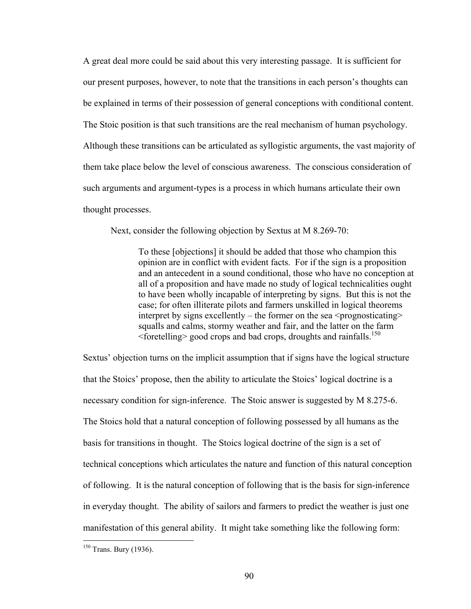A great deal more could be said about this very interesting passage. It is sufficient for our present purposes, however, to note that the transitions in each person's thoughts can be explained in terms of their possession of general conceptions with conditional content. The Stoic position is that such transitions are the real mechanism of human psychology. Although these transitions can be articulated as syllogistic arguments, the vast majority of them take place below the level of conscious awareness. The conscious consideration of such arguments and argument-types is a process in which humans articulate their own thought processes.

Next, consider the following objection by Sextus at M 8.269-70:

To these [objections] it should be added that those who champion this opinion are in conflict with evident facts. For if the sign is a proposition and an antecedent in a sound conditional, those who have no conception at all of a proposition and have made no study of logical technicalities ought to have been wholly incapable of interpreting by signs. But this is not the case; for often illiterate pilots and farmers unskilled in logical theorems interpret by signs excellently – the former on the sea  $\leq$  prognosticating  $\geq$ squalls and calms, stormy weather and fair, and the latter on the farm  $\le$  foretelling  $\ge$  good crops and bad crops, droughts and rainfalls.<sup>[150](#page-95-0)</sup>

Sextus' objection turns on the implicit assumption that if signs have the logical structure that the Stoics' propose, then the ability to articulate the Stoics' logical doctrine is a necessary condition for sign-inference. The Stoic answer is suggested by M 8.275-6. The Stoics hold that a natural conception of following possessed by all humans as the basis for transitions in thought. The Stoics logical doctrine of the sign is a set of technical conceptions which articulates the nature and function of this natural conception of following. It is the natural conception of following that is the basis for sign-inference in everyday thought. The ability of sailors and farmers to predict the weather is just one manifestation of this general ability. It might take something like the following form:

<span id="page-95-0"></span> $150$  Trans. Bury (1936).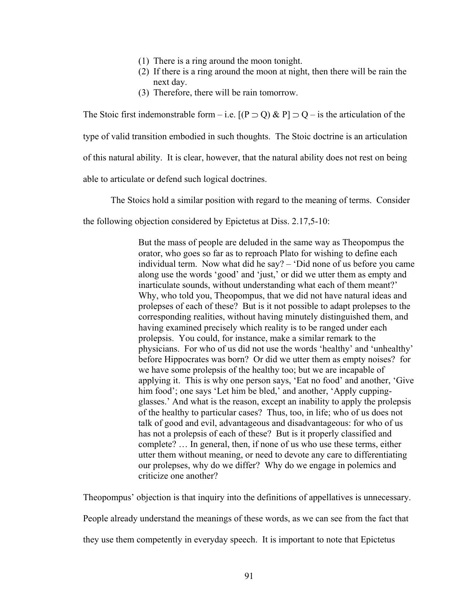- (1) There is a ring around the moon tonight.
- (2) If there is a ring around the moon at night, then there will be rain the next day.
- (3) Therefore, there will be rain tomorrow.

The Stoic first indemonstrable form – i.e.  $[(P \supset Q) \& P] \supset Q$  – is the articulation of the type of valid transition embodied in such thoughts. The Stoic doctrine is an articulation of this natural ability. It is clear, however, that the natural ability does not rest on being able to articulate or defend such logical doctrines.

The Stoics hold a similar position with regard to the meaning of terms. Consider

the following objection considered by Epictetus at Diss. 2.17,5-10:

But the mass of people are deluded in the same way as Theopompus the orator, who goes so far as to reproach Plato for wishing to define each individual term. Now what did he say? – 'Did none of us before you came along use the words 'good' and 'just,' or did we utter them as empty and inarticulate sounds, without understanding what each of them meant?' Why, who told you, Theopompus, that we did not have natural ideas and prolepses of each of these? But is it not possible to adapt prolepses to the corresponding realities, without having minutely distinguished them, and having examined precisely which reality is to be ranged under each prolepsis. You could, for instance, make a similar remark to the physicians. For who of us did not use the words 'healthy' and 'unhealthy' before Hippocrates was born? Or did we utter them as empty noises? for we have some prolepsis of the healthy too; but we are incapable of applying it. This is why one person says, 'Eat no food' and another, 'Give him food'; one says 'Let him be bled,' and another, 'Apply cuppingglasses.' And what is the reason, except an inability to apply the prolepsis of the healthy to particular cases? Thus, too, in life; who of us does not talk of good and evil, advantageous and disadvantageous: for who of us has not a prolepsis of each of these? But is it properly classified and complete? … In general, then, if none of us who use these terms, either utter them without meaning, or need to devote any care to differentiating our prolepses, why do we differ? Why do we engage in polemics and criticize one another?

Theopompus' objection is that inquiry into the definitions of appellatives is unnecessary.

People already understand the meanings of these words, as we can see from the fact that

they use them competently in everyday speech. It is important to note that Epictetus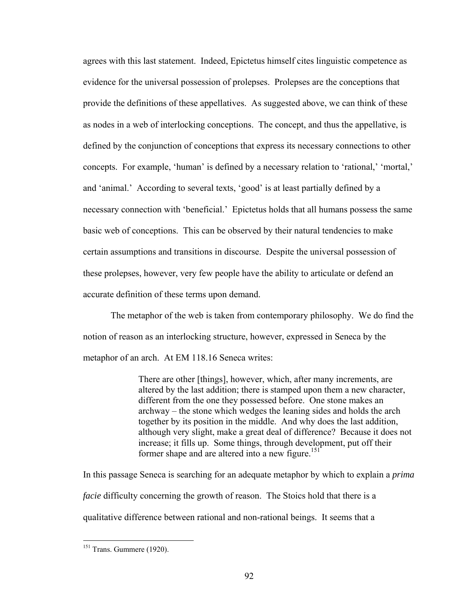agrees with this last statement. Indeed, Epictetus himself cites linguistic competence as evidence for the universal possession of prolepses. Prolepses are the conceptions that provide the definitions of these appellatives. As suggested above, we can think of these as nodes in a web of interlocking conceptions. The concept, and thus the appellative, is defined by the conjunction of conceptions that express its necessary connections to other concepts. For example, 'human' is defined by a necessary relation to 'rational,' 'mortal,' and 'animal.' According to several texts, 'good' is at least partially defined by a necessary connection with 'beneficial.' Epictetus holds that all humans possess the same basic web of conceptions. This can be observed by their natural tendencies to make certain assumptions and transitions in discourse. Despite the universal possession of these prolepses, however, very few people have the ability to articulate or defend an accurate definition of these terms upon demand.

The metaphor of the web is taken from contemporary philosophy. We do find the notion of reason as an interlocking structure, however, expressed in Seneca by the metaphor of an arch. At EM 118.16 Seneca writes:

> There are other [things], however, which, after many increments, are altered by the last addition; there is stamped upon them a new character, different from the one they possessed before. One stone makes an archway – the stone which wedges the leaning sides and holds the arch together by its position in the middle. And why does the last addition, although very slight, make a great deal of difference? Because it does not increase; it fills up. Some things, through development, put off their former shape and are altered into a new figure.<sup>151</sup>

In this passage Seneca is searching for an adequate metaphor by which to explain a *prima facie* difficulty concerning the growth of reason. The Stoics hold that there is a qualitative difference between rational and non-rational beings. It seems that a

<span id="page-97-0"></span> $151$  Trans. Gummere (1920).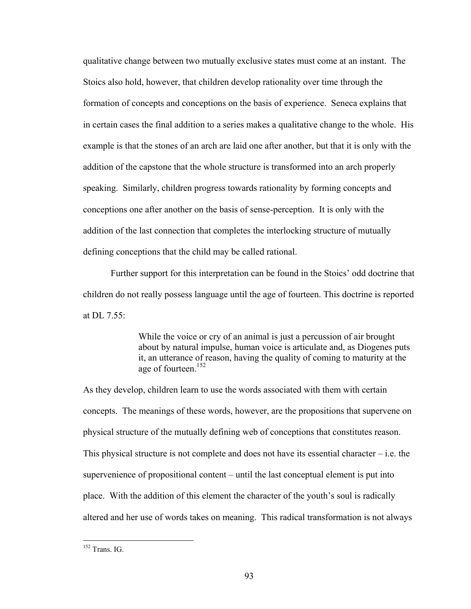qualitative change between two mutually exclusive states must come at an instant. The Stoics also hold, however, that children develop rationality over time through the formation of concepts and conceptions on the basis of experience. Seneca explains that in certain cases the final addition to a series makes a qualitative change to the whole. His example is that the stones of an arch are laid one after another, but that it is only with the addition of the capstone that the whole structure is transformed into an arch properly speaking. Similarly, children progress towards rationality by forming concepts and conceptions one after another on the basis of sense-perception. It is only with the addition of the last connection that completes the interlocking structure of mutually defining conceptions that the child may be called rational.

Further support for this interpretation can be found in the Stoics' odd doctrine that children do not really possess language until the age of fourteen. This doctrine is reported at DL  $7.55$ 

> While the voice or cry of an animal is just a percussion of air brought about by natural impulse, human voice is articulate and, as Diogenes puts it, an utterance of reason, having the quality of coming to maturity at the age of fourteen.[152](#page-98-0)

As they develop, children learn to use the words associated with them with certain concepts. The meanings of these words, however, are the propositions that supervene on physical structure of the mutually defining web of conceptions that constitutes reason. This physical structure is not complete and does not have its essential character – i.e. the supervenience of propositional content – until the last conceptual element is put into place. With the addition of this element the character of the youth's soul is radically altered and her use of words takes on meaning. This radical transformation is not always

<span id="page-98-0"></span><sup>&</sup>lt;sup>152</sup> Trans. IG.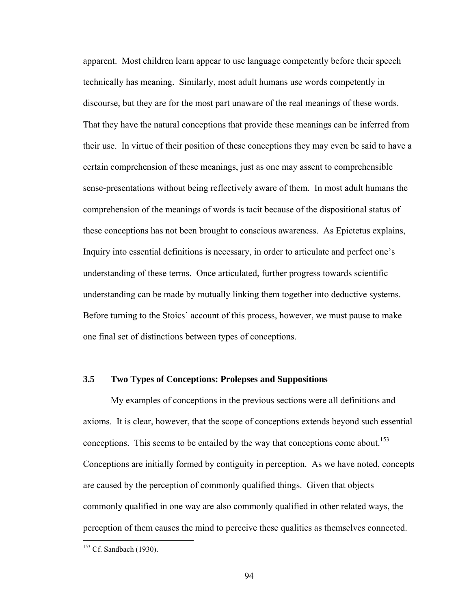apparent. Most children learn appear to use language competently before their speech technically has meaning. Similarly, most adult humans use words competently in discourse, but they are for the most part unaware of the real meanings of these words. That they have the natural conceptions that provide these meanings can be inferred from their use. In virtue of their position of these conceptions they may even be said to have a certain comprehension of these meanings, just as one may assent to comprehensible sense-presentations without being reflectively aware of them. In most adult humans the comprehension of the meanings of words is tacit because of the dispositional status of these conceptions has not been brought to conscious awareness. As Epictetus explains, Inquiry into essential definitions is necessary, in order to articulate and perfect one's understanding of these terms. Once articulated, further progress towards scientific understanding can be made by mutually linking them together into deductive systems. Before turning to the Stoics' account of this process, however, we must pause to make one final set of distinctions between types of conceptions.

### **3.5 Two Types of Conceptions: Prolepses and Suppositions**

My examples of conceptions in the previous sections were all definitions and axioms. It is clear, however, that the scope of conceptions extends beyond such essential conceptions. This seems to be entailed by the way that conceptions come about.<sup>153</sup> Conceptions are initially formed by contiguity in perception. As we have noted, concepts are caused by the perception of commonly qualified things. Given that objects commonly qualified in one way are also commonly qualified in other related ways, the perception of them causes the mind to perceive these qualities as themselves connected.

<span id="page-99-0"></span> $153$  Cf. Sandbach (1930).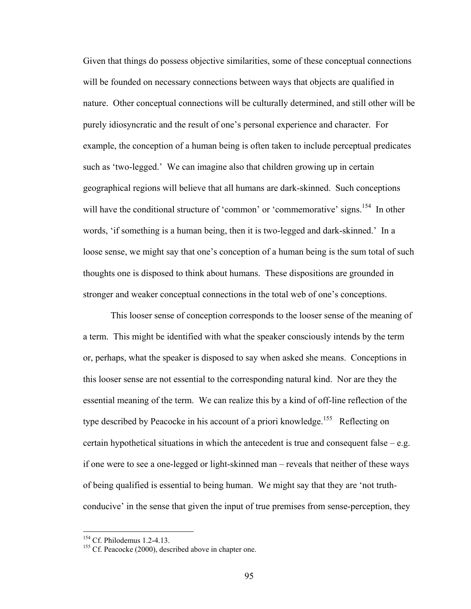Given that things do possess objective similarities, some of these conceptual connections will be founded on necessary connections between ways that objects are qualified in nature. Other conceptual connections will be culturally determined, and still other will be purely idiosyncratic and the result of one's personal experience and character. For example, the conception of a human being is often taken to include perceptual predicates such as 'two-legged.' We can imagine also that children growing up in certain geographical regions will believe that all humans are dark-skinned. Such conceptions will have the conditional structure of 'common' or 'commemorative' signs.<sup>154</sup> In other words, 'if something is a human being, then it is two-legged and dark-skinned.' In a loose sense, we might say that one's conception of a human being is the sum total of such thoughts one is disposed to think about humans. These dispositions are grounded in stronger and weaker conceptual connections in the total web of one's conceptions.

This looser sense of conception corresponds to the looser sense of the meaning of a term. This might be identified with what the speaker consciously intends by the term or, perhaps, what the speaker is disposed to say when asked she means. Conceptions in this looser sense are not essential to the corresponding natural kind. Nor are they the essential meaning of the term. We can realize this by a kind of off-line reflection of the type described by Peacocke in his account of a priori knowledge.<sup>155</sup> Reflecting on certain hypothetical situations in which the antecedent is true and consequent false – e.g. if one were to see a one-legged or light-skinned man – reveals that neither of these ways of being qualified is essential to being human. We might say that they are 'not truthconducive' in the sense that given the input of true premises from sense-perception, they

<span id="page-100-0"></span><sup>&</sup>lt;sup>154</sup> Cf. Philodemus 1.2-4.13.

<span id="page-100-1"></span> $155$  Cf. Peacocke (2000), described above in chapter one.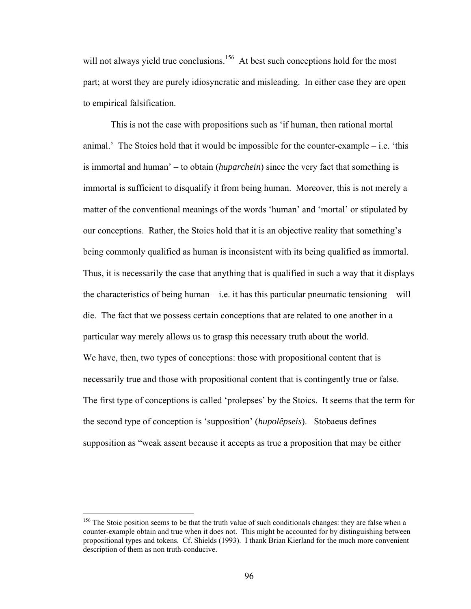will not always yield true conclusions.<sup>156</sup> At best such conceptions hold for the most part; at worst they are purely idiosyncratic and misleading. In either case they are open to empirical falsification.

This is not the case with propositions such as 'if human, then rational mortal animal.' The Stoics hold that it would be impossible for the counter-example  $-$  i.e. 'this is immortal and human' – to obtain (*huparchein*) since the very fact that something is immortal is sufficient to disqualify it from being human. Moreover, this is not merely a matter of the conventional meanings of the words 'human' and 'mortal' or stipulated by our conceptions. Rather, the Stoics hold that it is an objective reality that something's being commonly qualified as human is inconsistent with its being qualified as immortal. Thus, it is necessarily the case that anything that is qualified in such a way that it displays the characteristics of being human – i.e. it has this particular pneumatic tensioning – will die. The fact that we possess certain conceptions that are related to one another in a particular way merely allows us to grasp this necessary truth about the world. We have, then, two types of conceptions: those with propositional content that is necessarily true and those with propositional content that is contingently true or false. The first type of conceptions is called 'prolepses' by the Stoics. It seems that the term for the second type of conception is 'supposition' (*hupolêpseis*). Stobaeus defines supposition as "weak assent because it accepts as true a proposition that may be either

<u>.</u>

<span id="page-101-0"></span><sup>&</sup>lt;sup>156</sup> The Stoic position seems to be that the truth value of such conditionals changes: they are false when a counter-example obtain and true when it does not. This might be accounted for by distinguishing between propositional types and tokens. Cf. Shields (1993). I thank Brian Kierland for the much more convenient description of them as non truth-conducive.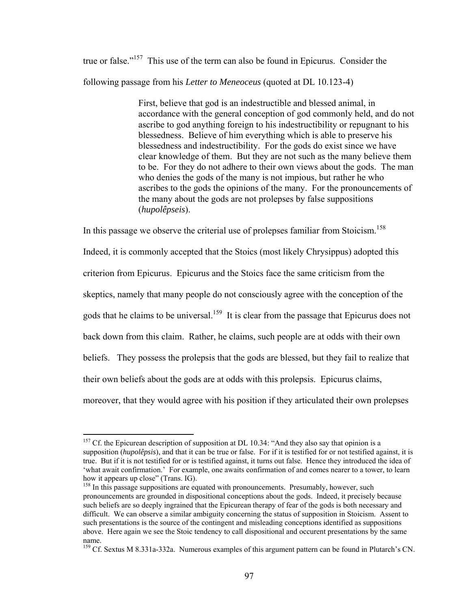true or false."[157](#page-102-0) This use of the term can also be found in Epicurus. Consider the following passage from his *Letter to Meneoceus* (quoted at DL 10.123-4)

> First, believe that god is an indestructible and blessed animal, in accordance with the general conception of god commonly held, and do not ascribe to god anything foreign to his indestructibility or repugnant to his blessedness. Believe of him everything which is able to preserve his blessedness and indestructibility. For the gods do exist since we have clear knowledge of them. But they are not such as the many believe them to be. For they do not adhere to their own views about the gods. The man who denies the gods of the many is not impious, but rather he who ascribes to the gods the opinions of the many. For the pronouncements of the many about the gods are not prolepses by false suppositions (*hupolêpseis*).

In this passage we observe the criterial use of prolepses familiar from Stoicism.<sup>158</sup>

Indeed, it is commonly accepted that the Stoics (most likely Chrysippus) adopted this criterion from Epicurus. Epicurus and the Stoics face the same criticism from the skeptics, namely that many people do not consciously agree with the conception of the gods that he claims to be universal.<sup>159</sup> It is clear from the passage that Epicurus does not back down from this claim. Rather, he claims, such people are at odds with their own beliefs. They possess the prolepsis that the gods are blessed, but they fail to realize that their own beliefs about the gods are at odds with this prolepsis. Epicurus claims, moreover, that they would agree with his position if they articulated their own prolepses

1

<span id="page-102-0"></span> $157$  Cf. the Epicurean description of supposition at DL 10.34: "And they also say that opinion is a supposition (*hupolêpsis*), and that it can be true or false. For if it is testified for or not testified against, it is true. But if it is not testified for or is testified against, it turns out false. Hence they introduced the idea of 'what await confirmation.' For example, one awaits confirmation of and comes nearer to a tower, to learn how it appears up close" (Trans. IG).<br><sup>158</sup> In this passage suppositions are equated with pronouncements. Presumably, however, such

<span id="page-102-1"></span>pronouncements are grounded in dispositional conceptions about the gods. Indeed, it precisely because such beliefs are so deeply ingrained that the Epicurean therapy of fear of the gods is both necessary and difficult. We can observe a similar ambiguity concerning the status of supposition in Stoicism. Assent to such presentations is the source of the contingent and misleading conceptions identified as suppositions above. Here again we see the Stoic tendency to call dispositional and occurent presentations by the same name.<br><sup>159</sup> Cf. Sextus M 8.331a-332a. Numerous examples of this argument pattern can be found in Plutarch's CN.

<span id="page-102-2"></span>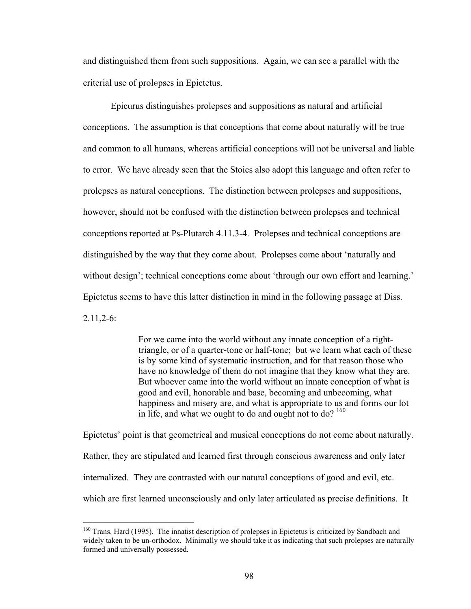and distinguished them from such suppositions. Again, we can see a parallel with the criterial use of prolepses in Epictetus.

Epicurus distinguishes prolepses and suppositions as natural and artificial conceptions. The assumption is that conceptions that come about naturally will be true and common to all humans, whereas artificial conceptions will not be universal and liable to error. We have already seen that the Stoics also adopt this language and often refer to prolepses as natural conceptions. The distinction between prolepses and suppositions, however, should not be confused with the distinction between prolepses and technical conceptions reported at Ps-Plutarch 4.11.3-4. Prolepses and technical conceptions are distinguished by the way that they come about. Prolepses come about 'naturally and without design'; technical conceptions come about 'through our own effort and learning.' Epictetus seems to have this latter distinction in mind in the following passage at Diss. 2.11,2-6:

> For we came into the world without any innate conception of a righttriangle, or of a quarter-tone or half-tone; but we learn what each of these is by some kind of systematic instruction, and for that reason those who have no knowledge of them do not imagine that they know what they are. But whoever came into the world without an innate conception of what is good and evil, honorable and base, becoming and unbecoming, what happiness and misery are, and what is appropriate to us and forms our lot in life, and what we ought to do and ought not to do?  $160$

Epictetus' point is that geometrical and musical conceptions do not come about naturally. Rather, they are stipulated and learned first through conscious awareness and only later internalized. They are contrasted with our natural conceptions of good and evil, etc. which are first learned unconsciously and only later articulated as precise definitions. It

<span id="page-103-0"></span><sup>&</sup>lt;sup>160</sup> Trans. Hard (1995). The innatist description of prolepses in Epictetus is criticized by Sandbach and widely taken to be un-orthodox. Minimally we should take it as indicating that such prolepses are naturally formed and universally possessed.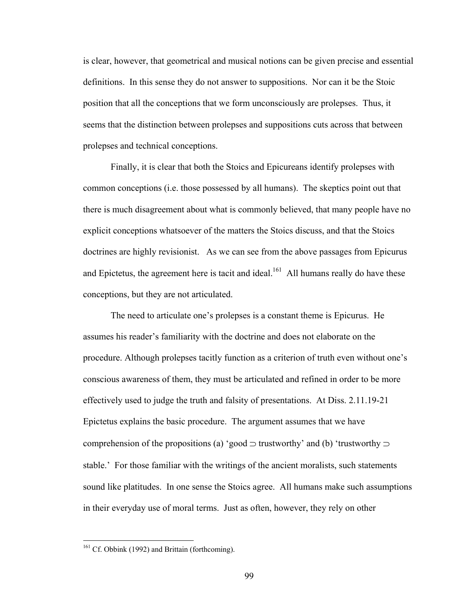is clear, however, that geometrical and musical notions can be given precise and essential definitions. In this sense they do not answer to suppositions. Nor can it be the Stoic position that all the conceptions that we form unconsciously are prolepses. Thus, it seems that the distinction between prolepses and suppositions cuts across that between prolepses and technical conceptions.

Finally, it is clear that both the Stoics and Epicureans identify prolepses with common conceptions (i.e. those possessed by all humans). The skeptics point out that there is much disagreement about what is commonly believed, that many people have no explicit conceptions whatsoever of the matters the Stoics discuss, and that the Stoics doctrines are highly revisionist. As we can see from the above passages from Epicurus and Epictetus, the agreement here is tacit and ideal.<sup>161</sup> All humans really do have these conceptions, but they are not articulated.

The need to articulate one's prolepses is a constant theme is Epicurus. He assumes his reader's familiarity with the doctrine and does not elaborate on the procedure. Although prolepses tacitly function as a criterion of truth even without one's conscious awareness of them, they must be articulated and refined in order to be more effectively used to judge the truth and falsity of presentations. At Diss. 2.11.19-21 Epictetus explains the basic procedure. The argument assumes that we have comprehension of the propositions (a) 'good  $\supset$  trustworthy' and (b) 'trustworthy  $\supset$ stable.' For those familiar with the writings of the ancient moralists, such statements sound like platitudes. In one sense the Stoics agree. All humans make such assumptions in their everyday use of moral terms. Just as often, however, they rely on other

<u>.</u>

<span id="page-104-0"></span> $161$  Cf. Obbink (1992) and Brittain (forthcoming).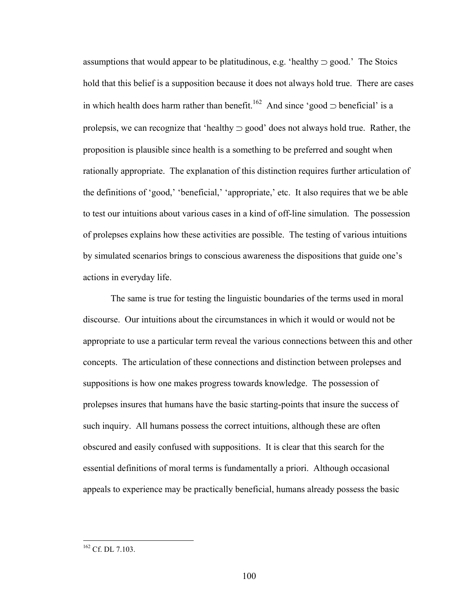assumptions that would appear to be platitudinous, e.g. 'healthy ⊃ good.' The Stoics hold that this belief is a supposition because it does not always hold true. There are cases in which health does harm rather than benefit.<sup>162</sup> And since 'good ⊃ beneficial' is a prolepsis, we can recognize that 'healthy  $\supset$  good' does not always hold true. Rather, the proposition is plausible since health is a something to be preferred and sought when rationally appropriate. The explanation of this distinction requires further articulation of the definitions of 'good,' 'beneficial,' 'appropriate,' etc. It also requires that we be able to test our intuitions about various cases in a kind of off-line simulation. The possession of prolepses explains how these activities are possible. The testing of various intuitions by simulated scenarios brings to conscious awareness the dispositions that guide one's actions in everyday life.

The same is true for testing the linguistic boundaries of the terms used in moral discourse. Our intuitions about the circumstances in which it would or would not be appropriate to use a particular term reveal the various connections between this and other concepts. The articulation of these connections and distinction between prolepses and suppositions is how one makes progress towards knowledge. The possession of prolepses insures that humans have the basic starting-points that insure the success of such inquiry. All humans possess the correct intuitions, although these are often obscured and easily confused with suppositions. It is clear that this search for the essential definitions of moral terms is fundamentally a priori. Although occasional appeals to experience may be practically beneficial, humans already possess the basic

<u>.</u>

<span id="page-105-0"></span><sup>162</sup> Cf. DL 7.103.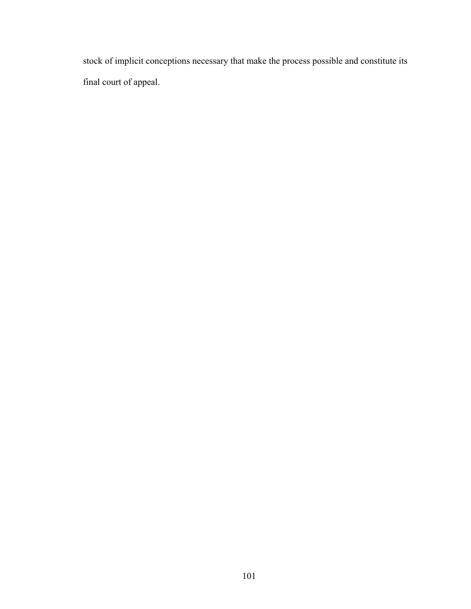stock of implicit conceptions necessary that make the process possible and constitute its final court of appeal.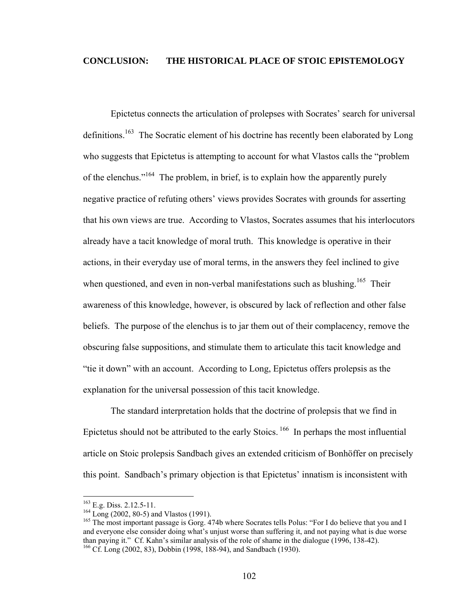### **CONCLUSION: THE HISTORICAL PLACE OF STOIC EPISTEMOLOGY**

Epictetus connects the articulation of prolepses with Socrates' search for universal definitions.<sup>163</sup> The Socratic element of his doctrine has recently been elaborated by Long who suggests that Epictetus is attempting to account for what Vlastos calls the "problem of the elenchus.["164](#page-107-1) The problem, in brief, is to explain how the apparently purely negative practice of refuting others' views provides Socrates with grounds for asserting that his own views are true. According to Vlastos, Socrates assumes that his interlocutors already have a tacit knowledge of moral truth. This knowledge is operative in their actions, in their everyday use of moral terms, in the answers they feel inclined to give when questioned, and even in non-verbal manifestations such as blushing.<sup>165</sup> Their awareness of this knowledge, however, is obscured by lack of reflection and other false beliefs. The purpose of the elenchus is to jar them out of their complacency, remove the obscuring false suppositions, and stimulate them to articulate this tacit knowledge and "tie it down" with an account. According to Long, Epictetus offers prolepsis as the explanation for the universal possession of this tacit knowledge.

The standard interpretation holds that the doctrine of prolepsis that we find in Epictetus should not be attributed to the early Stoics. [166](#page-107-3) In perhaps the most influential article on Stoic prolepsis Sandbach gives an extended criticism of Bonhöffer on precisely this point. Sandbach's primary objection is that Epictetus' innatism is inconsistent with

1

<span id="page-107-3"></span><span id="page-107-2"></span><span id="page-107-1"></span>

<span id="page-107-0"></span><sup>&</sup>lt;sup>163</sup> E.g. Diss. 2.12.5-11.<br><sup>164</sup> Long (2002, 80-5) and Vlastos (1991).<br><sup>165</sup> The most important passage is Gorg. 474b where Socrates tells Polus: "For I do believe that you and I and everyone else consider doing what's unjust worse than suffering it, and not paying what is due worse than paying it." Cf. Kahn's similar analysis of the role of shame in the dialogue (1996, 138-42). <sup>166</sup> Cf. Long (2002, 83), Dobbin (1998, 188-94), and Sandbach (1930).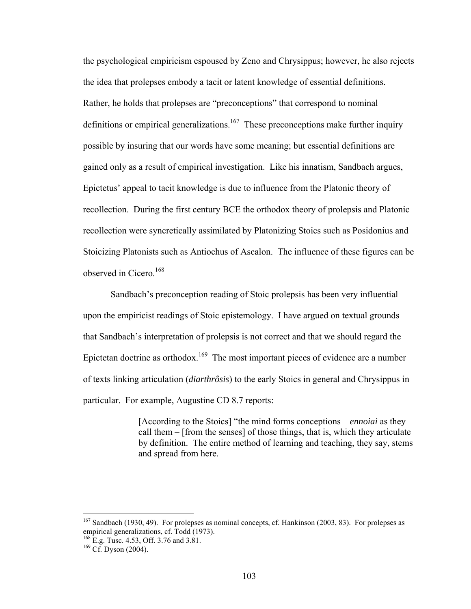the psychological empiricism espoused by Zeno and Chrysippus; however, he also rejects the idea that prolepses embody a tacit or latent knowledge of essential definitions. Rather, he holds that prolepses are "preconceptions" that correspond to nominal definitions or empirical generalizations.<sup>167</sup> These preconceptions make further inquiry possible by insuring that our words have some meaning; but essential definitions are gained only as a result of empirical investigation. Like his innatism, Sandbach argues, Epictetus' appeal to tacit knowledge is due to influence from the Platonic theory of recollection. During the first century BCE the orthodox theory of prolepsis and Platonic recollection were syncretically assimilated by Platonizing Stoics such as Posidonius and Stoicizing Platonists such as Antiochus of Ascalon. The influence of these figures can be observed in Cicero.<sup>168</sup>

Sandbach's preconception reading of Stoic prolepsis has been very influential upon the empiricist readings of Stoic epistemology. I have argued on textual grounds that Sandbach's interpretation of prolepsis is not correct and that we should regard the Epictetan doctrine as orthodox.<sup>169</sup> The most important pieces of evidence are a number of texts linking articulation (*diarthrôsis*) to the early Stoics in general and Chrysippus in particular. For example, Augustine CD 8.7 reports:

> [According to the Stoics] "the mind forms conceptions – *ennoiai* as they call them – [from the senses] of those things, that is, which they articulate by definition. The entire method of learning and teaching, they say, stems and spread from here.

<span id="page-108-0"></span> $167$  Sandbach (1930, 49). For prolepses as nominal concepts, cf. Hankinson (2003, 83). For prolepses as empirical generalizations, cf. Todd (1973).<br><sup>168</sup> E.g. Tusc. 4.53, Off. 3.76 and 3.81.<br><sup>169</sup> Cf. Dyson (2004).

<span id="page-108-1"></span>

<span id="page-108-2"></span>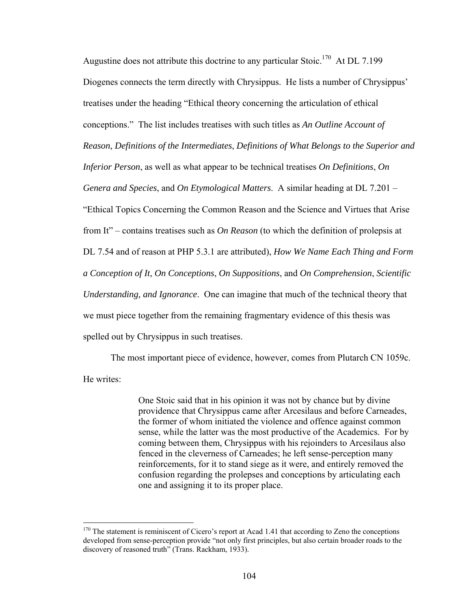Augustine does not attribute this doctrine to any particular Stoic.<sup>170</sup> At DL 7.199 Diogenes connects the term directly with Chrysippus. He lists a number of Chrysippus' treatises under the heading "Ethical theory concerning the articulation of ethical conceptions." The list includes treatises with such titles as *An Outline Account of Reason*, *Definitions of the Intermediates*, *Definitions of What Belongs to the Superior and Inferior Person*, as well as what appear to be technical treatises *On Definitions*, *On Genera and Species*, and *On Etymological Matters*. A similar heading at DL 7.201 – "Ethical Topics Concerning the Common Reason and the Science and Virtues that Arise from It" – contains treatises such as *On Reason* (to which the definition of prolepsis at DL 7.54 and of reason at PHP 5.3.1 are attributed), *How We Name Each Thing and Form a Conception of It*, *On Conceptions*, *On Suppositions*, and *On Comprehension*, *Scientific Understanding, and Ignorance*. One can imagine that much of the technical theory that we must piece together from the remaining fragmentary evidence of this thesis was spelled out by Chrysippus in such treatises.

The most important piece of evidence, however, comes from Plutarch CN 1059c. He writes:

> One Stoic said that in his opinion it was not by chance but by divine providence that Chrysippus came after Arcesilaus and before Carneades, the former of whom initiated the violence and offence against common sense, while the latter was the most productive of the Academics. For by coming between them, Chrysippus with his rejoinders to Arcesilaus also fenced in the cleverness of Carneades; he left sense-perception many reinforcements, for it to stand siege as it were, and entirely removed the confusion regarding the prolepses and conceptions by articulating each one and assigning it to its proper place.

<span id="page-109-0"></span><sup>&</sup>lt;sup>170</sup> The statement is reminiscent of Cicero's report at Acad 1.41 that according to Zeno the conceptions developed from sense-perception provide "not only first principles, but also certain broader roads to the discovery of reasoned truth" (Trans. Rackham, 1933).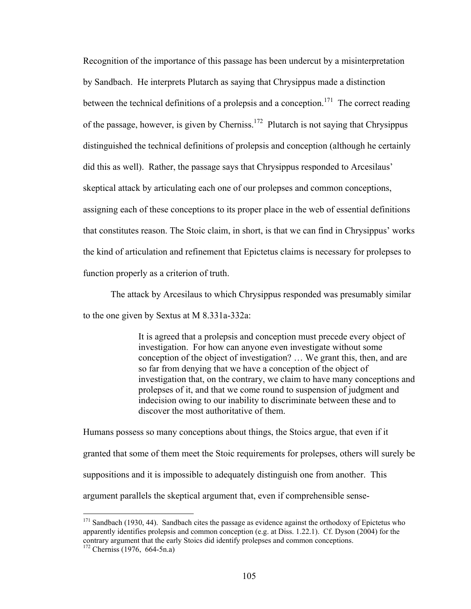Recognition of the importance of this passage has been undercut by a misinterpretation by Sandbach. He interprets Plutarch as saying that Chrysippus made a distinction between the technical definitions of a prolepsis and a conception.<sup>171</sup> The correct reading of the passage, however, is given by Cherniss[.172](#page-110-1) Plutarch is not saying that Chrysippus distinguished the technical definitions of prolepsis and conception (although he certainly did this as well). Rather, the passage says that Chrysippus responded to Arcesilaus' skeptical attack by articulating each one of our prolepses and common conceptions, assigning each of these conceptions to its proper place in the web of essential definitions that constitutes reason. The Stoic claim, in short, is that we can find in Chrysippus' works the kind of articulation and refinement that Epictetus claims is necessary for prolepses to function properly as a criterion of truth.

The attack by Arcesilaus to which Chrysippus responded was presumably similar to the one given by Sextus at M 8.331a-332a:

> It is agreed that a prolepsis and conception must precede every object of investigation. For how can anyone even investigate without some conception of the object of investigation? … We grant this, then, and are so far from denying that we have a conception of the object of investigation that, on the contrary, we claim to have many conceptions and prolepses of it, and that we come round to suspension of judgment and indecision owing to our inability to discriminate between these and to discover the most authoritative of them.

Humans possess so many conceptions about things, the Stoics argue, that even if it granted that some of them meet the Stoic requirements for prolepses, others will surely be suppositions and it is impossible to adequately distinguish one from another. This argument parallels the skeptical argument that, even if comprehensible sense-

<span id="page-110-0"></span> $171$  Sandbach (1930, 44). Sandbach cites the passage as evidence against the orthodoxy of Epictetus who apparently identifies prolepsis and common conception (e.g. at Diss. 1.22.1). Cf. Dyson (2004) for the contrary argument that the early Stoics did identify prolepses and common conceptions. 172 Cherniss (1976, 664-5n.a)

<span id="page-110-1"></span>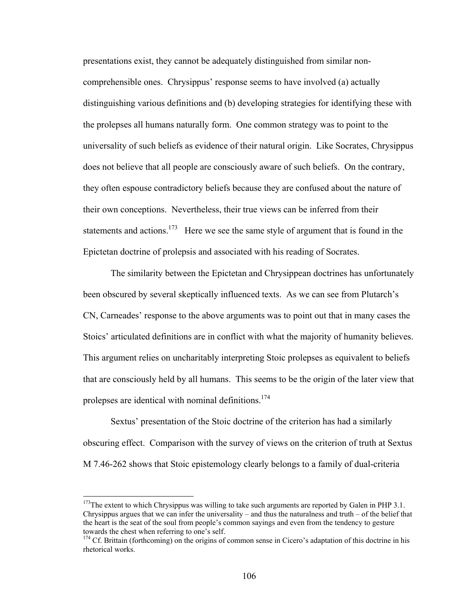presentations exist, they cannot be adequately distinguished from similar noncomprehensible ones. Chrysippus' response seems to have involved (a) actually distinguishing various definitions and (b) developing strategies for identifying these with the prolepses all humans naturally form. One common strategy was to point to the universality of such beliefs as evidence of their natural origin. Like Socrates, Chrysippus does not believe that all people are consciously aware of such beliefs. On the contrary, they often espouse contradictory beliefs because they are confused about the nature of their own conceptions. Nevertheless, their true views can be inferred from their statements and actions.<sup>173</sup> Here we see the same style of argument that is found in the Epictetan doctrine of prolepsis and associated with his reading of Socrates.

The similarity between the Epictetan and Chrysippean doctrines has unfortunately been obscured by several skeptically influenced texts. As we can see from Plutarch's CN, Carneades' response to the above arguments was to point out that in many cases the Stoics' articulated definitions are in conflict with what the majority of humanity believes. This argument relies on uncharitably interpreting Stoic prolepses as equivalent to beliefs that are consciously held by all humans. This seems to be the origin of the later view that prolepses are identical with nominal definitions.<sup>174</sup>

Sextus' presentation of the Stoic doctrine of the criterion has had a similarly obscuring effect. Comparison with the survey of views on the criterion of truth at Sextus M 7.46-262 shows that Stoic epistemology clearly belongs to a family of dual-criteria

<span id="page-111-0"></span><sup>&</sup>lt;sup>173</sup>The extent to which Chrysippus was willing to take such arguments are reported by Galen in PHP 3.1. Chrysippus argues that we can infer the universality – and thus the naturalness and truth – of the belief that the heart is the seat of the soul from people's common sayings and even from the tendency to gesture towards the chest when referring to one's self.<br><sup>174</sup> Cf. Brittain (forthcoming) on the origins of common sense in Cicero's adaptation of this doctrine in his

<span id="page-111-1"></span>rhetorical works.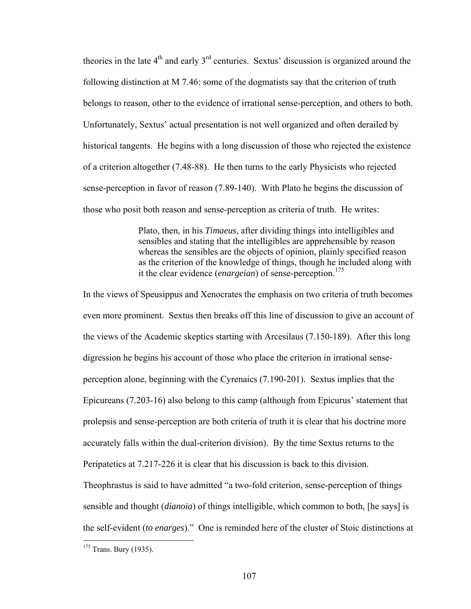theories in the late  $4<sup>th</sup>$  and early  $3<sup>rd</sup>$  centuries. Sextus' discussion is organized around the following distinction at M 7.46: some of the dogmatists say that the criterion of truth belongs to reason, other to the evidence of irrational sense-perception, and others to both. Unfortunately, Sextus' actual presentation is not well organized and often derailed by historical tangents. He begins with a long discussion of those who rejected the existence of a criterion altogether (7.48-88). He then turns to the early Physicists who rejected sense-perception in favor of reason (7.89-140). With Plato he begins the discussion of those who posit both reason and sense-perception as criteria of truth. He writes:

> Plato, then, in his *Timaeus*, after dividing things into intelligibles and sensibles and stating that the intelligibles are apprehensible by reason whereas the sensibles are the objects of opinion, plainly specified reason as the criterion of the knowledge of things, though he included along with it the clear evidence (*enargeian*) of sense-perception.<sup>[175](#page-112-0)</sup>

In the views of Speusippus and Xenocrates the emphasis on two criteria of truth becomes even more prominent. Sextus then breaks off this line of discussion to give an account of the views of the Academic skeptics starting with Arcesilaus (7.150-189). After this long digression he begins his account of those who place the criterion in irrational senseperception alone, beginning with the Cyrenaics (7.190-201). Sextus implies that the Epicureans (7.203-16) also belong to this camp (although from Epicurus' statement that prolepsis and sense-perception are both criteria of truth it is clear that his doctrine more accurately falls within the dual-criterion division). By the time Sextus returns to the Peripatetics at 7.217-226 it is clear that his discussion is back to this division. Theophrastus is said to have admitted "a two-fold criterion, sense-perception of things

sensible and thought (*dianoia*) of things intelligible, which common to both, [he says] is the self-evident (*to enarges*)." One is reminded here of the cluster of Stoic distinctions at

<span id="page-112-0"></span> $175$  Trans. Bury (1935).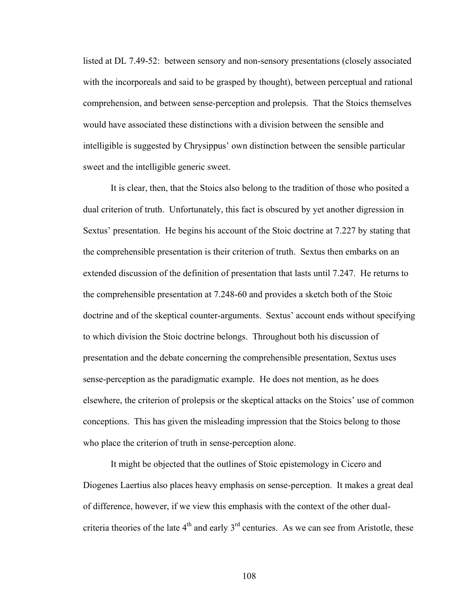listed at DL 7.49-52: between sensory and non-sensory presentations (closely associated with the incorporeals and said to be grasped by thought), between perceptual and rational comprehension, and between sense-perception and prolepsis. That the Stoics themselves would have associated these distinctions with a division between the sensible and intelligible is suggested by Chrysippus' own distinction between the sensible particular sweet and the intelligible generic sweet.

It is clear, then, that the Stoics also belong to the tradition of those who posited a dual criterion of truth. Unfortunately, this fact is obscured by yet another digression in Sextus' presentation. He begins his account of the Stoic doctrine at 7.227 by stating that the comprehensible presentation is their criterion of truth. Sextus then embarks on an extended discussion of the definition of presentation that lasts until 7.247. He returns to the comprehensible presentation at 7.248-60 and provides a sketch both of the Stoic doctrine and of the skeptical counter-arguments. Sextus' account ends without specifying to which division the Stoic doctrine belongs. Throughout both his discussion of presentation and the debate concerning the comprehensible presentation, Sextus uses sense-perception as the paradigmatic example. He does not mention, as he does elsewhere, the criterion of prolepsis or the skeptical attacks on the Stoics' use of common conceptions. This has given the misleading impression that the Stoics belong to those who place the criterion of truth in sense-perception alone.

It might be objected that the outlines of Stoic epistemology in Cicero and Diogenes Laertius also places heavy emphasis on sense-perception. It makes a great deal of difference, however, if we view this emphasis with the context of the other dualcriteria theories of the late  $4<sup>th</sup>$  and early  $3<sup>rd</sup>$  centuries. As we can see from Aristotle, these

108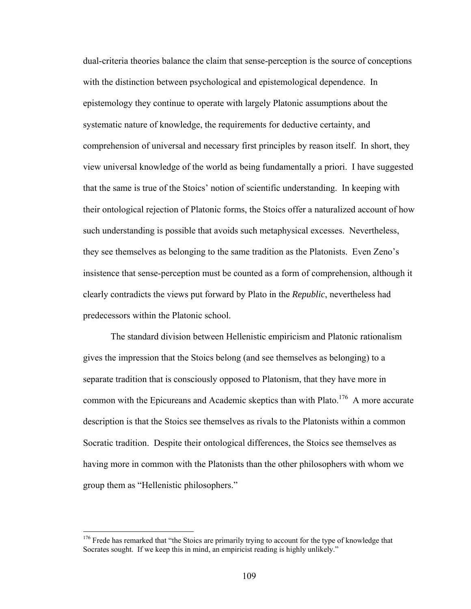dual-criteria theories balance the claim that sense-perception is the source of conceptions with the distinction between psychological and epistemological dependence. In epistemology they continue to operate with largely Platonic assumptions about the systematic nature of knowledge, the requirements for deductive certainty, and comprehension of universal and necessary first principles by reason itself. In short, they view universal knowledge of the world as being fundamentally a priori. I have suggested that the same is true of the Stoics' notion of scientific understanding. In keeping with their ontological rejection of Platonic forms, the Stoics offer a naturalized account of how such understanding is possible that avoids such metaphysical excesses. Nevertheless, they see themselves as belonging to the same tradition as the Platonists. Even Zeno's insistence that sense-perception must be counted as a form of comprehension, although it clearly contradicts the views put forward by Plato in the *Republic*, nevertheless had predecessors within the Platonic school.

The standard division between Hellenistic empiricism and Platonic rationalism gives the impression that the Stoics belong (and see themselves as belonging) to a separate tradition that is consciously opposed to Platonism, that they have more in common with the Epicureans and Academic skeptics than with Plato.<sup>176</sup> A more accurate description is that the Stoics see themselves as rivals to the Platonists within a common Socratic tradition. Despite their ontological differences, the Stoics see themselves as having more in common with the Platonists than the other philosophers with whom we group them as "Hellenistic philosophers."

<span id="page-114-0"></span><sup>&</sup>lt;sup>176</sup> Frede has remarked that "the Stoics are primarily trying to account for the type of knowledge that Socrates sought. If we keep this in mind, an empiricist reading is highly unlikely."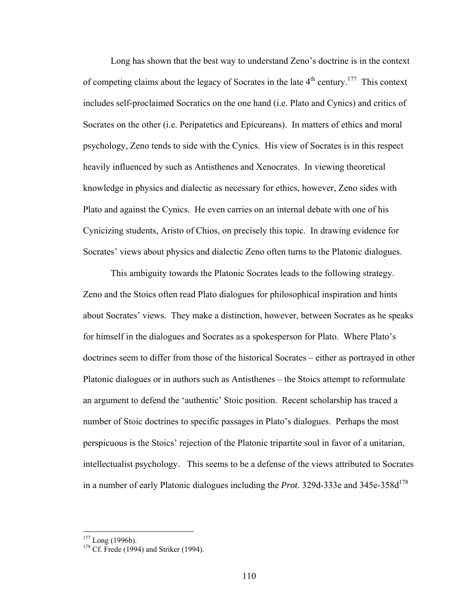Long has shown that the best way to understand Zeno's doctrine is in the context of competing claims about the legacy of Socrates in the late  $4<sup>th</sup>$  century.<sup>177</sup> This context includes self-proclaimed Socratics on the one hand (i.e. Plato and Cynics) and critics of Socrates on the other (i.e. Peripatetics and Epicureans). In matters of ethics and moral psychology, Zeno tends to side with the Cynics. His view of Socrates is in this respect heavily influenced by such as Antisthenes and Xenocrates. In viewing theoretical knowledge in physics and dialectic as necessary for ethics, however, Zeno sides with Plato and against the Cynics. He even carries on an internal debate with one of his Cynicizing students, Aristo of Chios, on precisely this topic. In drawing evidence for Socrates' views about physics and dialectic Zeno often turns to the Platonic dialogues.

This ambiguity towards the Platonic Socrates leads to the following strategy. Zeno and the Stoics often read Plato dialogues for philosophical inspiration and hints about Socrates' views. They make a distinction, however, between Socrates as he speaks for himself in the dialogues and Socrates as a spokesperson for Plato. Where Plato's doctrines seem to differ from those of the historical Socrates – either as portrayed in other Platonic dialogues or in authors such as Antisthenes – the Stoics attempt to reformulate an argument to defend the 'authentic' Stoic position. Recent scholarship has traced a number of Stoic doctrines to specific passages in Plato's dialogues. Perhaps the most perspicuous is the Stoics' rejection of the Platonic tripartite soul in favor of a unitarian, intellectualist psychology. This seems to be a defense of the views attributed to Socrates in a number of early Platonic dialogues including the *Prot*. 329d-333e and  $345e-358d^{178}$ 

1

<span id="page-115-1"></span>

<span id="page-115-0"></span><sup>&</sup>lt;sup>177</sup> Long (1996b).<br><sup>178</sup> Cf. Frede (1994) and Striker (1994).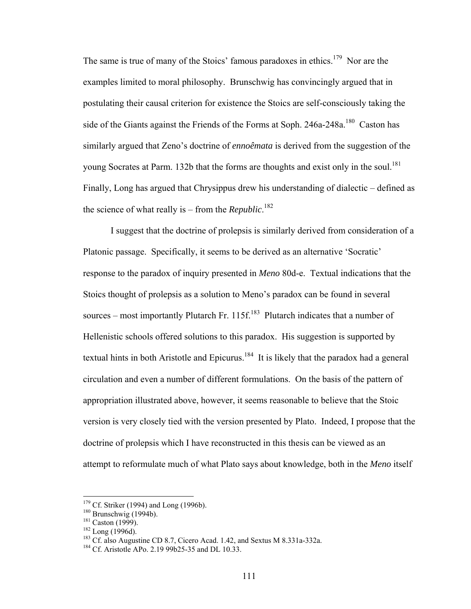The same is true of many of the Stoics' famous paradoxes in ethics.<sup>179</sup> Nor are the examples limited to moral philosophy. Brunschwig has convincingly argued that in postulating their causal criterion for existence the Stoics are self-consciously taking the side of the Giants against the Friends of the Forms at Soph. 246a-248a.<sup>180</sup> Caston has similarly argued that Zeno's doctrine of *ennoêmata* is derived from the suggestion of the young Socrates at Parm. 132b that the forms are thoughts and exist only in the soul.<sup>181</sup> Finally, Long has argued that Chrysippus drew his understanding of dialectic – defined as the science of what really is – from the *Republic*. [182](#page-116-3)

I suggest that the doctrine of prolepsis is similarly derived from consideration of a Platonic passage. Specifically, it seems to be derived as an alternative 'Socratic' response to the paradox of inquiry presented in *Meno* 80d-e. Textual indications that the Stoics thought of prolepsis as a solution to Meno's paradox can be found in several sources – most importantly Plutarch Fr. 115f.<sup>183</sup> Plutarch indicates that a number of Hellenistic schools offered solutions to this paradox. His suggestion is supported by textual hints in both Aristotle and Epicurus.<sup>184</sup> It is likely that the paradox had a general circulation and even a number of different formulations. On the basis of the pattern of appropriation illustrated above, however, it seems reasonable to believe that the Stoic version is very closely tied with the version presented by Plato. Indeed, I propose that the doctrine of prolepsis which I have reconstructed in this thesis can be viewed as an attempt to reformulate much of what Plato says about knowledge, both in the *Meno* itself

<span id="page-116-0"></span>

<span id="page-116-1"></span>

<span id="page-116-2"></span>

<span id="page-116-4"></span><span id="page-116-3"></span>

<sup>&</sup>lt;sup>179</sup> Cf. Striker (1994) and Long (1996b).<br><sup>180</sup> Brunschwig (1994b).<br><sup>181</sup> Caston (1999).<br><sup>181</sup> Long (1996d).<br><sup>182</sup> Long (1996d).<br><sup>183</sup> Cf. also Augustine CD 8.7, Cicero Acad. 1.42, and Sextus M 8.331a-332a.<br><sup>184</sup> Cf. Ari

<span id="page-116-5"></span>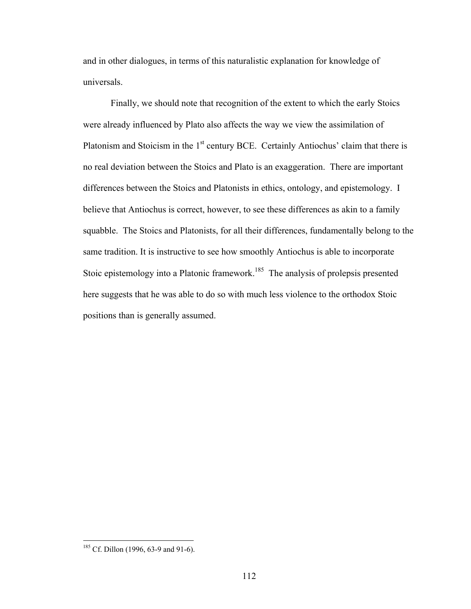and in other dialogues, in terms of this naturalistic explanation for knowledge of universals.

Finally, we should note that recognition of the extent to which the early Stoics were already influenced by Plato also affects the way we view the assimilation of Platonism and Stoicism in the  $1<sup>st</sup>$  century BCE. Certainly Antiochus' claim that there is no real deviation between the Stoics and Plato is an exaggeration. There are important differences between the Stoics and Platonists in ethics, ontology, and epistemology. I believe that Antiochus is correct, however, to see these differences as akin to a family squabble. The Stoics and Platonists, for all their differences, fundamentally belong to the same tradition. It is instructive to see how smoothly Antiochus is able to incorporate Stoic epistemology into a Platonic framework.<sup>185</sup> The analysis of prolepsis presented here suggests that he was able to do so with much less violence to the orthodox Stoic positions than is generally assumed.

<span id="page-117-0"></span> $185$  Cf. Dillon (1996, 63-9 and 91-6).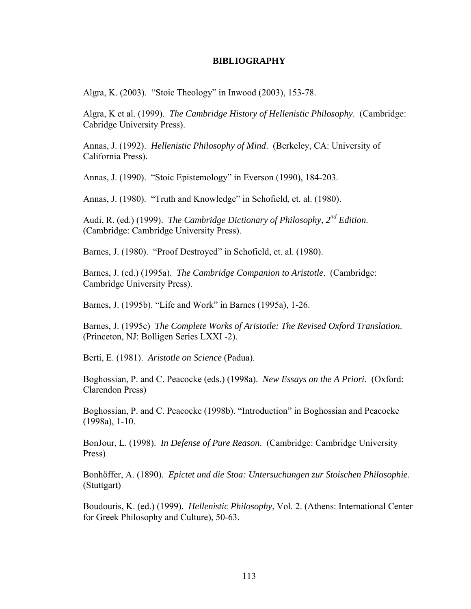## **BIBLIOGRAPHY**

Algra, K. (2003). "Stoic Theology" in Inwood (2003), 153-78.

Algra, K et al. (1999). *The Cambridge History of Hellenistic Philosophy*. (Cambridge: Cabridge University Press).

Annas, J. (1992). *Hellenistic Philosophy of Mind*. (Berkeley, CA: University of California Press).

Annas, J. (1990). "Stoic Epistemology" in Everson (1990), 184-203.

Annas, J. (1980). "Truth and Knowledge" in Schofield, et. al. (1980).

Audi, R. (ed.) (1999). *The Cambridge Dictionary of Philosophy, 2nd Edition*. (Cambridge: Cambridge University Press).

Barnes, J. (1980). "Proof Destroyed" in Schofield, et. al. (1980).

Barnes, J. (ed.) (1995a). *The Cambridge Companion to Aristotle*. (Cambridge: Cambridge University Press).

Barnes, J. (1995b). "Life and Work" in Barnes (1995a), 1-26.

Barnes, J. (1995c) *The Complete Works of Aristotle: The Revised Oxford Translation*. (Princeton, NJ: Bolligen Series LXXI -2).

Berti, E. (1981). *Aristotle on Science* (Padua).

Boghossian, P. and C. Peacocke (eds.) (1998a). *New Essays on the A Priori*. (Oxford: Clarendon Press)

Boghossian, P. and C. Peacocke (1998b). "Introduction" in Boghossian and Peacocke (1998a), 1-10.

BonJour, L. (1998). *In Defense of Pure Reason*. (Cambridge: Cambridge University Press)

Bonhöffer, A. (1890). *Epictet und die Stoa: Untersuchungen zur Stoischen Philosophie*. (Stuttgart)

Boudouris, K. (ed.) (1999). *Hellenistic Philosophy*, Vol. 2. (Athens: International Center for Greek Philosophy and Culture), 50-63.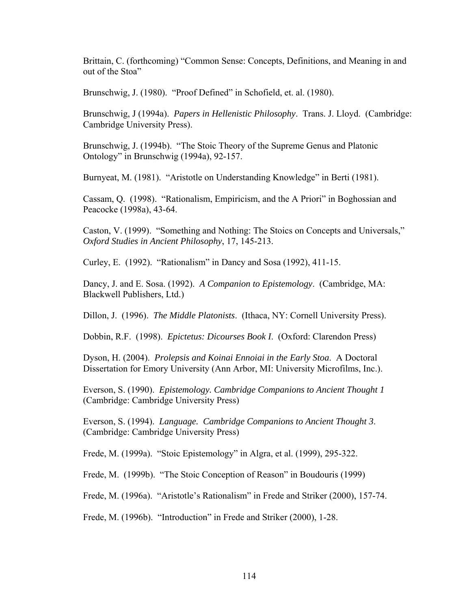Brittain, C. (forthcoming) "Common Sense: Concepts, Definitions, and Meaning in and out of the Stoa"

Brunschwig, J. (1980). "Proof Defined" in Schofield, et. al. (1980).

Brunschwig, J (1994a). *Papers in Hellenistic Philosophy*. Trans. J. Lloyd. (Cambridge: Cambridge University Press).

Brunschwig, J. (1994b). "The Stoic Theory of the Supreme Genus and Platonic Ontology" in Brunschwig (1994a), 92-157.

Burnyeat, M. (1981). "Aristotle on Understanding Knowledge" in Berti (1981).

Cassam, Q. (1998). "Rationalism, Empiricism, and the A Priori" in Boghossian and Peacocke (1998a), 43-64.

Caston, V. (1999). "Something and Nothing: The Stoics on Concepts and Universals," *Oxford Studies in Ancient Philosophy*, 17, 145-213.

Curley, E. (1992). "Rationalism" in Dancy and Sosa (1992), 411-15.

Dancy, J. and E. Sosa. (1992). *A Companion to Epistemology*. (Cambridge, MA: Blackwell Publishers, Ltd.)

Dillon, J. (1996). *The Middle Platonists*. (Ithaca, NY: Cornell University Press).

Dobbin, R.F. (1998). *Epictetus: Dicourses Book I*. (Oxford: Clarendon Press)

Dyson, H. (2004). *Prolepsis and Koinai Ennoiai in the Early Stoa*. A Doctoral Dissertation for Emory University (Ann Arbor, MI: University Microfilms, Inc.).

Everson, S. (1990). *Epistemology. Cambridge Companions to Ancient Thought 1* (Cambridge: Cambridge University Press)

Everson, S. (1994). *Language. Cambridge Companions to Ancient Thought 3*. (Cambridge: Cambridge University Press)

Frede, M. (1999a). "Stoic Epistemology" in Algra, et al. (1999), 295-322.

Frede, M. (1999b). "The Stoic Conception of Reason" in Boudouris (1999)

Frede, M. (1996a). "Aristotle's Rationalism" in Frede and Striker (2000), 157-74.

Frede, M. (1996b). "Introduction" in Frede and Striker (2000), 1-28.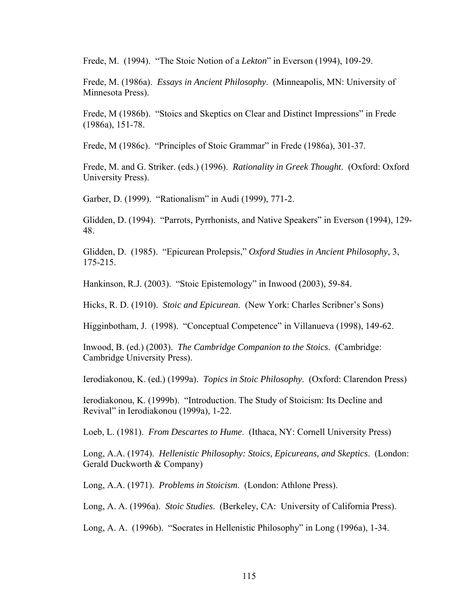Frede, M. (1994). "The Stoic Notion of a *Lekton*" in Everson (1994), 109-29.

Frede, M. (1986a). *Essays in Ancient Philosophy*. (Minneapolis, MN: University of Minnesota Press).

Frede, M (1986b). "Stoics and Skeptics on Clear and Distinct Impressions" in Frede (1986a), 151-78.

Frede, M (1986c). "Principles of Stoic Grammar" in Frede (1986a), 301-37.

Frede, M. and G. Striker. (eds.) (1996). *Rationality in Greek Thought*. (Oxford: Oxford University Press).

Garber, D. (1999). "Rationalism" in Audi (1999), 771-2.

Glidden, D. (1994). "Parrots, Pyrrhonists, and Native Speakers" in Everson (1994), 129- 48.

Glidden, D. (1985). "Epicurean Prolepsis," *Oxford Studies in Ancient Philosophy*, 3, 175-215.

Hankinson, R.J. (2003). "Stoic Epistemology" in Inwood (2003), 59-84.

Hicks, R. D. (1910). *Stoic and Epicurean*. (New York: Charles Scribner's Sons)

Higginbotham, J. (1998). "Conceptual Competence" in Villanueva (1998), 149-62.

Inwood, B. (ed.) (2003). *The Cambridge Companion to the Stoics*. (Cambridge: Cambridge University Press).

Ierodiakonou, K. (ed.) (1999a). *Topics in Stoic Philosophy*. (Oxford: Clarendon Press)

Ierodiakonou, K. (1999b). "Introduction. The Study of Stoicism: Its Decline and Revival" in Ierodiakonou (1999a), 1-22.

Loeb, L. (1981). *From Descartes to Hume*. (Ithaca, NY: Cornell University Press)

Long, A.A. (1974). *Hellenistic Philosophy: Stoics, Epicureans, and Skeptics*. (London: Gerald Duckworth & Company)

Long, A.A. (1971). *Problems in Stoicism*. (London: Athlone Press).

Long, A. A. (1996a). *Stoic Studies*. (Berkeley, CA: University of California Press).

Long, A. A. (1996b). "Socrates in Hellenistic Philosophy" in Long (1996a), 1-34.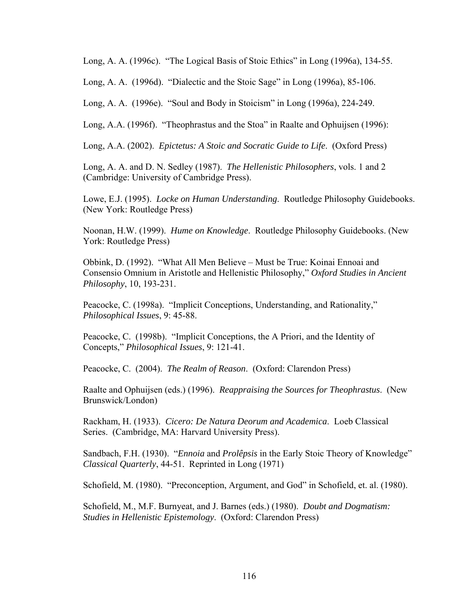Long, A. A. (1996c). "The Logical Basis of Stoic Ethics" in Long (1996a), 134-55.

Long, A. A. (1996d). "Dialectic and the Stoic Sage" in Long (1996a), 85-106.

Long, A. A. (1996e). "Soul and Body in Stoicism" in Long (1996a), 224-249.

Long, A.A. (1996f). "Theophrastus and the Stoa" in Raalte and Ophuijsen (1996):

Long, A.A. (2002). *Epictetus: A Stoic and Socratic Guide to Life*. (Oxford Press)

Long, A. A. and D. N. Sedley (1987). *The Hellenistic Philosophers*, vols. 1 and 2 (Cambridge: University of Cambridge Press).

Lowe, E.J. (1995). *Locke on Human Understanding*. Routledge Philosophy Guidebooks. (New York: Routledge Press)

Noonan, H.W. (1999). *Hume on Knowledge*. Routledge Philosophy Guidebooks. (New York: Routledge Press)

Obbink, D. (1992). "What All Men Believe – Must be True: Koinai Ennoai and Consensio Omnium in Aristotle and Hellenistic Philosophy," *Oxford Studies in Ancient Philosophy*, 10, 193-231.

Peacocke, C. (1998a). "Implicit Conceptions, Understanding, and Rationality," *Philosophical Issues*, 9: 45-88.

Peacocke, C. (1998b). "Implicit Conceptions, the A Priori, and the Identity of Concepts," *Philosophical Issues*, 9: 121-41.

Peacocke, C. (2004). *The Realm of Reason*. (Oxford: Clarendon Press)

Raalte and Ophuijsen (eds.) (1996). *Reappraising the Sources for Theophrastus*. (New Brunswick/London)

Rackham, H. (1933). *Cicero: De Natura Deorum and Academica*. Loeb Classical Series. (Cambridge, MA: Harvard University Press).

Sandbach, F.H. (1930). "*Ennoia* and *Prolêpsis* in the Early Stoic Theory of Knowledge" *Classical Quarterly*, 44-51. Reprinted in Long (1971)

Schofield, M. (1980). "Preconception, Argument, and God" in Schofield, et. al. (1980).

Schofield, M., M.F. Burnyeat, and J. Barnes (eds.) (1980). *Doubt and Dogmatism: Studies in Hellenistic Epistemology*. (Oxford: Clarendon Press)